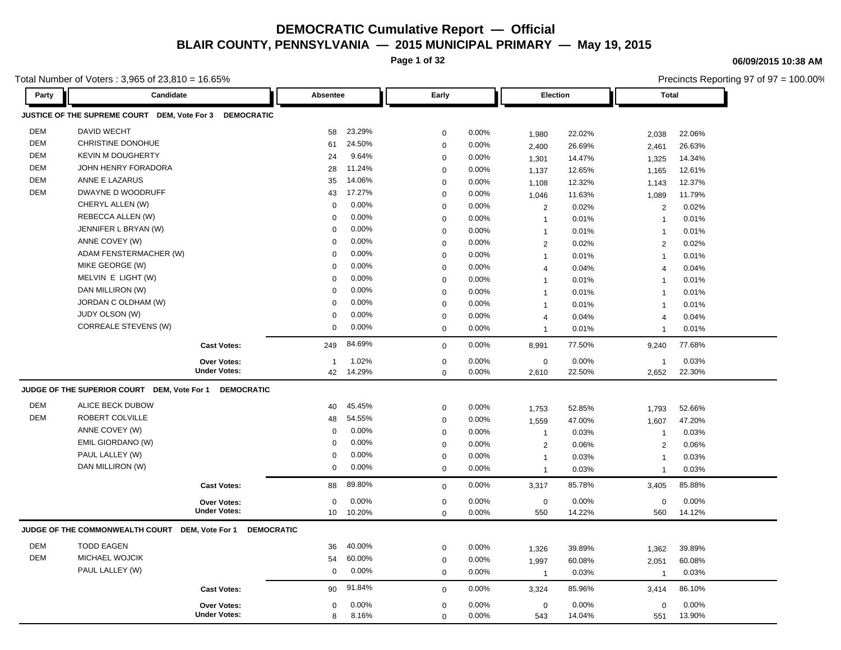**Page 1 of 32**

**06/09/2015 10:38 AM**

|            | Total Number of Voters : 3,965 of 23,810 = 16.65%       |                     |             |        |                  |       |                 |        |                | Precincts Reporting 97 of 97 = 100.00% |
|------------|---------------------------------------------------------|---------------------|-------------|--------|------------------|-------|-----------------|--------|----------------|----------------------------------------|
| Party      | Candidate                                               |                     | Absentee    |        | Early            |       | <b>Election</b> |        | <b>Total</b>   |                                        |
|            | JUSTICE OF THE SUPREME COURT DEM, Vote For 3 DEMOCRATIC |                     |             |        |                  |       |                 |        |                |                                        |
| <b>DEM</b> | <b>DAVID WECHT</b>                                      |                     | 58          | 23.29% | $\mathbf 0$      | 0.00% | 1,980           | 22.02% | 2,038          | 22.06%                                 |
| <b>DEM</b> | CHRISTINE DONOHUE                                       |                     | 61          | 24.50% | $\mathbf 0$      | 0.00% | 2,400           | 26.69% | 2,461          | 26.63%                                 |
| <b>DEM</b> | <b>KEVIN M DOUGHERTY</b>                                |                     | 24          | 9.64%  | $\mathbf 0$      | 0.00% | 1,301           | 14.47% | 1,325          | 14.34%                                 |
| <b>DEM</b> | JOHN HENRY FORADORA                                     |                     | 28          | 11.24% | $\mathbf 0$      | 0.00% | 1,137           | 12.65% | 1,165          | 12.61%                                 |
| <b>DEM</b> | ANNE E LAZARUS                                          |                     | 35          | 14.06% | $\Omega$         | 0.00% | 1,108           | 12.32% | 1,143          | 12.37%                                 |
| DEM        | DWAYNE D WOODRUFF                                       |                     | 43          | 17.27% | $\mathbf 0$      | 0.00% | 1,046           | 11.63% | 1,089          | 11.79%                                 |
|            | CHERYL ALLEN (W)                                        |                     | 0           | 0.00%  | $\mathbf 0$      | 0.00% | 2               | 0.02%  | 2              | 0.02%                                  |
|            | REBECCA ALLEN (W)                                       |                     | 0           | 0.00%  | $\mathbf 0$      | 0.00% | $\overline{1}$  | 0.01%  | $\overline{1}$ | 0.01%                                  |
|            | JENNIFER L BRYAN (W)                                    |                     | 0           | 0.00%  | $\mathbf 0$      | 0.00% | $\overline{1}$  | 0.01%  | $\mathbf{1}$   | 0.01%                                  |
|            | ANNE COVEY (W)                                          |                     | 0           | 0.00%  | $\mathbf 0$      | 0.00% | 2               | 0.02%  | 2              | 0.02%                                  |
|            | ADAM FENSTERMACHER (W)                                  |                     | $\Omega$    | 0.00%  | $\mathbf 0$      | 0.00% | $\mathbf{1}$    | 0.01%  | $\mathbf{1}$   | 0.01%                                  |
|            | MIKE GEORGE (W)                                         |                     | $\mathbf 0$ | 0.00%  | $\mathbf 0$      | 0.00% | $\overline{4}$  | 0.04%  | $\overline{4}$ | 0.04%                                  |
|            | MELVIN E LIGHT (W)                                      |                     | 0           | 0.00%  | $\mathbf 0$      | 0.00% | $\overline{1}$  | 0.01%  | $\mathbf{1}$   | 0.01%                                  |
|            | DAN MILLIRON (W)                                        |                     | $\Omega$    | 0.00%  | $\mathbf 0$      | 0.00% | $\overline{1}$  | 0.01%  | $\overline{1}$ | 0.01%                                  |
|            | JORDAN C OLDHAM (W)                                     |                     | $\mathbf 0$ | 0.00%  | $\mathbf 0$      | 0.00% | $\overline{1}$  | 0.01%  | $\overline{1}$ | 0.01%                                  |
|            | JUDY OLSON (W)                                          |                     | $\mathbf 0$ | 0.00%  | $\mathbf 0$      | 0.00% | $\overline{4}$  | 0.04%  | 4              | 0.04%                                  |
|            | <b>CORREALE STEVENS (W)</b>                             |                     | 0           | 0.00%  | $\mathbf 0$      | 0.00% | $\overline{1}$  | 0.01%  | $\overline{1}$ | 0.01%                                  |
|            |                                                         | <b>Cast Votes:</b>  | 249         | 84.69% | $\mathbf 0$      | 0.00% | 8,991           | 77.50% | 9,240          | 77.68%                                 |
|            |                                                         | <b>Over Votes:</b>  | -1          | 1.02%  | $\mathbf 0$      | 0.00% | $\mathbf 0$     | 0.00%  | $\overline{1}$ | 0.03%                                  |
|            |                                                         | <b>Under Votes:</b> | 42          | 14.29% | $\Omega$         | 0.00% | 2,610           | 22.50% | 2,652          | 22.30%                                 |
|            | JUDGE OF THE SUPERIOR COURT DEM, Vote For 1             | <b>DEMOCRATIC</b>   |             |        |                  |       |                 |        |                |                                        |
| <b>DEM</b> | ALICE BECK DUBOW                                        |                     | 40          | 45.45% | $\mathbf 0$      | 0.00% | 1,753           | 52.85% | 1,793          | 52.66%                                 |
| <b>DEM</b> | ROBERT COLVILLE                                         |                     | 48          | 54.55% | $\mathbf 0$      | 0.00% | 1,559           | 47.00% | 1,607          | 47.20%                                 |
|            | ANNE COVEY (W)                                          |                     | 0           | 0.00%  | $\mathbf 0$      | 0.00% | $\mathbf 1$     | 0.03%  | $\overline{1}$ | 0.03%                                  |
|            | EMIL GIORDANO (W)                                       |                     | $\Omega$    | 0.00%  | $\boldsymbol{0}$ | 0.00% | 2               | 0.06%  | 2              | 0.06%                                  |
|            | PAUL LALLEY (W)                                         |                     | 0           | 0.00%  | $\mathbf 0$      | 0.00% | $\overline{1}$  | 0.03%  | $\mathbf{1}$   | 0.03%                                  |
|            | DAN MILLIRON (W)                                        |                     | 0           | 0.00%  | $\mathbf 0$      | 0.00% | $\overline{1}$  | 0.03%  | $\mathbf{1}$   | 0.03%                                  |
|            |                                                         | <b>Cast Votes:</b>  | 88          | 89.80% | $\mathbf 0$      | 0.00% | 3,317           | 85.78% | 3,405          | 85.88%                                 |
|            |                                                         | Over Votes:         | 0           | 0.00%  | $\mathbf 0$      | 0.00% | $\mathbf 0$     | 0.00%  | $\mathbf 0$    | 0.00%                                  |
|            |                                                         | <b>Under Votes:</b> | 10          | 10.20% | $\mathbf 0$      | 0.00% | 550             | 14.22% | 560            | 14.12%                                 |
|            | JUDGE OF THE COMMONWEALTH COURT DEM, Vote For 1         | <b>DEMOCRATIC</b>   |             |        |                  |       |                 |        |                |                                        |
| <b>DEM</b> | <b>TODD EAGEN</b>                                       |                     | 36          | 40.00% | $\boldsymbol{0}$ | 0.00% | 1,326           | 39.89% | 1,362          | 39.89%                                 |
| <b>DEM</b> | MICHAEL WOJCIK                                          |                     | 54          | 60.00% | $\boldsymbol{0}$ | 0.00% | 1,997           | 60.08% | 2,051          | 60.08%                                 |
|            | PAUL LALLEY (W)                                         |                     | 0           | 0.00%  | $\mathbf 0$      | 0.00% | $\overline{1}$  | 0.03%  | $\mathbf{1}$   | 0.03%                                  |
|            |                                                         | <b>Cast Votes:</b>  | 90          | 91.84% | $\mathbf 0$      | 0.00% | 3,324           | 85.96% | 3,414          | 86.10%                                 |
|            |                                                         | <b>Over Votes:</b>  | 0           | 0.00%  | $\mathbf 0$      | 0.00% | $\mathbf 0$     | 0.00%  | $\mathbf 0$    | 0.00%                                  |
|            |                                                         | <b>Under Votes:</b> | 8           | 8.16%  | $\Omega$         | 0.00% | 543             | 14.04% | 551            | 13.90%                                 |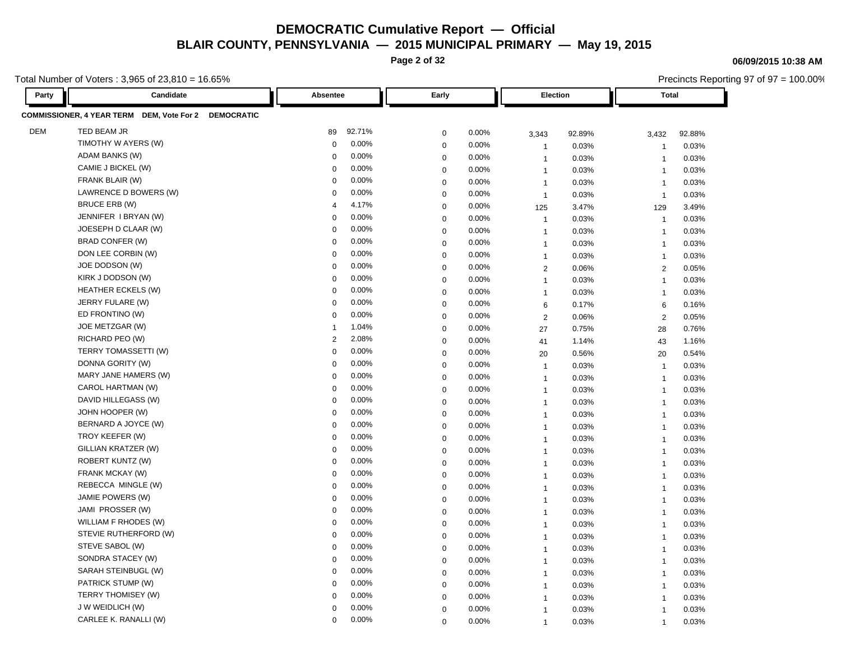**Page 2 of 32**

Total Number of Voters : 3,965 of 23,810 = 16.65%

| Party      | Candidate                                            | Absentee                | Early                | Election       |        | Total          |        |
|------------|------------------------------------------------------|-------------------------|----------------------|----------------|--------|----------------|--------|
|            | COMMISSIONER, 4 YEAR TERM DEM, Vote For 2 DEMOCRATIC |                         |                      |                |        |                |        |
| <b>DEM</b> | TED BEAM JR                                          | 92.71%<br>89            | 0.00%<br>$\mathbf 0$ | 3,343          | 92.89% | 3,432          | 92.88% |
|            | TIMOTHY W AYERS (W)                                  | 0.00%<br>$\mathbf 0$    | 0.00%<br>$\mathbf 0$ | $\overline{1}$ | 0.03%  | $\overline{1}$ | 0.03%  |
|            | ADAM BANKS (W)                                       | 0.00%<br>0              | $\mathbf 0$<br>0.00% | $\overline{1}$ | 0.03%  | -1             | 0.03%  |
|            | CAMIE J BICKEL (W)                                   | 0.00%<br>$\mathbf 0$    | $\mathbf 0$<br>0.00% | $\overline{1}$ | 0.03%  | $\overline{1}$ | 0.03%  |
|            | FRANK BLAIR (W)                                      | 0.00%<br>0              | 0.00%<br>$\mathbf 0$ | $\overline{1}$ | 0.03%  | $\overline{1}$ | 0.03%  |
|            | LAWRENCE D BOWERS (W)                                | 0.00%<br>$\mathbf 0$    | $\mathbf 0$<br>0.00% | $\overline{1}$ | 0.03%  | $\overline{1}$ | 0.03%  |
|            | BRUCE ERB (W)                                        | 4.17%<br>$\overline{4}$ | 0.00%<br>$\mathbf 0$ | 125            | 3.47%  | 129            | 3.49%  |
|            | JENNIFER I BRYAN (W)                                 | 0.00%<br>$\Omega$       | 0.00%<br>$\mathbf 0$ | $\overline{1}$ | 0.03%  | $\overline{1}$ | 0.03%  |
|            | JOESEPH D CLAAR (W)                                  | 0.00%<br>$\mathbf 0$    | 0.00%<br>$\mathbf 0$ | $\overline{1}$ | 0.03%  | $\overline{1}$ | 0.03%  |
|            | <b>BRAD CONFER (W)</b>                               | 0.00%<br>0              | 0.00%<br>$\mathbf 0$ | $\overline{1}$ | 0.03%  | $\overline{1}$ | 0.03%  |
|            | DON LEE CORBIN (W)                                   | 0.00%<br>0              | 0.00%<br>$\mathbf 0$ | $\overline{1}$ | 0.03%  | $\overline{1}$ | 0.03%  |
|            | JOE DODSON (W)                                       | 0.00%<br>$\Omega$       | $\mathbf 0$<br>0.00% | $\overline{2}$ | 0.06%  | 2              | 0.05%  |
|            | KIRK J DODSON (W)                                    | 0.00%<br>$\mathbf 0$    | $\mathbf 0$<br>0.00% | $\mathbf{1}$   | 0.03%  | $\overline{1}$ | 0.03%  |
|            | <b>HEATHER ECKELS (W)</b>                            | 0.00%<br>0              | 0.00%<br>$\mathbf 0$ | $\overline{1}$ | 0.03%  | $\overline{1}$ | 0.03%  |
|            | JERRY FULARE (W)                                     | 0.00%<br>0              | 0.00%<br>$\mathbf 0$ | 6              | 0.17%  | 6              | 0.16%  |
|            | ED FRONTINO (W)                                      | 0.00%<br>$\Omega$       | $\mathbf 0$<br>0.00% | $\overline{2}$ | 0.06%  | $\overline{2}$ | 0.05%  |
|            | JOE METZGAR (W)                                      | 1.04%<br>-1             | $\mathbf 0$<br>0.00% | 27             | 0.75%  | 28             | 0.76%  |
|            | RICHARD PEO (W)                                      | 2.08%<br>2              | 0.00%<br>0           | 41             | 1.14%  | 43             | 1.16%  |
|            | TERRY TOMASSETTI (W)                                 | 0.00%<br>$\Omega$       | $\mathbf 0$<br>0.00% | 20             | 0.56%  | 20             | 0.54%  |
|            | DONNA GORITY (W)                                     | 0.00%<br>$\mathbf 0$    | 0.00%<br>$\mathbf 0$ | $\overline{1}$ | 0.03%  | $\overline{1}$ | 0.03%  |
|            | MARY JANE HAMERS (W)                                 | 0.00%<br>$\Omega$       | 0.00%<br>$\mathbf 0$ | $\overline{1}$ | 0.03%  | $\overline{1}$ | 0.03%  |
|            | CAROL HARTMAN (W)                                    | 0.00%<br>$\Omega$       | $\mathbf 0$<br>0.00% | $\overline{1}$ | 0.03%  | $\overline{1}$ | 0.03%  |
|            | DAVID HILLEGASS (W)                                  | 0.00%<br>$\mathbf 0$    | 0.00%<br>$\mathbf 0$ | $\overline{1}$ | 0.03%  | $\overline{1}$ | 0.03%  |
|            | JOHN HOOPER (W)                                      | 0.00%<br>0              | 0.00%<br>$\mathbf 0$ | $\overline{1}$ | 0.03%  | $\overline{1}$ | 0.03%  |
|            | BERNARD A JOYCE (W)                                  | 0.00%<br>$\mathbf 0$    | 0.00%<br>$\mathbf 0$ | $\overline{1}$ | 0.03%  | $\overline{1}$ | 0.03%  |
|            | TROY KEEFER (W)                                      | 0.00%<br>$\Omega$       | $\mathbf 0$<br>0.00% | $\overline{1}$ | 0.03%  | $\overline{1}$ | 0.03%  |
|            | GILLIAN KRATZER (W)                                  | 0.00%<br>0              | $\mathbf 0$<br>0.00% | $\overline{1}$ | 0.03%  | $\overline{1}$ | 0.03%  |
|            | ROBERT KUNTZ (W)                                     | 0.00%<br>0              | 0.00%<br>$\mathbf 0$ | $\mathbf{1}$   | 0.03%  | $\overline{1}$ | 0.03%  |
|            | FRANK MCKAY (W)                                      | 0.00%<br>$\mathbf 0$    | 0.00%<br>$\mathbf 0$ | $\mathbf{1}$   | 0.03%  | $\overline{1}$ | 0.03%  |
|            | REBECCA MINGLE (W)                                   | 0.00%<br>$\mathbf 0$    | $\mathbf 0$<br>0.00% | $\overline{1}$ | 0.03%  | $\overline{1}$ | 0.03%  |
|            | JAMIE POWERS (W)                                     | 0.00%<br>$\mathbf 0$    | $\mathbf 0$<br>0.00% | $\mathbf{1}$   | 0.03%  | $\overline{1}$ | 0.03%  |
|            | JAMI PROSSER (W)                                     | $0.00\%$<br>$\mathbf 0$ | 0.00%<br>$\mathbf 0$ | $\overline{1}$ | 0.03%  | $\overline{1}$ | 0.03%  |
|            | WILLIAM F RHODES (W)                                 | 0.00%<br>$\mathbf 0$    | 0.00%<br>$\mathbf 0$ | $\overline{1}$ | 0.03%  | $\overline{1}$ | 0.03%  |
|            | STEVIE RUTHERFORD (W)                                | 0.00%<br>0              | $\mathbf 0$<br>0.00% | $\overline{1}$ | 0.03%  | $\overline{1}$ | 0.03%  |
|            | STEVE SABOL (W)                                      | 0.00%<br>$\Omega$       | 0.00%<br>$\mathbf 0$ | $\overline{1}$ | 0.03%  | $\overline{1}$ | 0.03%  |
|            | SONDRA STACEY (W)                                    | 0.00%<br>$\mathbf 0$    | $\mathbf 0$<br>0.00% | $\mathbf{1}$   | 0.03%  | $\overline{1}$ | 0.03%  |
|            | SARAH STEINBUGL (W)                                  | 0.00%<br>$\mathbf 0$    | 0.00%<br>$\mathbf 0$ | $\overline{1}$ | 0.03%  | $\overline{1}$ | 0.03%  |
|            | PATRICK STUMP (W)                                    | 0.00%<br>0              | 0.00%<br>$\mathbf 0$ | $\mathbf{1}$   | 0.03%  | $\overline{1}$ | 0.03%  |
|            | TERRY THOMISEY (W)                                   | 0.00%<br>$\Omega$       | 0.00%<br>$\mathbf 0$ | $\mathbf{1}$   | 0.03%  | $\overline{1}$ | 0.03%  |
|            | J W WEIDLICH (W)                                     | 0.00%<br>$\Omega$       | $\mathbf 0$<br>0.00% | $\mathbf{1}$   | 0.03%  | $\overline{1}$ | 0.03%  |
|            | CARLEE K. RANALLI (W)                                | 0.00%<br>0              | 0.00%<br>$\Omega$    | $\overline{1}$ | 0.03%  | $\overline{1}$ | 0.03%  |

#### **06/09/2015 10:38 AM**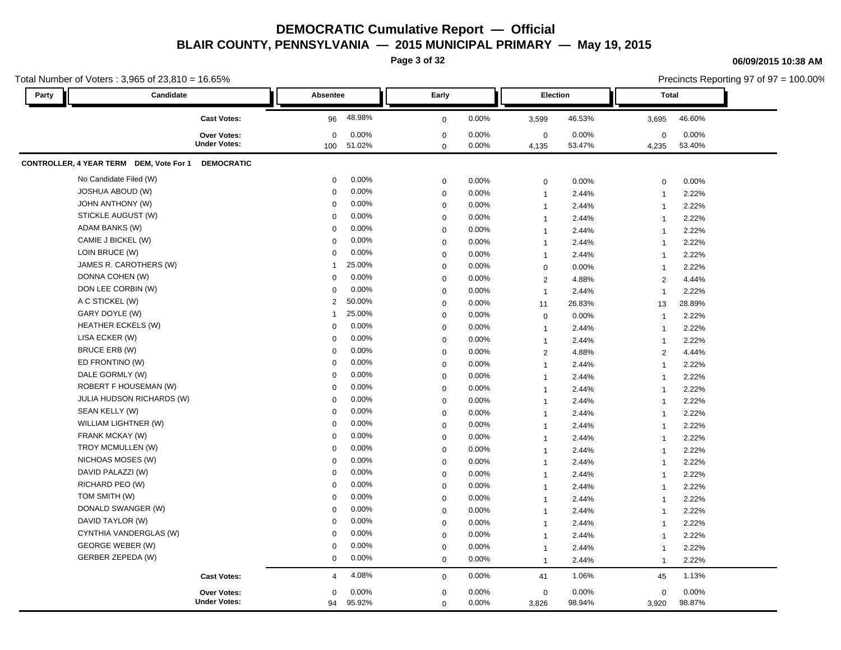**Page 3 of 32**

#### **06/09/2015 10:38 AM**

|       | Total Number of Voters: 3,965 of 23,810 = 16.65%             |                          |              |       |                         |        |                | Precincts Reporting 97 of 97 = 100.00% |  |
|-------|--------------------------------------------------------------|--------------------------|--------------|-------|-------------------------|--------|----------------|----------------------------------------|--|
| Party | Candidate                                                    | <b>Absentee</b>          | Early        |       | <b>Election</b>         |        | <b>Total</b>   |                                        |  |
|       | <b>Cast Votes:</b>                                           | 48.98%<br>96             | $\mathbf{0}$ | 0.00% | 3,599                   | 46.53% | 3,695          | 46.60%                                 |  |
|       | Over Votes:                                                  | 0.00%<br>$\mathbf{0}$    | $\mathbf 0$  | 0.00% | $\mathbf 0$             | 0.00%  | $\mathbf 0$    | 0.00%                                  |  |
|       | <b>Under Votes:</b>                                          | 51.02%<br>100            | $\mathbf 0$  | 0.00% | 4,135                   | 53.47% | 4,235          | 53.40%                                 |  |
|       | CONTROLLER, 4 YEAR TERM DEM, Vote For 1<br><b>DEMOCRATIC</b> |                          |              |       |                         |        |                |                                        |  |
|       | No Candidate Filed (W)                                       | 0.00%<br>0               | $\mathbf 0$  | 0.00% | $\mathbf 0$             | 0.00%  | $\Omega$       | 0.00%                                  |  |
|       | <b>JOSHUA ABOUD (W)</b>                                      | 0.00%<br>$\mathbf 0$     | $\Omega$     | 0.00% | $\overline{\mathbf{1}}$ | 2.44%  |                | 2.22%                                  |  |
|       | <b>JOHN ANTHONY (W)</b>                                      | 0.00%<br>$\mathbf{0}$    | $\Omega$     | 0.00% | $\overline{\mathbf{1}}$ | 2.44%  |                | 2.22%                                  |  |
|       | STICKLE AUGUST (W)                                           | 0.00%<br>$\mathbf 0$     | $\Omega$     | 0.00% | $\overline{1}$          | 2.44%  |                | 2.22%                                  |  |
|       | ADAM BANKS (W)                                               | 0.00%<br>$\Omega$        | $\mathbf 0$  | 0.00% | $\overline{1}$          | 2.44%  |                | 2.22%                                  |  |
|       | CAMIE J BICKEL (W)                                           | 0.00%<br>$\mathbf 0$     | $\Omega$     | 0.00% | $\overline{\mathbf{1}}$ | 2.44%  |                | 2.22%                                  |  |
|       | LOIN BRUCE (W)                                               | 0.00%<br>$\mathbf 0$     | $\Omega$     | 0.00% | $\overline{1}$          | 2.44%  |                | 2.22%                                  |  |
|       | JAMES R. CAROTHERS (W)                                       | 25.00%<br>1              | $\Omega$     | 0.00% | 0                       | 0.00%  |                | 2.22%                                  |  |
|       | DONNA COHEN (W)                                              | 0.00%<br>$\Omega$        | $\Omega$     | 0.00% | 2                       | 4.88%  | $\overline{2}$ | 4.44%                                  |  |
|       | DON LEE CORBIN (W)                                           | 0.00%<br>$\mathbf 0$     | $\Omega$     | 0.00% | $\overline{1}$          | 2.44%  |                | 2.22%                                  |  |
|       | A C STICKEL (W)                                              | 50.00%<br>$\overline{2}$ | $\mathbf 0$  | 0.00% | 11                      | 26.83% | 13             | 28.89%                                 |  |
|       | GARY DOYLE (W)                                               | 25.00%<br>1              | $\mathbf 0$  | 0.00% | $\mathbf 0$             | 0.00%  |                | 2.22%                                  |  |
|       | <b>HEATHER ECKELS (W)</b>                                    | 0.00%<br>$\mathbf 0$     | $\Omega$     | 0.00% | - 1                     | 2.44%  |                | 2.22%                                  |  |
|       | LISA ECKER (W)                                               | 0.00%<br>$\mathbf 0$     | $\Omega$     | 0.00% | $\overline{1}$          | 2.44%  |                | 2.22%                                  |  |
|       | BRUCE ERB (W)                                                | 0.00%<br>$\Omega$        | $\Omega$     | 0.00% | $\overline{2}$          | 4.88%  | $\overline{2}$ | 4.44%                                  |  |
|       | ED FRONTINO (W)                                              | 0.00%<br>$\Omega$        | $\mathbf 0$  | 0.00% | $\overline{1}$          | 2.44%  |                | 2.22%                                  |  |
|       | DALE GORMLY (W)                                              | 0.00%<br>$\Omega$        | $\Omega$     | 0.00% | -1                      | 2.44%  |                | 2.22%                                  |  |
|       | ROBERT F HOUSEMAN (W)                                        | 0.00%<br>$\Omega$        | $\Omega$     | 0.00% | -1                      | 2.44%  |                | 2.22%                                  |  |
|       | JULIA HUDSON RICHARDS (W)                                    | 0.00%<br>$\mathbf 0$     | $\mathbf 0$  | 0.00% | $\overline{1}$          | 2.44%  |                | 2.22%                                  |  |
|       | SEAN KELLY (W)                                               | 0.00%<br>$\mathbf 0$     | $\Omega$     | 0.00% | $\overline{1}$          | 2.44%  |                | 2.22%                                  |  |
|       | WILLIAM LIGHTNER (W)                                         | 0.00%<br>$\mathbf 0$     | $\mathbf 0$  | 0.00% | $\overline{1}$          | 2.44%  |                | 2.22%                                  |  |
|       | FRANK MCKAY (W)                                              | 0.00%<br>$\Omega$        | $\mathbf 0$  | 0.00% | - 1                     | 2.44%  |                | 2.22%                                  |  |
|       | TROY MCMULLEN (W)                                            | 0.00%<br>$\mathbf 0$     | $\Omega$     | 0.00% | $\overline{1}$          | 2.44%  |                | 2.22%                                  |  |
|       | NICHOAS MOSES (W)                                            | 0.00%<br>$\mathbf 0$     | $\Omega$     | 0.00% | $\overline{1}$          | 2.44%  |                | 2.22%                                  |  |
|       | DAVID PALAZZI (W)                                            | 0.00%<br>0               | $\Omega$     | 0.00% | -1                      | 2.44%  |                | 2.22%                                  |  |
|       | RICHARD PEO (W)                                              | 0.00%<br>$\Omega$        | $\Omega$     | 0.00% | $\overline{1}$          | 2.44%  |                | 2.22%                                  |  |
|       | TOM SMITH (W)                                                | 0.00%<br>$\Omega$        | $\mathbf 0$  | 0.00% | $\overline{1}$          | 2.44%  |                | 2.22%                                  |  |
|       | DONALD SWANGER (W)                                           | 0.00%<br>$\mathbf 0$     | $\mathbf 0$  | 0.00% | $\overline{1}$          | 2.44%  |                | 2.22%                                  |  |
|       | DAVID TAYLOR (W)                                             | 0.00%<br>$\mathbf 0$     | $\mathbf 0$  | 0.00% | $\overline{1}$          | 2.44%  |                | 2.22%                                  |  |
|       | CYNTHIA VANDERGLAS (W)                                       | 0.00%<br>$\Omega$        | $\mathbf 0$  | 0.00% | $\overline{1}$          | 2.44%  |                | 2.22%                                  |  |
|       | <b>GEORGE WEBER (W)</b>                                      | 0.00%<br>$\mathbf 0$     | $\Omega$     | 0.00% | $\overline{\mathbf{1}}$ | 2.44%  |                | 2.22%                                  |  |
|       | GERBER ZEPEDA (W)                                            | 0.00%<br>$\mathbf{0}$    | $\mathbf 0$  | 0.00% | $\overline{1}$          | 2.44%  |                | 2.22%                                  |  |
|       | <b>Cast Votes:</b>                                           | 4.08%<br>$\overline{4}$  | $\mathbf{0}$ | 0.00% | 41                      | 1.06%  | 45             | 1.13%                                  |  |
|       | <b>Over Votes:</b>                                           | $\mathbf{0}$<br>$0.00\%$ | $\mathbf 0$  | 0.00% | $\overline{0}$          | 0.00%  | $\Omega$       | 0.00%                                  |  |
|       | <b>Under Votes:</b>                                          | 94<br>95.92%             | $\Omega$     | 0.00% | 3,826                   | 98.94% | 3,920          | 98.87%                                 |  |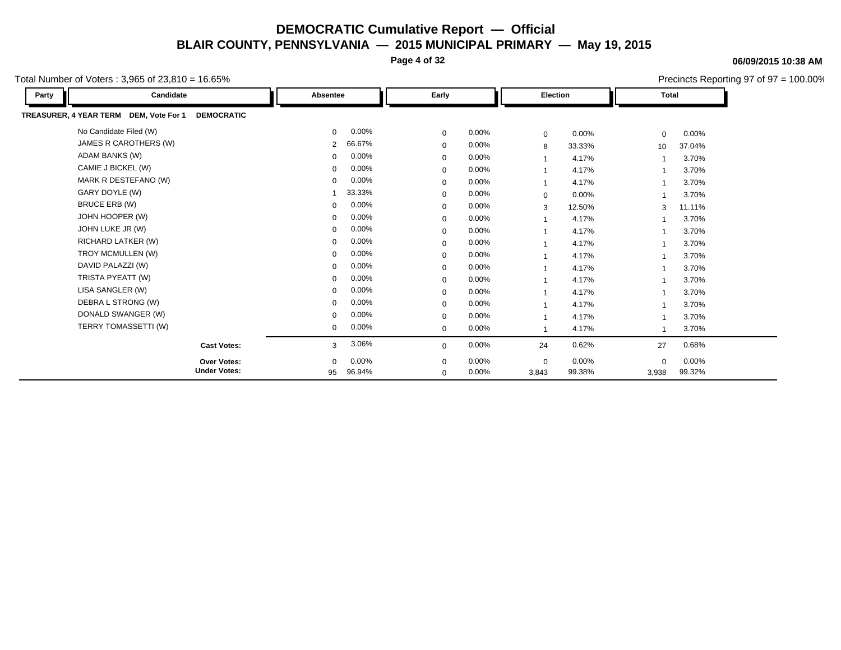**Page 4 of 32**

#### **06/09/2015 10:38 AM**

Precincts Reporting 97 of 97 = 100.00%

| Candidate<br>Party                                          | Absentee                 | Early       |          | Election       |        | <b>Total</b>             |          |
|-------------------------------------------------------------|--------------------------|-------------|----------|----------------|--------|--------------------------|----------|
| TREASURER, 4 YEAR TERM DEM, Vote For 1<br><b>DEMOCRATIC</b> |                          |             |          |                |        |                          |          |
| No Candidate Filed (W)                                      | $0.00\%$<br>$\mathbf{0}$ | $\mathbf 0$ | $0.00\%$ | $\mathbf 0$    | 0.00%  | $\mathbf 0$              | $0.00\%$ |
| JAMES R CAROTHERS (W)                                       | 66.67%<br>$\overline{2}$ | $\mathbf 0$ | 0.00%    | 8              | 33.33% | 10                       | 37.04%   |
| ADAM BANKS (W)                                              | 0.00%<br>0               | $\mathbf 0$ | 0.00%    | $\mathbf 1$    | 4.17%  | $\overline{\phantom{a}}$ | 3.70%    |
| CAMIE J BICKEL (W)                                          | $0.00\%$<br>0            | $\mathbf 0$ | 0.00%    | $\overline{1}$ | 4.17%  |                          | 3.70%    |
| MARK R DESTEFANO (W)                                        | 0.00%<br>0               | 0           | 0.00%    | $\mathbf{1}$   | 4.17%  |                          | 3.70%    |
| GARY DOYLE (W)                                              | 33.33%                   | $\mathbf 0$ | 0.00%    | $\mathbf 0$    | 0.00%  |                          | 3.70%    |
| BRUCE ERB (W)                                               | $0.00\%$<br>0            | $\mathbf 0$ | 0.00%    | 3              | 12.50% | 3                        | 11.11%   |
| JOHN HOOPER (W)                                             | $0.00\%$<br>0            | $\mathbf 0$ | 0.00%    |                | 4.17%  |                          | 3.70%    |
| JOHN LUKE JR (W)                                            | 0.00%<br>0               | $\mathbf 0$ | 0.00%    |                | 4.17%  |                          | 3.70%    |
| RICHARD LATKER (W)                                          | 0.00%<br>0               | $\mathbf 0$ | 0.00%    |                | 4.17%  |                          | 3.70%    |
| TROY MCMULLEN (W)                                           | 0.00%<br>0               | $\mathbf 0$ | 0.00%    |                | 4.17%  |                          | 3.70%    |
| DAVID PALAZZI (W)                                           | 0.00%<br>$\Omega$        | $\mathbf 0$ | 0.00%    |                | 4.17%  |                          | 3.70%    |
| TRISTA PYEATT (W)                                           | 0.00%<br>0               | $\mathbf 0$ | 0.00%    | $\mathbf 1$    | 4.17%  |                          | 3.70%    |
| LISA SANGLER (W)                                            | $0.00\%$<br>0            | $\mathbf 0$ | 0.00%    | $\overline{1}$ | 4.17%  | $\overline{\phantom{a}}$ | 3.70%    |
| DEBRA L STRONG (W)                                          | $0.00\%$<br>0            | $\mathbf 0$ | 0.00%    | $\overline{1}$ | 4.17%  |                          | 3.70%    |
| DONALD SWANGER (W)                                          | $0.00\%$<br>0            | $\mathbf 0$ | 0.00%    | -1             | 4.17%  |                          | 3.70%    |
| TERRY TOMASSETTI (W)                                        | $0.00\%$<br>$\mathbf{0}$ | $\mathbf 0$ | 0.00%    |                | 4.17%  |                          | 3.70%    |
| <b>Cast Votes:</b>                                          | 3.06%<br>3               | $\mathbf 0$ | 0.00%    | 24             | 0.62%  | 27                       | 0.68%    |
| <b>Over Votes:</b>                                          | $0.00\%$<br>$\mathbf{0}$ | $\mathbf 0$ | $0.00\%$ | $\mathbf{0}$   | 0.00%  | $\mathbf 0$              | 0.00%    |
| <b>Under Votes:</b>                                         | 96.94%<br>95             | $\mathbf 0$ | 0.00%    | 3,843          | 99.38% | 3,938                    | 99.32%   |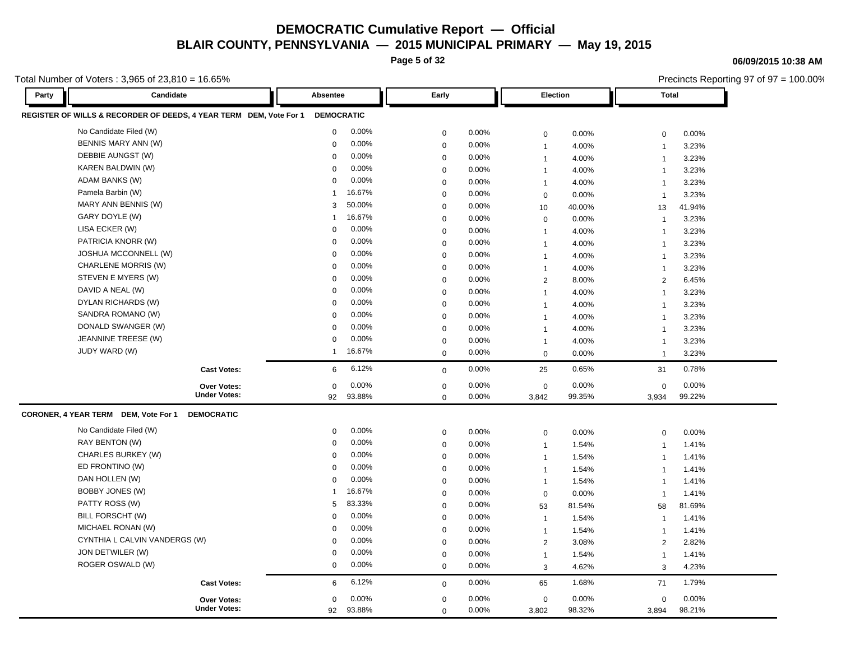**Page 5 of 32**

**06/09/2015 10:38 AM**

|       | Total Number of Voters : 3,965 of 23,810 = 16.65%                  |                   |        |                  |          |                 |        |                | Precincts Reporting 97 of 97 = 100.00% |  |
|-------|--------------------------------------------------------------------|-------------------|--------|------------------|----------|-----------------|--------|----------------|----------------------------------------|--|
| Party | Candidate                                                          | Absentee          |        | Early            |          | <b>Election</b> |        | <b>Total</b>   |                                        |  |
|       | REGISTER OF WILLS & RECORDER OF DEEDS, 4 YEAR TERM DEM, Vote For 1 | <b>DEMOCRATIC</b> |        |                  |          |                 |        |                |                                        |  |
|       | No Candidate Filed (W)                                             | $\mathbf 0$       | 0.00%  | 0                | 0.00%    | $\mathsf 0$     | 0.00%  | $\mathbf 0$    | 0.00%                                  |  |
|       | BENNIS MARY ANN (W)                                                | 0                 | 0.00%  | $\mathbf 0$      | 0.00%    | $\mathbf 1$     | 4.00%  | $\mathbf{1}$   | 3.23%                                  |  |
|       | DEBBIE AUNGST (W)                                                  | $\Omega$          | 0.00%  | $\mathbf 0$      | 0.00%    | $\overline{1}$  | 4.00%  | $\overline{1}$ | 3.23%                                  |  |
|       | KAREN BALDWIN (W)                                                  | $\mathbf 0$       | 0.00%  | $\mathbf 0$      | $0.00\%$ | $\overline{1}$  | 4.00%  | $\mathbf{1}$   | 3.23%                                  |  |
|       | ADAM BANKS (W)                                                     | 0                 | 0.00%  | $\mathbf 0$      | 0.00%    | $\mathbf 1$     | 4.00%  | $\overline{1}$ | 3.23%                                  |  |
|       | Pamela Barbin (W)                                                  | 1                 | 16.67% | $\mathbf 0$      | 0.00%    | $\mathbf 0$     | 0.00%  | $\overline{1}$ | 3.23%                                  |  |
|       | MARY ANN BENNIS (W)                                                | 3                 | 50.00% | $\mathbf 0$      | 0.00%    | 10              | 40.00% | 13             | 41.94%                                 |  |
|       | GARY DOYLE (W)                                                     | 1                 | 16.67% | 0                | 0.00%    | $\mathbf 0$     | 0.00%  | $\mathbf{1}$   | 3.23%                                  |  |
|       | LISA ECKER (W)                                                     | 0                 | 0.00%  | $\mathbf 0$      | 0.00%    | $\mathbf 1$     | 4.00%  | $\overline{1}$ | 3.23%                                  |  |
|       | PATRICIA KNORR (W)                                                 | 0                 | 0.00%  | $\mathbf 0$      | 0.00%    | $\overline{1}$  | 4.00%  | $\mathbf{1}$   | 3.23%                                  |  |
|       | JOSHUA MCCONNELL (W)                                               | 0                 | 0.00%  | $\mathbf 0$      | 0.00%    | $\overline{1}$  | 4.00%  | $\mathbf{1}$   | 3.23%                                  |  |
|       | CHARLENE MORRIS (W)                                                | 0                 | 0.00%  | $\mathbf 0$      | 0.00%    | $\overline{1}$  | 4.00%  | $\overline{1}$ | 3.23%                                  |  |
|       | STEVEN E MYERS (W)                                                 | 0                 | 0.00%  | $\mathbf 0$      | 0.00%    | 2               | 8.00%  | 2              | 6.45%                                  |  |
|       | DAVID A NEAL (W)                                                   | 0                 | 0.00%  | 0                | 0.00%    | $\overline{1}$  | 4.00%  | $\mathbf{1}$   | 3.23%                                  |  |
|       | DYLAN RICHARDS (W)                                                 | 0                 | 0.00%  | $\mathbf 0$      | 0.00%    | $\mathbf 1$     | 4.00%  | $\overline{1}$ | 3.23%                                  |  |
|       | SANDRA ROMANO (W)                                                  | 0                 | 0.00%  | $\mathbf 0$      | 0.00%    | $\overline{1}$  | 4.00%  | $\overline{1}$ | 3.23%                                  |  |
|       | DONALD SWANGER (W)                                                 | $\mathbf 0$       | 0.00%  | $\mathbf 0$      | 0.00%    | $\overline{1}$  | 4.00%  | $\mathbf{1}$   | 3.23%                                  |  |
|       | JEANNINE TREESE (W)                                                | 0                 | 0.00%  | $\mathbf 0$      | 0.00%    | $\mathbf{1}$    | 4.00%  | $\mathbf{1}$   | 3.23%                                  |  |
|       | JUDY WARD (W)                                                      | $\mathbf{1}$      | 16.67% | $\mathbf 0$      | 0.00%    | $\mathbf 0$     | 0.00%  | $\overline{1}$ | 3.23%                                  |  |
|       | <b>Cast Votes:</b>                                                 | 6                 | 6.12%  | $\mathbf 0$      | 0.00%    | 25              | 0.65%  | 31             | 0.78%                                  |  |
|       | Over Votes:                                                        | 0                 | 0.00%  | 0                | 0.00%    | $\mathbf 0$     | 0.00%  | $\mathbf 0$    | 0.00%                                  |  |
|       | <b>Under Votes:</b>                                                | 92                | 93.88% | $\mathbf 0$      | 0.00%    | 3,842           | 99.35% | 3,934          | 99.22%                                 |  |
|       | CORONER, 4 YEAR TERM DEM, Vote For 1<br><b>DEMOCRATIC</b>          |                   |        |                  |          |                 |        |                |                                        |  |
|       | No Candidate Filed (W)                                             | 0                 | 0.00%  | $\mathbf 0$      | 0.00%    | $\mathbf 0$     | 0.00%  | $\mathbf 0$    | 0.00%                                  |  |
|       | RAY BENTON (W)                                                     | 0                 | 0.00%  | $\boldsymbol{0}$ | $0.00\%$ | $\overline{1}$  | 1.54%  | $\mathbf{1}$   | 1.41%                                  |  |
|       | CHARLES BURKEY (W)                                                 | 0                 | 0.00%  | $\mathbf 0$      | 0.00%    | $\overline{1}$  | 1.54%  | $\mathbf{1}$   | 1.41%                                  |  |
|       | ED FRONTINO (W)                                                    | $\Omega$          | 0.00%  | $\mathbf 0$      | 0.00%    | $\mathbf{1}$    | 1.54%  | $\overline{1}$ | 1.41%                                  |  |
|       | DAN HOLLEN (W)                                                     | $\mathbf 0$       | 0.00%  | $\mathbf 0$      | $0.00\%$ | $\mathbf{1}$    | 1.54%  | $\mathbf{1}$   | 1.41%                                  |  |
|       | BOBBY JONES (W)                                                    | $\overline{1}$    | 16.67% | $\mathbf 0$      | 0.00%    | $\mathbf 0$     | 0.00%  | $\overline{1}$ | 1.41%                                  |  |
|       | PATTY ROSS (W)                                                     | 5                 | 83.33% | $\mathbf 0$      | 0.00%    | 53              | 81.54% | 58             | 81.69%                                 |  |
|       | BILL FORSCHT (W)                                                   | 0                 | 0.00%  | $\mathbf 0$      | $0.00\%$ | $\overline{1}$  | 1.54%  | $\mathbf{1}$   | 1.41%                                  |  |
|       | MICHAEL RONAN (W)                                                  | 0                 | 0.00%  | $\mathbf 0$      | 0.00%    | $\mathbf{1}$    | 1.54%  | $\mathbf{1}$   | 1.41%                                  |  |
|       | CYNTHIA L CALVIN VANDERGS (W)                                      | 0                 | 0.00%  | $\mathbf 0$      | 0.00%    | 2               | 3.08%  | 2              | 2.82%                                  |  |
|       | JON DETWILER (W)                                                   | 0                 | 0.00%  | $\mathbf 0$      | 0.00%    | $\mathbf{1}$    | 1.54%  | $\mathbf{1}$   | 1.41%                                  |  |
|       | ROGER OSWALD (W)                                                   | 0                 | 0.00%  | $\mathbf 0$      | 0.00%    | 3               | 4.62%  | 3              | 4.23%                                  |  |
|       | <b>Cast Votes:</b>                                                 | 6                 | 6.12%  | $\mathbf 0$      | 0.00%    | 65              | 1.68%  | 71             | 1.79%                                  |  |
|       | <b>Over Votes:</b>                                                 | 0                 | 0.00%  | $\mathbf 0$      | 0.00%    | $\pmb{0}$       | 0.00%  | $\mathbf 0$    | 0.00%                                  |  |
|       | <b>Under Votes:</b>                                                | 92                | 93.88% | $\mathbf 0$      | 0.00%    | 3,802           | 98.32% | 3,894          | 98.21%                                 |  |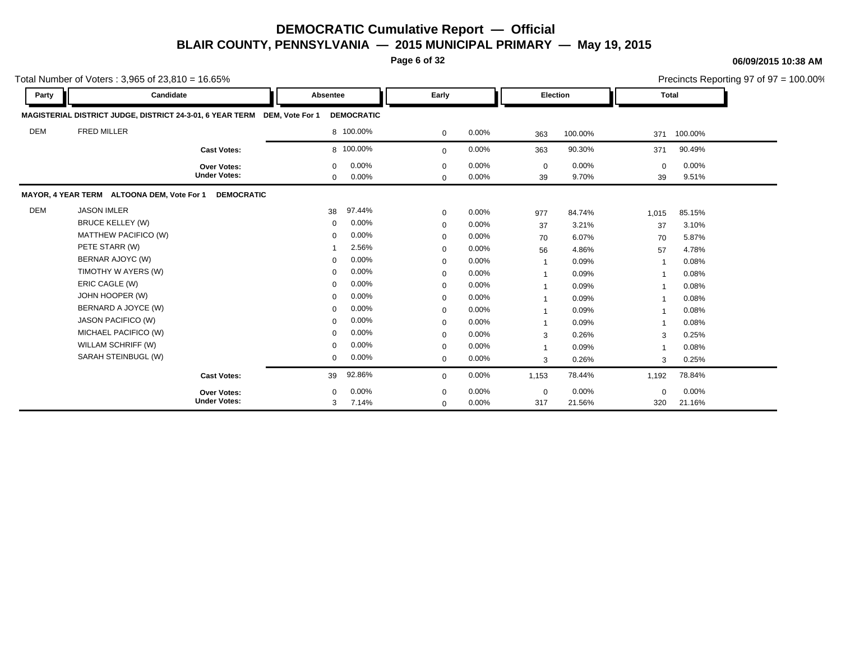**Page 6 of 32**

#### **06/09/2015 10:38 AM**

|            | Total Number of Voters: $3,965$ of $23,810 = 16.65\%$     |                                           |                         |                   |                            |                |                         |                |                   |                   | Precincts Reporting 97 of 97 = 100.00% |
|------------|-----------------------------------------------------------|-------------------------------------------|-------------------------|-------------------|----------------------------|----------------|-------------------------|----------------|-------------------|-------------------|----------------------------------------|
| Party      | Candidate                                                 |                                           | Absentee                |                   | Early                      |                |                         | Election       |                   | <b>Total</b>      |                                        |
|            | MAGISTERIAL DISTRICT JUDGE, DISTRICT 24-3-01, 6 YEAR TERM |                                           | DEM. Vote For 1         | <b>DEMOCRATIC</b> |                            |                |                         |                |                   |                   |                                        |
| <b>DEM</b> | <b>FRED MILLER</b>                                        |                                           |                         | 8 100.00%         | $\mathbf 0$                | 0.00%          | 363                     | 100.00%        | 371               | 100.00%           |                                        |
|            |                                                           | <b>Cast Votes:</b>                        |                         | 8 100.00%         | $\mathbf{0}$               | 0.00%          | 363                     | 90.30%         | 371               | 90.49%            |                                        |
|            |                                                           | <b>Over Votes:</b><br><b>Under Votes:</b> | $\Omega$<br>$\mathbf 0$ | 0.00%<br>0.00%    | $\mathbf 0$<br>$\mathbf 0$ | 0.00%<br>0.00% | $\mathbf 0$<br>39       | 0.00%<br>9.70% | $\mathbf 0$<br>39 | $0.00\%$<br>9.51% |                                        |
|            | MAYOR, 4 YEAR TERM ALTOONA DEM, Vote For 1                | <b>DEMOCRATIC</b>                         |                         |                   |                            |                |                         |                |                   |                   |                                        |
| <b>DEM</b> | <b>JASON IMLER</b>                                        |                                           | 38                      | 97.44%            | $\mathbf 0$                | 0.00%          | 977                     | 84.74%         | 1,015             | 85.15%            |                                        |
|            | <b>BRUCE KELLEY (W)</b>                                   |                                           | $\mathbf 0$             | 0.00%             | $\mathbf 0$                | 0.00%          | 37                      | 3.21%          | 37                | 3.10%             |                                        |
|            | MATTHEW PACIFICO (W)                                      |                                           | $\Omega$                | 0.00%             | $\mathbf 0$                | 0.00%          | 70                      | 6.07%          | 70                | 5.87%             |                                        |
|            | PETE STARR (W)                                            |                                           |                         | 2.56%             | $\mathbf 0$                | 0.00%          | 56                      | 4.86%          | 57                | 4.78%             |                                        |
|            | BERNAR AJOYC (W)                                          |                                           | $\Omega$                | 0.00%             | $\mathbf 0$                | 0.00%          | $\overline{1}$          | 0.09%          |                   | 0.08%             |                                        |
|            | TIMOTHY W AYERS (W)                                       |                                           | $\Omega$                | 0.00%             | 0                          | 0.00%          | $\overline{\mathbf{1}}$ | 0.09%          |                   | 0.08%             |                                        |
|            | ERIC CAGLE (W)                                            |                                           | $\mathbf 0$             | 0.00%             | $\mathbf 0$                | 0.00%          |                         | 0.09%          |                   | 0.08%             |                                        |
|            | JOHN HOOPER (W)                                           |                                           | $\mathbf 0$             | 0.00%             | $\mathbf 0$                | 0.00%          |                         | 0.09%          |                   | 0.08%             |                                        |
|            | BERNARD A JOYCE (W)                                       |                                           | $\Omega$                | 0.00%             | $\mathbf 0$                | 0.00%          |                         | 0.09%          |                   | 0.08%             |                                        |
|            | <b>JASON PACIFICO (W)</b>                                 |                                           | $\mathbf 0$             | 0.00%             | 0                          | 0.00%          |                         | 0.09%          |                   | 0.08%             |                                        |
|            | MICHAEL PACIFICO (W)                                      |                                           | $\Omega$                | 0.00%             | $\mathbf 0$                | 0.00%          | 3                       | 0.26%          | 3                 | 0.25%             |                                        |
|            | WILLAM SCHRIFF (W)                                        |                                           | $\Omega$                | 0.00%             | $\mathbf 0$                | 0.00%          | $\overline{1}$          | 0.09%          |                   | 0.08%             |                                        |
|            | SARAH STEINBUGL (W)                                       |                                           | $\mathbf 0$             | 0.00%             | $\Omega$                   | 0.00%          | 3                       | 0.26%          | 3                 | 0.25%             |                                        |
|            |                                                           | <b>Cast Votes:</b>                        | 39                      | 92.86%            | $\mathbf 0$                | 0.00%          | 1,153                   | 78.44%         | 1,192             | 78.84%            |                                        |
|            |                                                           | <b>Over Votes:</b>                        | $\Omega$                | 0.00%             | $\Omega$                   | 0.00%          | $\mathbf 0$             | 0.00%          | $\Omega$          | $0.00\%$          |                                        |
|            |                                                           | <b>Under Votes:</b>                       | 3                       | 7.14%             | $\Omega$                   | 0.00%          | 317                     | 21.56%         | 320               | 21.16%            |                                        |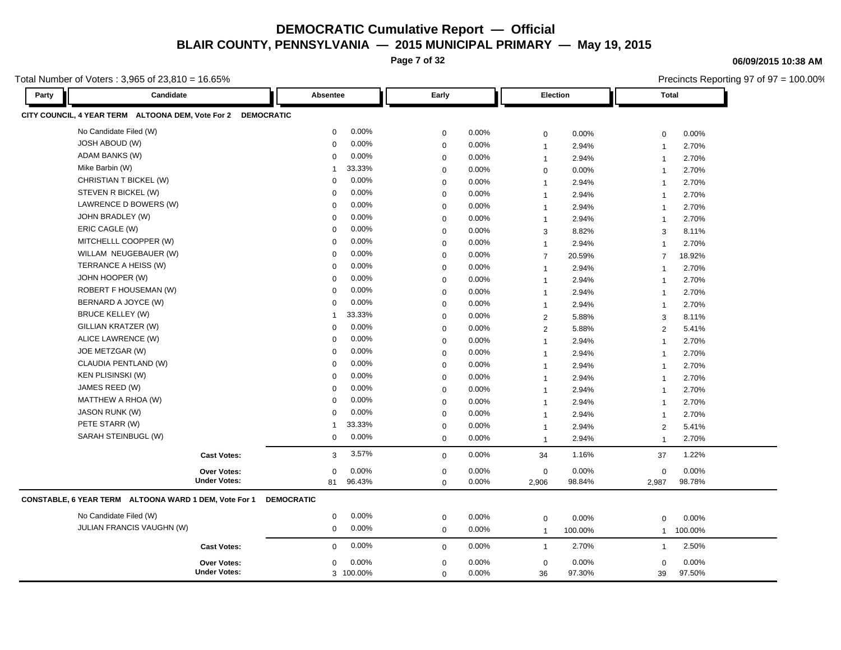**Page 7 of 32**

**06/09/2015 10:38 AM**

Precincts Reporting 97 of 97 = 100.00%

| Party | Candidate                                             | <b>Absentee</b>      | Early       |       | Election       |         | <b>Total</b>            |         |
|-------|-------------------------------------------------------|----------------------|-------------|-------|----------------|---------|-------------------------|---------|
|       | CITY COUNCIL, 4 YEAR TERM ALTOONA DEM, Vote For 2     | <b>DEMOCRATIC</b>    |             |       |                |         |                         |         |
|       | No Candidate Filed (W)                                | 0.00%<br>0           | 0           | 0.00% | $\mathbf 0$    | 0.00%   | 0                       | 0.00%   |
|       | <b>JOSH ABOUD (W)</b>                                 | 0.00%<br>0           | $\mathbf 0$ | 0.00% | $\overline{1}$ | 2.94%   | $\overline{1}$          | 2.70%   |
|       | ADAM BANKS (W)                                        | 0.00%<br>$\mathbf 0$ | $\mathbf 0$ | 0.00% | $\overline{1}$ | 2.94%   | $\mathbf{1}$            | 2.70%   |
|       | Mike Barbin (W)                                       | 33.33%<br>1          | 0           | 0.00% | $\mathbf 0$    | 0.00%   | $\overline{1}$          | 2.70%   |
|       | CHRISTIAN T BICKEL (W)                                | 0.00%<br>$\Omega$    | $\mathbf 0$ | 0.00% | $\overline{1}$ | 2.94%   | $\overline{1}$          | 2.70%   |
|       | STEVEN R BICKEL (W)                                   | 0.00%<br>$\Omega$    | $\mathbf 0$ | 0.00% | $\overline{1}$ | 2.94%   | $\overline{1}$          | 2.70%   |
|       | LAWRENCE D BOWERS (W)                                 | 0.00%<br>0           | 0           | 0.00% | $\mathbf{1}$   | 2.94%   | $\overline{1}$          | 2.70%   |
|       | JOHN BRADLEY (W)                                      | 0.00%<br>0           | $\mathbf 0$ | 0.00% | $\overline{1}$ | 2.94%   | $\overline{1}$          | 2.70%   |
|       | ERIC CAGLE (W)                                        | 0.00%<br>0           | $\mathbf 0$ | 0.00% | 3              | 8.82%   | 3                       | 8.11%   |
|       | MITCHELLL COOPPER (W)                                 | 0.00%<br>$\Omega$    | $\mathbf 0$ | 0.00% | $\mathbf 1$    | 2.94%   | $\overline{1}$          | 2.70%   |
|       | WILLAM NEUGEBAUER (W)                                 | 0.00%<br>$\Omega$    | $\mathbf 0$ | 0.00% | $\overline{7}$ | 20.59%  | $\overline{7}$          | 18.92%  |
|       | TERRANCE A HEISS (W)                                  | 0.00%<br>$\Omega$    | $\mathbf 0$ | 0.00% | $\overline{1}$ | 2.94%   | $\overline{1}$          | 2.70%   |
|       | JOHN HOOPER (W)                                       | 0.00%<br>$\Omega$    | $\mathbf 0$ | 0.00% | $\overline{1}$ | 2.94%   | $\overline{1}$          | 2.70%   |
|       | ROBERT F HOUSEMAN (W)                                 | 0.00%<br>0           | $\mathbf 0$ | 0.00% | $\overline{1}$ | 2.94%   | $\overline{1}$          | 2.70%   |
|       | BERNARD A JOYCE (W)                                   | 0.00%<br>$\Omega$    | $\mathbf 0$ | 0.00% | $\overline{1}$ | 2.94%   | $\overline{1}$          | 2.70%   |
|       | <b>BRUCE KELLEY (W)</b>                               | 33.33%<br>1          | $\mathbf 0$ | 0.00% | $\overline{2}$ | 5.88%   | 3                       | 8.11%   |
|       | GILLIAN KRATZER (W)                                   | 0.00%<br>0           | 0           | 0.00% | 2              | 5.88%   | $\mathbf{2}$            | 5.41%   |
|       | ALICE LAWRENCE (W)                                    | 0.00%<br>0           | $\mathbf 0$ | 0.00% | $\overline{1}$ | 2.94%   | $\overline{1}$          | 2.70%   |
|       | JOE METZGAR (W)                                       | 0.00%<br>$\Omega$    | $\mathbf 0$ | 0.00% | $\overline{1}$ | 2.94%   | $\overline{1}$          | 2.70%   |
|       | CLAUDIA PENTLAND (W)                                  | 0.00%<br>$\Omega$    | 0           | 0.00% | $\overline{1}$ | 2.94%   | $\overline{1}$          | 2.70%   |
|       | <b>KEN PLISINSKI (W)</b>                              | 0.00%<br>0           | $\mathbf 0$ | 0.00% | $\overline{1}$ | 2.94%   | $\overline{1}$          | 2.70%   |
|       | JAMES REED (W)                                        | 0.00%<br>$\Omega$    | $\mathbf 0$ | 0.00% | $\overline{1}$ | 2.94%   | $\mathbf{1}$            | 2.70%   |
|       | MATTHEW A RHOA (W)                                    | 0.00%<br>$\Omega$    | $\mathbf 0$ | 0.00% | $\mathbf 1$    | 2.94%   | $\overline{1}$          | 2.70%   |
|       | <b>JASON RUNK (W)</b>                                 | 0.00%<br>$\Omega$    | $\mathbf 0$ | 0.00% | $\overline{1}$ | 2.94%   | $\overline{1}$          | 2.70%   |
|       | PETE STARR (W)                                        | 33.33%               | 0           | 0.00% | $\overline{1}$ | 2.94%   | $\mathbf{2}$            | 5.41%   |
|       | SARAH STEINBUGL (W)                                   | 0.00%<br>$\mathbf 0$ | $\mathbf 0$ | 0.00% | $\overline{1}$ | 2.94%   | $\overline{\mathbf{1}}$ | 2.70%   |
|       | <b>Cast Votes:</b>                                    | 3.57%<br>3           | $\mathbf 0$ | 0.00% | 34             | 1.16%   | 37                      | 1.22%   |
|       | <b>Over Votes:</b>                                    | 0.00%<br>0           | $\mathbf 0$ | 0.00% | $\mathbf 0$    | 0.00%   | $\mathbf 0$             | 0.00%   |
|       | <b>Under Votes:</b>                                   | 96.43%<br>81         | $\mathbf 0$ | 0.00% | 2,906          | 98.84%  | 2,987                   | 98.78%  |
|       | CONSTABLE, 6 YEAR TERM ALTOONA WARD 1 DEM, Vote For 1 | <b>DEMOCRATIC</b>    |             |       |                |         |                         |         |
|       | No Candidate Filed (W)                                | 0.00%<br>0           | 0           | 0.00% | $\mathbf 0$    | 0.00%   | $\mathbf 0$             | 0.00%   |
|       | JULIAN FRANCIS VAUGHN (W)                             | 0.00%<br>0           | $\mathbf 0$ | 0.00% | $\mathbf{1}$   | 100.00% | $\mathbf{1}$            | 100.00% |
|       | <b>Cast Votes:</b>                                    | 0.00%<br>0           | $\mathbf 0$ | 0.00% | $\mathbf{1}$   | 2.70%   | $\mathbf{1}$            | 2.50%   |
|       | <b>Over Votes:</b>                                    | 0.00%<br>0           | $\mathbf 0$ | 0.00% | $\mathbf 0$    | 0.00%   | 0                       | 0.00%   |
|       | <b>Under Votes:</b>                                   | 3 100.00%            | $\mathbf 0$ | 0.00% | 36             | 97.30%  | 39                      | 97.50%  |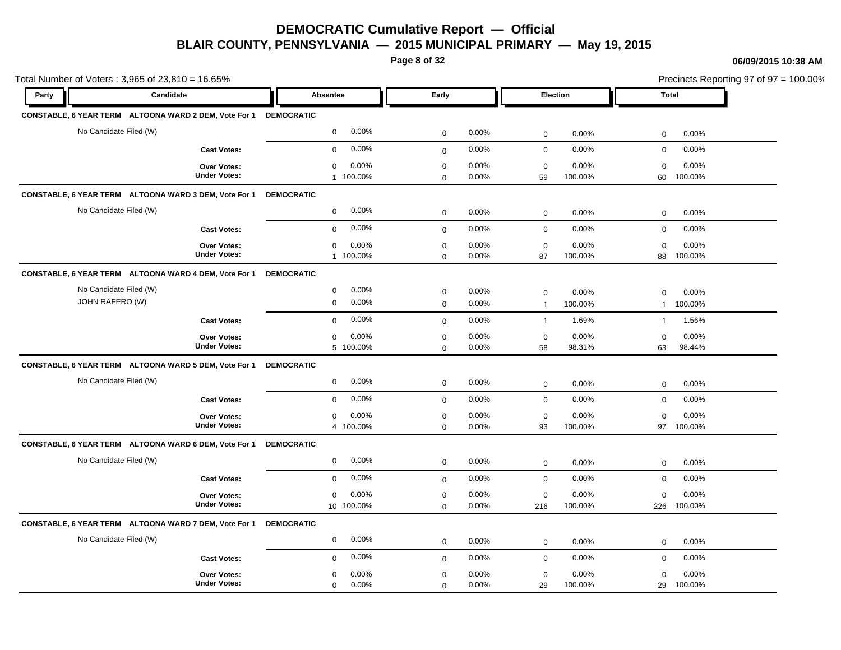**Page 8 of 32**

#### **06/09/2015 10:38 AM**

Total Number of Voters : 3,965 of 23,810 = 16.65% Precincts Reporting 97 of 97 = 100.00% **Party Candidate Absentee Early Election Total CONSTABLE, 6 YEAR TERM ALTOONA WARD 2 DEM, Vote For 1 DEMOCRATIC** No Candidate Filed (W) 0 0.00% 0 0.00% 0 0.00% 0 0.00% **Cast Votes:** 0 0.00% 0 0.00% 0 0.00% 0 0.00% 60 100.00% 100.00% 0 0.00% 59 0.00% 0 0.00% **Under Votes: Over Votes:** 1 100.00% 0 0.00%  $0.00\%$  0.00% 0.00% 0.00% 0.00% 0.00% 0 0.00% 0 0.00%  $0.00\%$ **CONSTABLE, 6 YEAR TERM ALTOONA WARD 3 DEM, Vote For 1 DEMOCRATIC** No Candidate Filed (W) 0 0.00% 0 0.00% 0 0.00% 0 0.00% **Cast Votes:** 0 0.00% 0 0.00% 0 0.00% 0 0.00% 88 100.00% 100.00% 0 0.00% 87 0.00% 0 0.00% **Under Votes: Over Votes:** 1 100.00% 0 0.00%  $0.00\%$  0.00% 0.00% 0.00% 0.00% 0.00%  $0$  0.00% 0 0.00%  $0.00\%$ **CONSTABLE, 6 YEAR TERM ALTOONA WARD 4 DEM, Vote For 1 DEMOCRATIC** No Candidate Filed (W) 0 0.00% 0 0.00% 0 0.00% 0 0.00% JOHN RAFERO (W) 0 0.00% 0 0.00% 1 100.00% 1 100.00% **Cast Votes:** 0 0.00% 0 0.00% 1 1.69% 1 1.56% 63 98.44% 98.31% 0 0.00% 58 0.00% 0 0.00% **Under Votes: Over Votes:** 100.00% 5  $0.00\%$  0.00% 0.00% 0.00% 0.00% 0.00%  $0$  0.00% 0 0.00% 0 0.00% **CONSTABLE, 6 YEAR TERM ALTOONA WARD 5 DEM, Vote For 1 DEMOCRATIC** No Candidate Filed (W) 0 0.00% 0 0.00% 0 0.00% 0 0.00% **Cast Votes:** 0 0.00% 0 0.00% 0 0.00% 0 0.00% 97 100.00% 100.00% 0 0.00% 93 0.00% 0 0.00% **Under Votes: Over Votes:** 100.00% 4  $0.00\%$  0.00% 0.00% 0.00% 0.00% 0.00%  $0.00\%$  $0.00\%$ 0 0.00% **CONSTABLE, 6 YEAR TERM ALTOONA WARD 6 DEM, Vote For 1 DEMOCRATIC** No Candidate Filed (W) 0 0.00% 0 0.00% 0 0.00% 0 0.00% **Cast Votes:** 0 0.00% 0 0.00% 0 0.00% 0 0.00% 226 100.00% 100.00% 0 0.00% 216 0.00% 0 0.00% **Under Votes: Over Votes:** 10 100.00% 0 0.00%  $0.00\%$  0.00% 0.00% 0.00% 0.00% 0.00%  $0$  0.00% 0 0.00%  $0.00\%$ 

#### **CONSTABLE, 6 YEAR TERM ALTOONA WARD 7 DEM, Vote For 1 DEMOCRATIC**

| No Candidate Filed (W)                    | 0.00%          | 0.00%          |    | 0.00%            | 0.00%                       |
|-------------------------------------------|----------------|----------------|----|------------------|-----------------------------|
| <b>Cast Votes:</b>                        | $0.00\%$       | 0.00%          |    | 0.00%            | 0.00%                       |
| <b>Over Votes:</b><br><b>Under Votes:</b> | 0.00%<br>0.00% | 0.00%<br>0.00% | 29 | 0.00%<br>100.00% | 0.00%<br>n<br>100.00%<br>29 |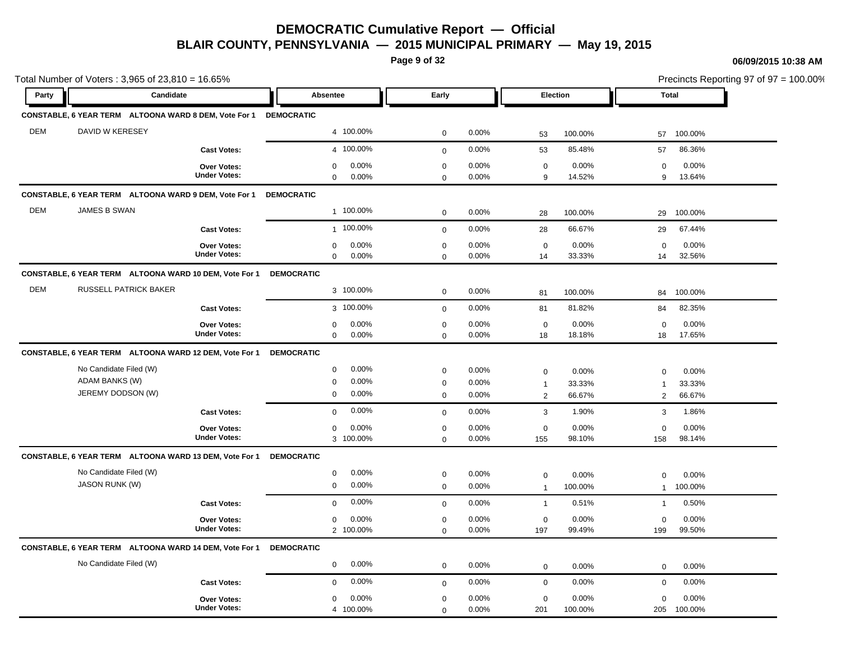**Page 9 of 32**

#### **06/09/2015 10:38 AM**

Total Number of Voters : 3,965 of 23,810 = 16.65% Precincts Reporting 97 of 97 = 100.00% **Party Candidate Absentee Early Election Total CONSTABLE, 6 YEAR TERM ALTOONA WARD 8 DEM, Vote For 1 DEMOCRATIC** DEM DAVID W KERESEY 4 100.00% 0 0.00% 53 100.00% 57 100.00% **Cast Votes:** 4 100.00% 0 0.00% 53 85.48% 57 86.36% 9 13.64% 14.52% 0 0.00% 9 0.00% 0 0.00% **Under Votes: Over Votes:** 0.00% 0  $0.00\%$  0.00% 0.00% 0.00% 0.00% 0.00% 0 0.00%  $0\qquad 0.00\%$ 0 0.00% **CONSTABLE, 6 YEAR TERM ALTOONA WARD 9 DEM, Vote For 1 DEMOCRATIC** DEM JAMES B SWAN 1 100.00% 0 0.00% 28 100.00% 29 100.00% **Cast Votes:** 1 100.00% 0 0.00% 28 66.67% 29 67.44% 14 32.56% 33.33% 0 0.00% 14 0.00% 0 0.00% **Under Votes: Over Votes:** 0.00% 0  $0.00\%$  0.00% 0.00% 0.00% 0.00% 0.00%  $0$  0.00% 0 0.00% 0 0.00% **CONSTABLE, 6 YEAR TERM ALTOONA WARD 10 DEM, Vote For 1 DEMOCRATIC** DEM RUSSELL PATRICK BAKER 3 100.00% 0 0.00% 81 100.00% 84 100.00% **Cast Votes:** 3 100.00% 0 0.00% 81 81.82% 84 82.35% 18 17.65% 18.18% 0 0.00% 18 0.00% 0 0.00% **Under Votes: Over Votes:** 0.00% 0  $0.00\%$  0.00% 0.00% 0.00% 0.00% 0.00% 0 0.00% 0 0.00% 0 0.00% **CONSTABLE, 6 YEAR TERM ALTOONA WARD 12 DEM, Vote For 1 DEMOCRATIC** No Candidate Filed (W) 0 0.00% 0 0.00% 0 0.00% 0 0.00% ADAM BANKS (W) 0 0.00% 0 0.00% 1 33.33% 1 33.33% JEREMY DODSON (W) 0 0.00% 0 0.00% 2 66.67% 2 66.67% **Cast Votes:** 0 0.00% 0 0.00% 3 1.90% 3 1.86% 158 98.14% 98.10% 0 0.00% 155 0.00% 0 0.00% **Under Votes: Over Votes:** 3 100.00% 0 0.00%  $0.00\%$  0.00% 0.00% 0.00% 0.00% 0.00% 0 0.00% 0 0.00%  $0\qquad 0.00\%$ **CONSTABLE, 6 YEAR TERM ALTOONA WARD 13 DEM, Vote For 1 DEMOCRATIC** No Candidate Filed (W) 0 0.00% 0 0.00% 0 0.00% 0 0.00% JASON RUNK (W) 0 0.00% 0 0.00% 1 100.00% 1 100.00% **Cast Votes:** 0 0.00% 0 0.00% 1 0.51% 1 0.50% 199 99.50% 99.49% 0 0.00% 197 0.00% 0 0.00% **Under Votes: Over Votes:** 100.00% 2  $0.00\%$  0.00% 0.00% 0.00% 0.00% 0.00% 0.00% 0.00% 0.00% 0.00% 0.00% 0.00% 0.00% 0.00% 0.00% 0.00% 0.00% 0.00% 0.00% 0.00% 0.00% 0.00% 0.00% 0.00% 0.00% 0.00% 0.00% 0.00% 0.00% 0.00% 0.00% 0.00% 0.00% 0.00% 0.00% 0.00% 0.  $0.00\%$  $0.00\%$ 0 0.00% **CONSTABLE, 6 YEAR TERM ALTOONA WARD 14 DEM, Vote For 1 DEMOCRATIC** No Candidate Filed (W) 0 0.00% 0 0.00% 0 0.00% 0 0.00% **Cast Votes:** 0 0.00% 0 0.00% 0 0.00% 0 0.00% 205 100.00% 100.00% 0 0.00% 201 0.00% 0 0.00% **Under Votes: Over Votes:** 100.00% 4  $0.00\%$  0.00% 0.00% 0.00% 0.00% 0.00%  $0$  0.00% 0 0.00%  $\Omega$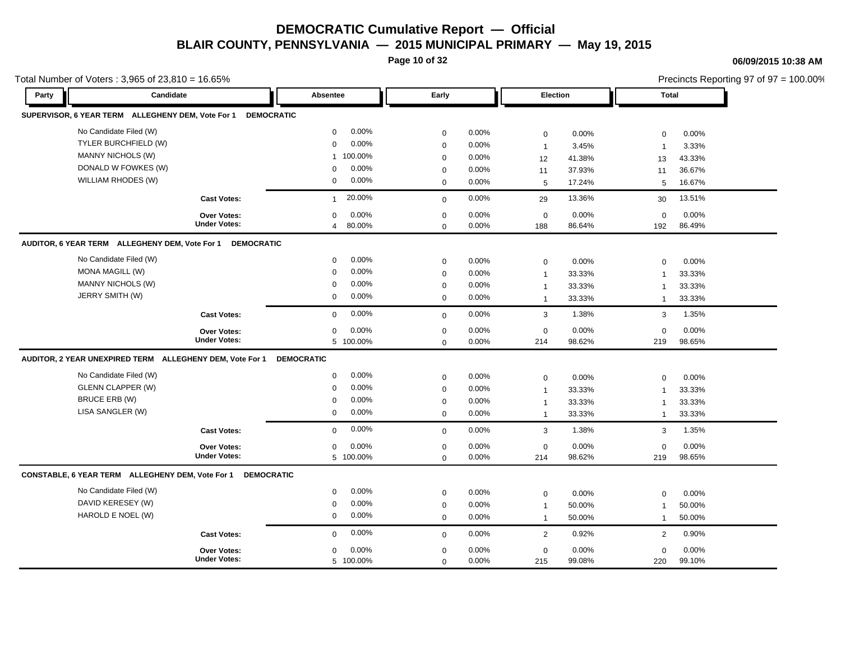**Page 10 of 32**

#### **06/09/2015 10:38 AM**

|       | Total Number of Voters: 3,965 of 23,810 = 16.65%            |                        |             |       |                 |        | Precincts Reporting 97 of 97 = 100.00% |        |  |
|-------|-------------------------------------------------------------|------------------------|-------------|-------|-----------------|--------|----------------------------------------|--------|--|
| Party | Candidate                                                   | Absentee               | Early       |       | <b>Election</b> |        | <b>Total</b>                           |        |  |
|       | SUPERVISOR, 6 YEAR TERM ALLEGHENY DEM, Vote For 1           | <b>DEMOCRATIC</b>      |             |       |                 |        |                                        |        |  |
|       | No Candidate Filed (W)                                      | 0.00%<br>$\mathbf 0$   | $\mathbf 0$ | 0.00% | $\mathsf 0$     | 0.00%  | $\mathbf 0$                            | 0.00%  |  |
|       | TYLER BURCHFIELD (W)                                        | 0.00%<br>$\mathbf 0$   | $\mathbf 0$ | 0.00% | $\mathbf{1}$    | 3.45%  | $\overline{1}$                         | 3.33%  |  |
|       | MANNY NICHOLS (W)                                           | 1 100.00%              | $\Omega$    | 0.00% | 12              | 41.38% | 13                                     | 43.33% |  |
|       | DONALD W FOWKES (W)                                         | 0.00%<br>$\Omega$      | $\mathbf 0$ | 0.00% | 11              | 37.93% | 11                                     | 36.67% |  |
|       | WILLIAM RHODES (W)                                          | 0.00%<br>$\mathbf 0$   | $\mathbf 0$ | 0.00% | $\sqrt{5}$      | 17.24% | 5                                      | 16.67% |  |
|       | <b>Cast Votes:</b>                                          | 20.00%<br>$\mathbf{1}$ | $\Omega$    | 0.00% | 29              | 13.36% | 30                                     | 13.51% |  |
|       | Over Votes:                                                 | 0.00%<br>$\mathbf 0$   | $\mathbf 0$ | 0.00% | $\mathbf 0$     | 0.00%  | $\mathbf 0$                            | 0.00%  |  |
|       | <b>Under Votes:</b>                                         | 80.00%<br>4            | $\Omega$    | 0.00% | 188             | 86.64% | 192                                    | 86.49% |  |
|       | AUDITOR, 6 YEAR TERM ALLEGHENY DEM, Vote For 1              | <b>DEMOCRATIC</b>      |             |       |                 |        |                                        |        |  |
|       | No Candidate Filed (W)                                      | 0.00%<br>0             | $\mathbf 0$ | 0.00% | $\mathbf 0$     | 0.00%  | $\mathbf 0$                            | 0.00%  |  |
|       | <b>MONA MAGILL (W)</b>                                      | 0.00%<br>$\mathbf 0$   | 0           | 0.00% | $\overline{1}$  | 33.33% | $\mathbf{1}$                           | 33.33% |  |
|       | <b>MANNY NICHOLS (W)</b>                                    | 0.00%<br>$\mathbf 0$   | $\mathbf 0$ | 0.00% | $\mathbf{1}$    | 33.33% | $\overline{1}$                         | 33.33% |  |
|       | JERRY SMITH (W)                                             | 0.00%<br>$\mathbf 0$   | $\mathbf 0$ | 0.00% | $\mathbf{1}$    | 33.33% | $\overline{1}$                         | 33.33% |  |
|       | <b>Cast Votes:</b>                                          | 0.00%<br>$\mathbf 0$   | $\mathbf 0$ | 0.00% | 3               | 1.38%  | 3                                      | 1.35%  |  |
|       | <b>Over Votes:</b>                                          | 0.00%<br>$\mathbf 0$   | $\mathbf 0$ | 0.00% | $\mathbf 0$     | 0.00%  | $\Omega$                               | 0.00%  |  |
|       | <b>Under Votes:</b>                                         | 5 100.00%              | $\mathbf 0$ | 0.00% | 214             | 98.62% | 219                                    | 98.65% |  |
|       | AUDITOR, 2 YEAR UNEXPIRED TERM ALLEGHENY DEM, Vote For 1    | <b>DEMOCRATIC</b>      |             |       |                 |        |                                        |        |  |
|       | No Candidate Filed (W)                                      | 0.00%<br>$\mathbf 0$   | $\mathbf 0$ | 0.00% | $\mathbf 0$     | 0.00%  | $\mathbf 0$                            | 0.00%  |  |
|       | <b>GLENN CLAPPER (W)</b>                                    | 0.00%<br>$\mathbf 0$   | $\mathbf 0$ | 0.00% | $\mathbf{1}$    | 33.33% | $\overline{1}$                         | 33.33% |  |
|       | BRUCE ERB (W)                                               | 0.00%<br>$\Omega$      | $\mathbf 0$ | 0.00% | $\mathbf{1}$    | 33.33% | $\overline{1}$                         | 33.33% |  |
|       | LISA SANGLER (W)                                            | 0.00%<br>0             | $\mathbf 0$ | 0.00% | $\mathbf{1}$    | 33.33% | $\overline{1}$                         | 33.33% |  |
|       | <b>Cast Votes:</b>                                          | 0.00%<br>$\mathbf 0$   | $\mathbf 0$ | 0.00% | $\mathbf{3}$    | 1.38%  | 3                                      | 1.35%  |  |
|       | Over Votes:                                                 | 0.00%<br>0             | $\mathbf 0$ | 0.00% | $\pmb{0}$       | 0.00%  | $\mathbf 0$                            | 0.00%  |  |
|       | <b>Under Votes:</b>                                         | 5 100.00%              | $\mathbf 0$ | 0.00% | 214             | 98.62% | 219                                    | 98.65% |  |
|       | CONSTABLE, 6 YEAR TERM ALLEGHENY DEM, Vote For 1 DEMOCRATIC |                        |             |       |                 |        |                                        |        |  |
|       | No Candidate Filed (W)                                      | 0.00%<br>$\mathbf 0$   | $\mathbf 0$ | 0.00% | $\pmb{0}$       | 0.00%  | $\mathbf 0$                            | 0.00%  |  |
|       | DAVID KERESEY (W)                                           | 0.00%<br>0             | $\mathbf 0$ | 0.00% | $\mathbf{1}$    | 50.00% | $\overline{1}$                         | 50.00% |  |
|       | HAROLD E NOEL (W)                                           | 0.00%<br>$\mathbf 0$   | $\mathbf 0$ | 0.00% | $\mathbf{1}$    | 50.00% | $\mathbf{1}$                           | 50.00% |  |
|       | <b>Cast Votes:</b>                                          | 0.00%<br>$\mathbf 0$   | $\mathbf 0$ | 0.00% | 2               | 0.92%  | 2                                      | 0.90%  |  |
|       | <b>Over Votes:</b>                                          | 0.00%<br>0             | $\mathbf 0$ | 0.00% | $\pmb{0}$       | 0.00%  | $\mathbf 0$                            | 0.00%  |  |
|       | <b>Under Votes:</b>                                         | 5 100.00%              | $\mathbf 0$ | 0.00% | 215             | 99.08% | 220                                    | 99.10% |  |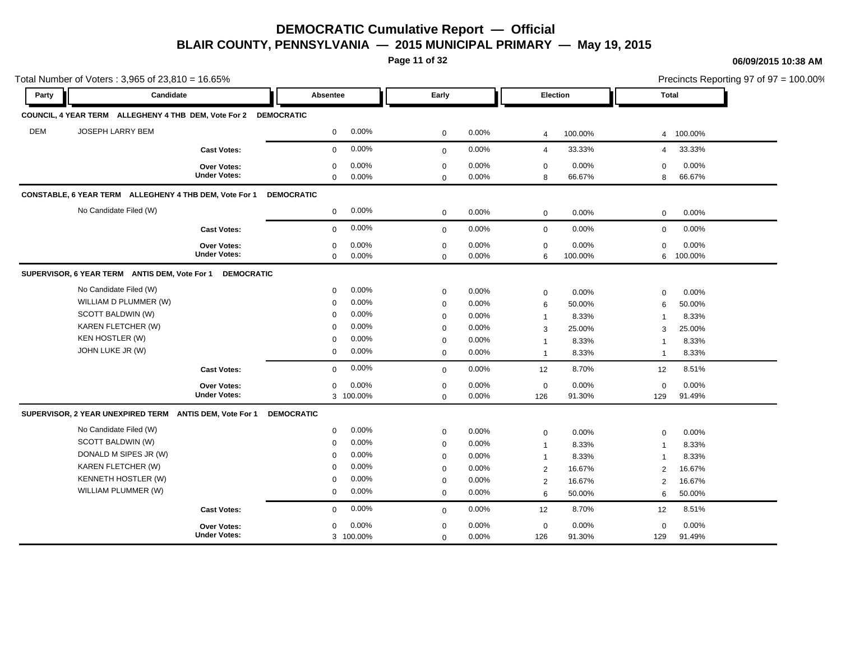**Page 11 of 32**

#### **06/09/2015 10:38 AM**

|            | Total Number of Voters: 3,965 of 23,810 = 16.65%                |                                           |                            |                |                            |                | Precincts Reporting 97 of 97 = 100.00% |                  |                         |                  |
|------------|-----------------------------------------------------------------|-------------------------------------------|----------------------------|----------------|----------------------------|----------------|----------------------------------------|------------------|-------------------------|------------------|
| Party      | Candidate                                                       |                                           | Absentee                   |                | Early                      |                | Election                               |                  | <b>Total</b>            |                  |
|            | COUNCIL, 4 YEAR TERM ALLEGHENY 4 THB DEM, Vote For 2 DEMOCRATIC |                                           |                            |                |                            |                |                                        |                  |                         |                  |
| <b>DEM</b> | <b>JOSEPH LARRY BEM</b>                                         |                                           | $\mathbf 0$                | 0.00%          | $\mathbf 0$                | 0.00%          | $\overline{4}$                         | 100.00%          | $\overline{4}$          | 100.00%          |
|            |                                                                 | <b>Cast Votes:</b>                        | $\mathbf 0$                | 0.00%          | $\mathbf 0$                | 0.00%          | $\overline{4}$                         | 33.33%           | 4                       | 33.33%           |
|            |                                                                 | Over Votes:<br><b>Under Votes:</b>        | $\mathbf 0$<br>$\mathbf 0$ | 0.00%<br>0.00% | $\mathbf 0$<br>$\mathbf 0$ | 0.00%<br>0.00% | $\mathbf 0$<br>8                       | 0.00%<br>66.67%  | 0<br>8                  | 0.00%<br>66.67%  |
|            | CONSTABLE, 6 YEAR TERM ALLEGHENY 4 THB DEM, Vote For 1          |                                           | <b>DEMOCRATIC</b>          |                |                            |                |                                        |                  |                         |                  |
|            | No Candidate Filed (W)                                          |                                           | $\mathbf 0$                | 0.00%          | $\mathbf 0$                | 0.00%          | $\mathbf 0$                            | 0.00%            | $\mathbf 0$             | $0.00\%$         |
|            |                                                                 | <b>Cast Votes:</b>                        | $\mathbf{0}$               | 0.00%          | $\mathbf 0$                | 0.00%          | $\mathbf 0$                            | 0.00%            | $\mathbf 0$             | 0.00%            |
|            |                                                                 | <b>Over Votes:</b><br><b>Under Votes:</b> | 0<br>$\mathbf 0$           | 0.00%<br>0.00% | $\mathbf 0$<br>$\Omega$    | 0.00%<br>0.00% | $\mathbf 0$<br>6                       | 0.00%<br>100.00% | $\mathbf 0$<br>6        | 0.00%<br>100.00% |
|            | SUPERVISOR, 6 YEAR TERM ANTIS DEM, Vote For 1 DEMOCRATIC        |                                           |                            |                |                            |                |                                        |                  |                         |                  |
|            | No Candidate Filed (W)                                          |                                           | $\mathbf 0$                | 0.00%          | $\mathbf 0$                | 0.00%          | $\mathbf 0$                            | 0.00%            | $\mathbf 0$             | 0.00%            |
|            | WILLIAM D PLUMMER (W)                                           |                                           | $\mathbf 0$                | 0.00%          | $\mathbf 0$                | 0.00%          | 6                                      | 50.00%           | 6                       | 50.00%           |
|            | SCOTT BALDWIN (W)                                               |                                           | $\Omega$                   | 0.00%          | $\mathbf 0$                | 0.00%          | $\overline{1}$                         | 8.33%            | $\overline{1}$          | 8.33%            |
|            | KAREN FLETCHER (W)                                              |                                           | $\Omega$                   | 0.00%          | $\mathbf 0$                | 0.00%          | 3                                      | 25.00%           | 3                       | 25.00%           |
|            | <b>KEN HOSTLER (W)</b>                                          |                                           | $\mathbf 0$                | 0.00%          | $\mathbf 0$                | 0.00%          | $\overline{1}$                         | 8.33%            | $\overline{\mathbf{1}}$ | 8.33%            |
|            | JOHN LUKE JR (W)                                                |                                           | $\mathbf 0$                | 0.00%          | $\mathbf 0$                | 0.00%          | $\overline{1}$                         | 8.33%            | $\overline{1}$          | 8.33%            |
|            |                                                                 | <b>Cast Votes:</b>                        | $\mathbf{0}$               | 0.00%          | $\mathbf 0$                | 0.00%          | 12                                     | 8.70%            | 12                      | 8.51%            |
|            |                                                                 | <b>Over Votes:</b>                        | $\mathbf 0$                | 0.00%          | $\mathbf 0$                | 0.00%          | $\mathbf 0$                            | 0.00%            | $\mathbf 0$             | 0.00%            |
|            |                                                                 | <b>Under Votes:</b>                       |                            | 3 100.00%      | $\mathbf{0}$               | 0.00%          | 126                                    | 91.30%           | 129                     | 91.49%           |
|            | SUPERVISOR, 2 YEAR UNEXPIRED TERM ANTIS DEM, Vote For 1         |                                           | <b>DEMOCRATIC</b>          |                |                            |                |                                        |                  |                         |                  |
|            | No Candidate Filed (W)                                          |                                           | $\mathbf 0$                | 0.00%          | $\mathbf 0$                | 0.00%          | $\mathbf 0$                            | 0.00%            | 0                       | 0.00%            |
|            | SCOTT BALDWIN (W)                                               |                                           | $\mathbf 0$                | 0.00%          | $\mathbf 0$                | 0.00%          | $\mathbf 1$                            | 8.33%            | $\overline{1}$          | 8.33%            |
|            | DONALD M SIPES JR (W)                                           |                                           | $\mathbf 0$                | 0.00%          | $\mathbf 0$                | 0.00%          | $\mathbf{1}$                           | 8.33%            | 1                       | 8.33%            |
|            | KAREN FLETCHER (W)                                              |                                           | $\mathbf 0$                | 0.00%          | $\mathbf 0$                | 0.00%          | $\overline{2}$                         | 16.67%           | $\overline{2}$          | 16.67%           |
|            | <b>KENNETH HOSTLER (W)</b>                                      |                                           | $\mathbf 0$                | 0.00%          | $\mathbf 0$                | 0.00%          | 2                                      | 16.67%           | $\overline{2}$          | 16.67%           |
|            | WILLIAM PLUMMER (W)                                             |                                           | $\mathbf 0$                | 0.00%          | $\mathbf 0$                | 0.00%          | 6                                      | 50.00%           | 6                       | 50.00%           |
|            |                                                                 | <b>Cast Votes:</b>                        | $\mathbf 0$                | 0.00%          | $\mathbf 0$                | 0.00%          | 12                                     | 8.70%            | 12                      | 8.51%            |
|            |                                                                 | Over Votes:                               | $\mathbf 0$                | 0.00%          | $\mathbf 0$                | 0.00%          | $\mathbf 0$                            | 0.00%            | 0                       | $0.00\%$         |
|            |                                                                 | <b>Under Votes:</b>                       |                            | 3 100.00%      | $\mathbf 0$                | 0.00%          | 126                                    | 91.30%           | 129                     | 91.49%           |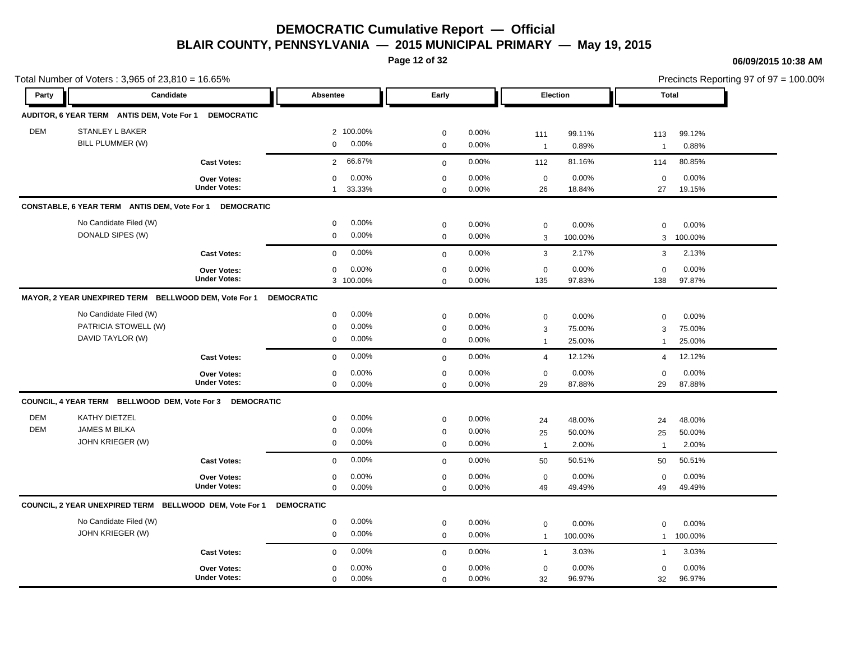**Page 12 of 32**

#### **06/09/2015 10:38 AM**

|            | Total Number of Voters: 3,965 of 23,810 = 16.65%         |                     |                          |              |       |                |         | Precincts Reporting 97 of 97 = 100.00% |         |  |
|------------|----------------------------------------------------------|---------------------|--------------------------|--------------|-------|----------------|---------|----------------------------------------|---------|--|
| Party      | Candidate                                                |                     | Absentee                 | Early        |       | Election       |         | <b>Total</b>                           |         |  |
|            | AUDITOR, 6 YEAR TERM ANTIS DEM, Vote For 1               | <b>DEMOCRATIC</b>   |                          |              |       |                |         |                                        |         |  |
| <b>DEM</b> | <b>STANLEY L BAKER</b>                                   |                     | 2 100.00%                | $\mathbf 0$  | 0.00% | 111            | 99.11%  | 113                                    | 99.12%  |  |
|            | BILL PLUMMER (W)                                         |                     | 0.00%<br>$\mathbf 0$     | $\pmb{0}$    | 0.00% | $\overline{1}$ | 0.89%   | $\overline{1}$                         | 0.88%   |  |
|            |                                                          | <b>Cast Votes:</b>  | 66.67%<br>$\overline{2}$ | $\mathbf 0$  | 0.00% | 112            | 81.16%  | 114                                    | 80.85%  |  |
|            |                                                          | Over Votes:         | 0.00%<br>$\mathbf 0$     | $\mathbf 0$  | 0.00% | $\mathbf 0$    | 0.00%   | $\mathbf 0$                            | 0.00%   |  |
|            |                                                          | <b>Under Votes:</b> | 33.33%<br>$\mathbf{1}$   | $\mathbf 0$  | 0.00% | 26             | 18.84%  | 27                                     | 19.15%  |  |
|            | CONSTABLE, 6 YEAR TERM ANTIS DEM, Vote For 1             | <b>DEMOCRATIC</b>   |                          |              |       |                |         |                                        |         |  |
|            | No Candidate Filed (W)                                   |                     | 0.00%<br>0               | $\mathbf 0$  | 0.00% | $\mathbf 0$    | 0.00%   | $\mathbf 0$                            | 0.00%   |  |
|            | DONALD SIPES (W)                                         |                     | 0.00%<br>$\mathbf 0$     | $\mathbf 0$  | 0.00% | 3              | 100.00% | 3                                      | 100.00% |  |
|            |                                                          | <b>Cast Votes:</b>  | 0.00%<br>$\mathbf 0$     | $\mathbf 0$  | 0.00% | $\mathbf{3}$   | 2.17%   | 3                                      | 2.13%   |  |
|            |                                                          | Over Votes:         | 0.00%<br>$\mathbf 0$     | $\mathbf 0$  | 0.00% | $\mathbf 0$    | 0.00%   | $\mathbf 0$                            | 0.00%   |  |
|            |                                                          | <b>Under Votes:</b> | 3 100.00%                | $\mathbf 0$  | 0.00% | 135            | 97.83%  | 138                                    | 97.87%  |  |
|            | MAYOR, 2 YEAR UNEXPIRED TERM BELLWOOD DEM, Vote For 1    |                     | <b>DEMOCRATIC</b>        |              |       |                |         |                                        |         |  |
|            | No Candidate Filed (W)                                   |                     | 0.00%<br>$\mathbf 0$     | $\mathbf 0$  | 0.00% | $\mathsf 0$    | 0.00%   | $\mathbf 0$                            | 0.00%   |  |
|            | PATRICIA STOWELL (W)                                     |                     | 0.00%<br>$\mathbf 0$     | $\mathbf 0$  | 0.00% | 3              | 75.00%  | 3                                      | 75.00%  |  |
|            | DAVID TAYLOR (W)                                         |                     | 0.00%<br>$\mathbf 0$     | $\mathbf 0$  | 0.00% | $\overline{1}$ | 25.00%  | 1                                      | 25.00%  |  |
|            |                                                          | <b>Cast Votes:</b>  | 0.00%<br>$\mathbf 0$     | $\mathbf{0}$ | 0.00% | $\overline{4}$ | 12.12%  | $\overline{4}$                         | 12.12%  |  |
|            |                                                          | Over Votes:         | 0.00%<br>0               | $\mathbf 0$  | 0.00% | $\mathbf 0$    | 0.00%   | $\mathbf 0$                            | 0.00%   |  |
|            |                                                          | <b>Under Votes:</b> | 0.00%<br>$\mathbf 0$     | $\mathbf 0$  | 0.00% | 29             | 87.88%  | 29                                     | 87.88%  |  |
|            | COUNCIL, 4 YEAR TERM BELLWOOD DEM, Vote For 3 DEMOCRATIC |                     |                          |              |       |                |         |                                        |         |  |
| <b>DEM</b> | <b>KATHY DIETZEL</b>                                     |                     | 0.00%<br>$\mathbf 0$     | $\mathbf 0$  | 0.00% | 24             | 48.00%  | 24                                     | 48.00%  |  |
| <b>DEM</b> | <b>JAMES M BILKA</b>                                     |                     | 0.00%<br>$\mathbf 0$     | $\mathbf 0$  | 0.00% | 25             | 50.00%  | 25                                     | 50.00%  |  |
|            | JOHN KRIEGER (W)                                         |                     | 0.00%<br>$\mathbf 0$     | $\mathbf 0$  | 0.00% | $\overline{1}$ | 2.00%   | $\mathbf{1}$                           | 2.00%   |  |
|            |                                                          | <b>Cast Votes:</b>  | 0.00%<br>$\mathbf 0$     | $\mathbf{0}$ | 0.00% | 50             | 50.51%  | 50                                     | 50.51%  |  |
|            |                                                          | <b>Over Votes:</b>  | 0.00%<br>$\mathbf 0$     | $\pmb{0}$    | 0.00% | $\mathbf 0$    | 0.00%   | $\mathbf 0$                            | 0.00%   |  |
|            |                                                          | <b>Under Votes:</b> | $\mathbf 0$<br>0.00%     | $\mathbf 0$  | 0.00% | 49             | 49.49%  | 49                                     | 49.49%  |  |
|            | COUNCIL, 2 YEAR UNEXPIRED TERM BELLWOOD DEM, Vote For 1  |                     | <b>DEMOCRATIC</b>        |              |       |                |         |                                        |         |  |
|            | No Candidate Filed (W)                                   |                     | 0.00%<br>$\mathbf 0$     | $\mathbf 0$  | 0.00% | $\mathbf 0$    | 0.00%   | 0                                      | 0.00%   |  |
|            | JOHN KRIEGER (W)                                         |                     | 0.00%<br>$\mathbf 0$     | $\mathsf 0$  | 0.00% | $\overline{1}$ | 100.00% | $\mathbf{1}$                           | 100.00% |  |
|            |                                                          | <b>Cast Votes:</b>  | 0.00%<br>$\Omega$        | $\mathbf{0}$ | 0.00% | $\overline{1}$ | 3.03%   | $\mathbf{1}$                           | 3.03%   |  |
|            |                                                          | <b>Over Votes:</b>  | 0.00%<br>$\mathbf 0$     | $\mathbf 0$  | 0.00% | $\mathbf 0$    | 0.00%   | $\mathbf 0$                            | 0.00%   |  |
|            |                                                          | <b>Under Votes:</b> | 0.00%<br>$\mathbf 0$     | $\mathbf 0$  | 0.00% | 32             | 96.97%  | 32                                     | 96.97%  |  |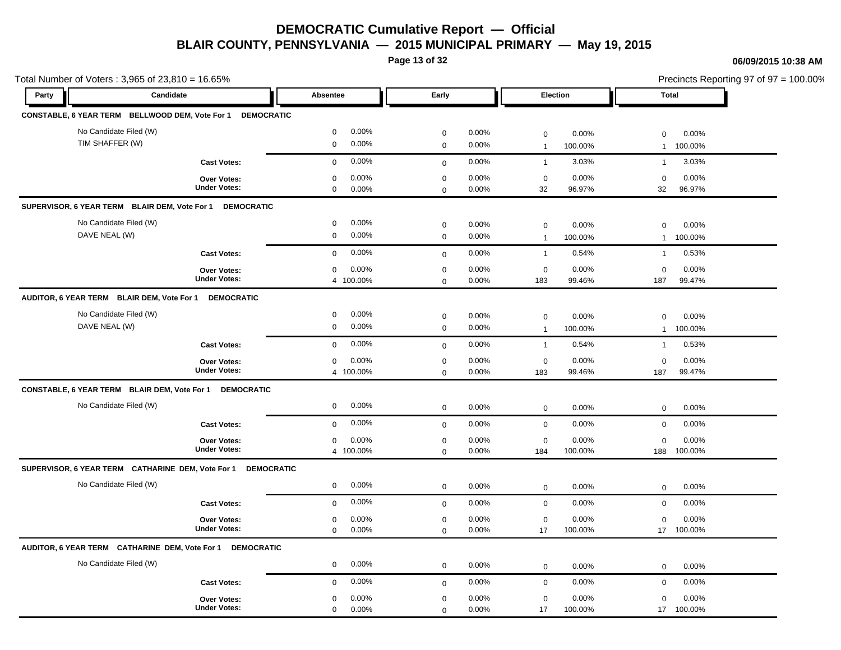**Page 13 of 32**

#### **06/09/2015 10:38 AM**

17 100.00% 100.00%

17 0.00%

0.00%

0

| Total Number of Voters: 3,965 of 23,810 = 16.65%      |                                                            |                                              |                                                   |                                                      |                                                 | Precincts Reporting 97 of 97 = 100.00% |
|-------------------------------------------------------|------------------------------------------------------------|----------------------------------------------|---------------------------------------------------|------------------------------------------------------|-------------------------------------------------|----------------------------------------|
| Party                                                 | Candidate                                                  | Absentee                                     | Early                                             | Election                                             | Total                                           |                                        |
|                                                       | CONSTABLE, 6 YEAR TERM BELLWOOD DEM, Vote For 1 DEMOCRATIC |                                              |                                                   |                                                      |                                                 |                                        |
| No Candidate Filed (W)                                |                                                            | 0.00%<br>$\mathbf 0$                         | 0.00%<br>$\mathbf 0$                              | 0.00%<br>$\mathbf 0$                                 | 0.00%<br>$\mathbf 0$                            |                                        |
| TIM SHAFFER (W)                                       |                                                            | 0.00%<br>$\mathbf 0$                         | 0.00%<br>$\mathbf 0$                              | 100.00%<br>$\mathbf{1}$                              | 100.00%<br>$\mathbf{1}$                         |                                        |
|                                                       | <b>Cast Votes:</b>                                         | 0.00%<br>$\mathbf 0$                         | 0.00%<br>$\mathbf 0$                              | 3.03%<br>$\mathbf{1}$                                | 3.03%<br>$\mathbf{1}$                           |                                        |
|                                                       | <b>Over Votes:</b><br><b>Under Votes:</b>                  | 0.00%<br>$\mathbf 0$<br>0.00%<br>$\mathbf 0$ | 0.00%<br>$\mathbf 0$<br>0.00%<br>$\mathbf 0$      | 0.00%<br>$\mathbf 0$<br>32<br>96.97%                 | 0.00%<br>$\mathbf 0$<br>32<br>96.97%            |                                        |
| SUPERVISOR, 6 YEAR TERM BLAIR DEM, Vote For 1         | <b>DEMOCRATIC</b>                                          |                                              |                                                   |                                                      |                                                 |                                        |
| No Candidate Filed (W)<br>DAVE NEAL (W)               |                                                            | 0.00%<br>0<br>0.00%<br>$\mathbf 0$           | 0.00%<br>$\mathbf 0$<br>0.00%<br>$\mathbf 0$      | 0.00%<br>$\boldsymbol{0}$<br>100.00%<br>$\mathbf{1}$ | 0.00%<br>$\mathbf 0$<br>100.00%<br>$\mathbf{1}$ |                                        |
|                                                       | <b>Cast Votes:</b>                                         | 0.00%<br>0                                   | 0.00%<br>$\mathbf 0$                              | 0.54%<br>$\mathbf{1}$                                | 0.53%<br>$\overline{1}$                         |                                        |
|                                                       | Over Votes:<br><b>Under Votes:</b>                         | 0.00%<br>0<br>4 100.00%                      | $\mathbf 0$<br>0.00%<br>0.00%<br>$\mathbf 0$      | $\mathbf 0$<br>0.00%<br>183<br>99.46%                | 0.00%<br>$\mathbf 0$<br>99.47%<br>187           |                                        |
| AUDITOR, 6 YEAR TERM BLAIR DEM, Vote For 1 DEMOCRATIC |                                                            |                                              |                                                   |                                                      |                                                 |                                        |
| No Candidate Filed (W)<br>DAVE NEAL (W)               |                                                            | $0.00\%$<br>0<br>0.00%<br>0                  | $\boldsymbol{0}$<br>0.00%<br>$\mathbf 0$<br>0.00% | $\boldsymbol{0}$<br>0.00%<br>100.00%<br>$\mathbf{1}$ | 0.00%<br>$\mathbf 0$<br>100.00%<br>$\mathbf{1}$ |                                        |
|                                                       | <b>Cast Votes:</b>                                         | 0.00%<br>$\mathbf 0$                         | 0.00%<br>$\mathbf 0$                              | 0.54%<br>$\overline{1}$                              | 0.53%<br>$\mathbf{1}$                           |                                        |
|                                                       | <b>Over Votes:</b><br><b>Under Votes:</b>                  | 0.00%<br>0<br>4 100.00%                      | $\mathbf 0$<br>0.00%<br>0.00%<br>$\mathbf 0$      | $\mathbf 0$<br>0.00%<br>183<br>99.46%                | 0.00%<br>$\mathbf 0$<br>99.47%<br>187           |                                        |
|                                                       | CONSTABLE, 6 YEAR TERM BLAIR DEM, Vote For 1 DEMOCRATIC    |                                              |                                                   |                                                      |                                                 |                                        |
| No Candidate Filed (W)                                |                                                            | 0.00%<br>0                                   | 0.00%<br>$\mathbf 0$                              | $\mathbf 0$<br>0.00%                                 | $\mathbf 0$<br>0.00%                            |                                        |
|                                                       | <b>Cast Votes:</b>                                         | 0.00%<br>0                                   | 0.00%<br>$\mathbf 0$                              | $\mathsf{O}\xspace$<br>0.00%                         | $\mathbf 0$<br>0.00%                            |                                        |
|                                                       | <b>Over Votes:</b><br><b>Under Votes:</b>                  | $\mathbf 0$<br>$0.00\%$<br>4 100.00%         | $\mathbf 0$<br>0.00%<br>0.00%<br>$\mathbf 0$      | $\mathbf 0$<br>0.00%<br>184<br>100.00%               | $\mathbf 0$<br>0.00%<br>188<br>100.00%          |                                        |
| SUPERVISOR, 6 YEAR TERM CATHARINE DEM, Vote For 1     | <b>DEMOCRATIC</b>                                          |                                              |                                                   |                                                      |                                                 |                                        |
| No Candidate Filed (W)                                |                                                            | 0.00%<br>0                                   | 0.00%<br>$\mathbf 0$                              | $\mathbf 0$<br>0.00%                                 | $\mathbf 0$<br>0.00%                            |                                        |
|                                                       | <b>Cast Votes:</b>                                         | $0.00\%$<br>$\mathbf 0$                      | 0.00%<br>$\mathbf 0$                              | $\mathbf 0$<br>0.00%                                 | $\mathbf 0$<br>0.00%                            |                                        |
|                                                       | <b>Over Votes:</b><br><b>Under Votes:</b>                  | 0.00%<br>0<br>$0.00\%$<br>$\mathbf 0$        | 0.00%<br>$\mathbf 0$<br>0.00%<br>$\mathbf 0$      | 0.00%<br>$\boldsymbol{0}$<br>17<br>100.00%           | 0.00%<br>$\mathbf 0$<br>17 100.00%              |                                        |
|                                                       | AUDITOR, 6 YEAR TERM CATHARINE DEM, Vote For 1 DEMOCRATIC  |                                              |                                                   |                                                      |                                                 |                                        |
| No Candidate Filed (W)                                |                                                            | 0.00%<br>0                                   | 0.00%<br>$\mathbf 0$                              | 0.00%<br>$\mathbf 0$                                 | 0.00%<br>$\mathbf 0$                            |                                        |
|                                                       | <b>Cast Votes:</b>                                         | $0.00\%$<br>$\mathbf 0$                      | 0.00%<br>$\mathbf 0$                              | 0.00%<br>$\mathbf 0$                                 | 0.00%<br>$\mathbf 0$                            |                                        |
|                                                       | <b>Over Votes:</b>                                         | $0.00\%$<br>$\mathbf 0$                      | 0.00%<br>$\mathbf 0$                              | 0.00%<br>$\mathbf 0$                                 | 0.00%<br>$\mathbf 0$                            |                                        |

0 0.00%

**Under Votes:**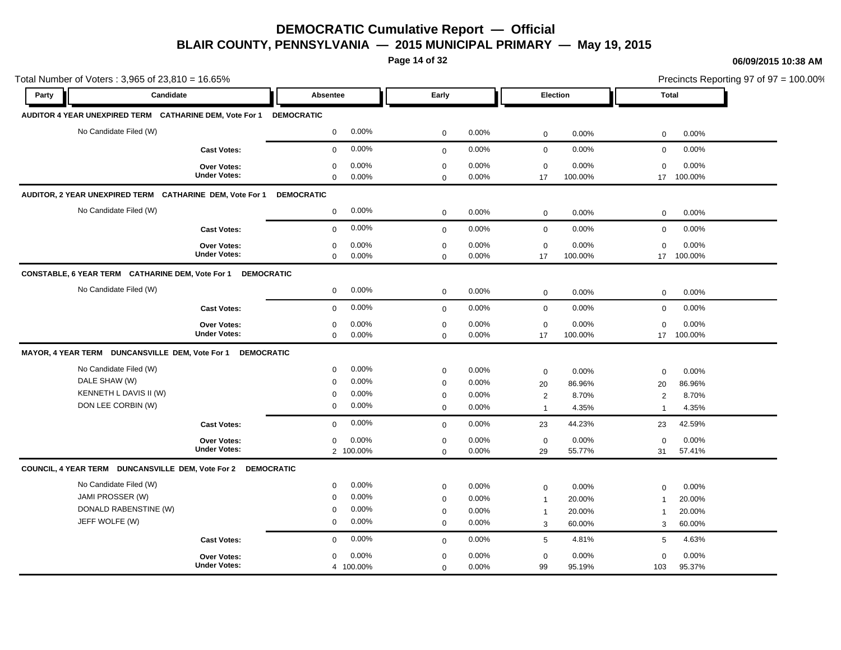**Page 14 of 32**

#### **06/09/2015 10:38 AM**

|       | Total Number of Voters: 3,965 of 23,810 = 16.65%                   |                                    |                   |           |              |          |                 |         |                         |            | Precincts Reporting 97 of $97 = 100.00\%$ |
|-------|--------------------------------------------------------------------|------------------------------------|-------------------|-----------|--------------|----------|-----------------|---------|-------------------------|------------|-------------------------------------------|
| Party | Candidate                                                          |                                    | Absentee          |           | Early        |          | Election        |         | <b>Total</b>            |            |                                           |
|       | AUDITOR 4 YEAR UNEXPIRED TERM CATHARINE DEM, Vote For 1 DEMOCRATIC |                                    |                   |           |              |          |                 |         |                         |            |                                           |
|       | No Candidate Filed (W)                                             |                                    | $\mathbf 0$       | 0.00%     | $\mathbf 0$  | 0.00%    | $\mathbf 0$     | 0.00%   | $\mathbf 0$             | 0.00%      |                                           |
|       |                                                                    | <b>Cast Votes:</b>                 | $\mathbf 0$       | 0.00%     | $\mathbf 0$  | 0.00%    | $\mathbf 0$     | 0.00%   | $\mathbf 0$             | 0.00%      |                                           |
|       |                                                                    | Over Votes:<br><b>Under Votes:</b> | $\mathbf 0$       | 0.00%     | $\mathbf 0$  | 0.00%    | $\mathbf 0$     | 0.00%   | $\mathbf 0$             | 0.00%      |                                           |
|       |                                                                    |                                    | $\mathbf 0$       | 0.00%     | $\Omega$     | $0.00\%$ | 17              | 100.00% |                         | 17 100.00% |                                           |
|       | AUDITOR, 2 YEAR UNEXPIRED TERM CATHARINE DEM, Vote For 1           |                                    | <b>DEMOCRATIC</b> |           |              |          |                 |         |                         |            |                                           |
|       | No Candidate Filed (W)                                             |                                    | $\mathbf 0$       | 0.00%     | $\mathbf 0$  | 0.00%    | $\mathbf 0$     | 0.00%   | 0                       | 0.00%      |                                           |
|       |                                                                    | <b>Cast Votes:</b>                 | $\mathbf 0$       | 0.00%     | $\mathbf{0}$ | 0.00%    | $\mathbf 0$     | 0.00%   | $\mathbf 0$             | 0.00%      |                                           |
|       |                                                                    | Over Votes:                        | $\mathbf 0$       | 0.00%     | $\mathbf 0$  | 0.00%    | $\mathbf 0$     | 0.00%   | 0                       | 0.00%      |                                           |
|       |                                                                    | <b>Under Votes:</b>                | $\mathbf 0$       | 0.00%     | $\mathbf 0$  | 0.00%    | 17              | 100.00% | 17                      | 100.00%    |                                           |
|       | CONSTABLE, 6 YEAR TERM CATHARINE DEM, Vote For 1                   | <b>DEMOCRATIC</b>                  |                   |           |              |          |                 |         |                         |            |                                           |
|       | No Candidate Filed (W)                                             |                                    | $\mathbf 0$       | 0.00%     | $\mathbf 0$  | 0.00%    | $\mathbf 0$     | 0.00%   | $\mathbf 0$             | 0.00%      |                                           |
|       |                                                                    | <b>Cast Votes:</b>                 | $\mathbf 0$       | 0.00%     | $\mathbf{0}$ | 0.00%    | $\mathbf 0$     | 0.00%   | $\mathbf 0$             | 0.00%      |                                           |
|       |                                                                    | Over Votes:                        | $\mathbf 0$       | 0.00%     | $\mathbf 0$  | 0.00%    | $\mathbf 0$     | 0.00%   | $\mathbf 0$             | 0.00%      |                                           |
|       |                                                                    | <b>Under Votes:</b>                | $\mathbf 0$       | 0.00%     | $\Omega$     | 0.00%    | 17              | 100.00% | 17                      | 100.00%    |                                           |
|       | MAYOR, 4 YEAR TERM DUNCANSVILLE DEM, Vote For 1                    | <b>DEMOCRATIC</b>                  |                   |           |              |          |                 |         |                         |            |                                           |
|       | No Candidate Filed (W)                                             |                                    | $\mathbf 0$       | 0.00%     | $\mathbf 0$  | 0.00%    | $\mathbf 0$     | 0.00%   | $\mathbf 0$             | 0.00%      |                                           |
|       | DALE SHAW (W)                                                      |                                    | $\mathbf 0$       | 0.00%     | $\mathbf 0$  | 0.00%    | 20              | 86.96%  | 20                      | 86.96%     |                                           |
|       | KENNETH L DAVIS II (W)                                             |                                    | 0                 | 0.00%     | $\mathbf 0$  | 0.00%    | $\overline{2}$  | 8.70%   | $\overline{2}$          | 8.70%      |                                           |
|       | DON LEE CORBIN (W)                                                 |                                    | $\mathbf 0$       | 0.00%     | $\mathbf 0$  | 0.00%    | $\mathbf 1$     | 4.35%   | -1                      | 4.35%      |                                           |
|       |                                                                    | <b>Cast Votes:</b>                 | $\mathbf 0$       | 0.00%     | $\mathbf{0}$ | 0.00%    | 23              | 44.23%  | 23                      | 42.59%     |                                           |
|       |                                                                    | Over Votes:                        | $\mathbf 0$       | 0.00%     | $\mathbf 0$  | 0.00%    | $\mathbf 0$     | 0.00%   | $\mathbf 0$             | 0.00%      |                                           |
|       |                                                                    | <b>Under Votes:</b>                |                   | 2 100.00% | $\mathbf 0$  | 0.00%    | 29              | 55.77%  | 31                      | 57.41%     |                                           |
|       | COUNCIL, 4 YEAR TERM DUNCANSVILLE DEM, Vote For 2 DEMOCRATIC       |                                    |                   |           |              |          |                 |         |                         |            |                                           |
|       | No Candidate Filed (W)                                             |                                    | $\mathbf 0$       | 0.00%     | $\mathbf 0$  | 0.00%    | $\mathbf 0$     | 0.00%   | $\mathbf 0$             | 0.00%      |                                           |
|       | JAMI PROSSER (W)                                                   |                                    | $\mathbf 0$       | 0.00%     | $\mathbf 0$  | 0.00%    | $\overline{1}$  | 20.00%  | $\overline{\mathbf{1}}$ | 20.00%     |                                           |
|       | DONALD RABENSTINE (W)                                              |                                    | 0                 | 0.00%     | $\mathbf 0$  | 0.00%    | $\mathbf{1}$    | 20.00%  | $\overline{1}$          | 20.00%     |                                           |
|       | JEFF WOLFE (W)                                                     |                                    | $\mathbf 0$       | 0.00%     | $\mathbf 0$  | 0.00%    | 3               | 60.00%  | 3                       | 60.00%     |                                           |
|       |                                                                    | <b>Cast Votes:</b>                 | $\mathbf 0$       | 0.00%     | $\mathbf 0$  | 0.00%    | $5\phantom{.0}$ | 4.81%   | 5                       | 4.63%      |                                           |
|       |                                                                    | Over Votes:                        | $\mathbf 0$       | 0.00%     | $\mathbf 0$  | 0.00%    | $\mathbf 0$     | 0.00%   | $\mathbf 0$             | 0.00%      |                                           |
|       |                                                                    | <b>Under Votes:</b>                |                   | 4 100.00% | $\mathbf 0$  | 0.00%    | 99              | 95.19%  | 103                     | 95.37%     |                                           |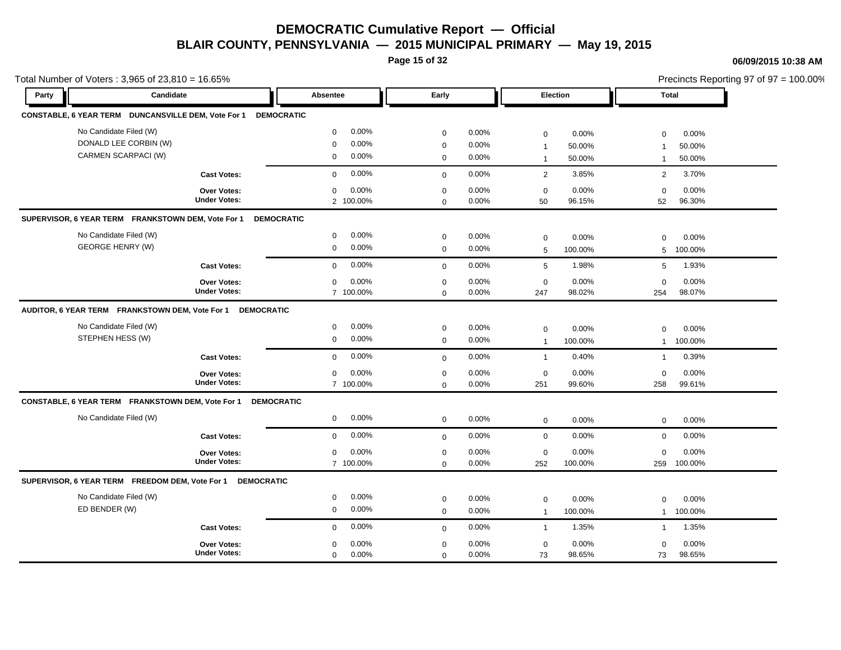**Page 15 of 32**

#### **06/09/2015 10:38 AM**

|       | Total Number of Voters: 3,965 of 23,810 = 16.65%                        |                       |              |          |                 |         |                |         | Precincts Reporting 97 of 97 = 100.00% |
|-------|-------------------------------------------------------------------------|-----------------------|--------------|----------|-----------------|---------|----------------|---------|----------------------------------------|
| Party | Candidate                                                               | Absentee              | Early        |          | Election        |         | <b>Total</b>   |         |                                        |
|       | CONSTABLE, 6 YEAR TERM DUNCANSVILLE DEM, Vote For 1                     | <b>DEMOCRATIC</b>     |              |          |                 |         |                |         |                                        |
|       | No Candidate Filed (W)                                                  | 0.00%<br>$\mathbf 0$  | $\mathbf 0$  | 0.00%    | $\mathbf 0$     | 0.00%   | $\mathbf 0$    | 0.00%   |                                        |
|       | DONALD LEE CORBIN (W)                                                   | 0.00%<br>$\mathbf 0$  | $\mathbf 0$  | 0.00%    | $\mathbf{1}$    | 50.00%  | $\overline{1}$ | 50.00%  |                                        |
|       | CARMEN SCARPACI (W)                                                     | 0.00%<br>$\mathbf 0$  | $\mathbf 0$  | 0.00%    | $\mathbf{1}$    | 50.00%  | $\mathbf{1}$   | 50.00%  |                                        |
|       | <b>Cast Votes:</b>                                                      | 0.00%<br>$\mathbf 0$  | $\mathbf 0$  | 0.00%    | $\overline{2}$  | 3.85%   | 2              | 3.70%   |                                        |
|       | Over Votes:                                                             | 0.00%<br>$\mathbf 0$  | $\mathbf 0$  | 0.00%    | $\mathbf 0$     | 0.00%   | $\mathbf 0$    | 0.00%   |                                        |
|       | <b>Under Votes:</b>                                                     | 2 100.00%             | $\mathbf 0$  | 0.00%    | 50              | 96.15%  | 52             | 96.30%  |                                        |
|       | SUPERVISOR, 6 YEAR TERM FRANKSTOWN DEM, Vote For 1<br><b>DEMOCRATIC</b> |                       |              |          |                 |         |                |         |                                        |
|       | No Candidate Filed (W)                                                  | 0.00%<br>$\mathbf 0$  | $\mathbf 0$  | 0.00%    | $\mathbf 0$     | 0.00%   | $\Omega$       | 0.00%   |                                        |
|       | <b>GEORGE HENRY (W)</b>                                                 | 0.00%<br>$\mathbf 0$  | $\mathbf 0$  | 0.00%    | 5               | 100.00% | 5              | 100.00% |                                        |
|       | <b>Cast Votes:</b>                                                      | 0.00%<br>$\mathbf 0$  | $\mathbf 0$  | 0.00%    | $5\phantom{.0}$ | 1.98%   | 5              | 1.93%   |                                        |
|       | Over Votes:                                                             | 0.00%<br>0            | 0            | 0.00%    | 0               | 0.00%   | 0              | 0.00%   |                                        |
|       | <b>Under Votes:</b>                                                     | 7 100.00%             | $\mathbf 0$  | 0.00%    | 247             | 98.02%  | 254            | 98.07%  |                                        |
|       | AUDITOR, 6 YEAR TERM FRANKSTOWN DEM, Vote For 1<br><b>DEMOCRATIC</b>    |                       |              |          |                 |         |                |         |                                        |
|       | No Candidate Filed (W)                                                  | 0.00%<br>$\mathbf 0$  | $\mathbf 0$  | 0.00%    | $\mathbf 0$     | 0.00%   | $\mathbf 0$    | 0.00%   |                                        |
|       | STEPHEN HESS (W)                                                        | 0.00%<br>$\mathbf 0$  | $\mathbf 0$  | 0.00%    | $\overline{1}$  | 100.00% | $\mathbf{1}$   | 100.00% |                                        |
|       | <b>Cast Votes:</b>                                                      | 0.00%<br>$\mathbf 0$  | $\mathbf 0$  | 0.00%    | $\mathbf{1}$    | 0.40%   | $\mathbf{1}$   | 0.39%   |                                        |
|       | Over Votes:                                                             | 0.00%<br>$\mathbf 0$  | $\mathbf 0$  | $0.00\%$ | $\mathbf 0$     | 0.00%   | $\mathbf 0$    | 0.00%   |                                        |
|       | <b>Under Votes:</b>                                                     | 7 100.00%             | $\mathbf 0$  | 0.00%    | 251             | 99.60%  | 258            | 99.61%  |                                        |
|       | CONSTABLE, 6 YEAR TERM FRANKSTOWN DEM, Vote For 1<br><b>DEMOCRATIC</b>  |                       |              |          |                 |         |                |         |                                        |
|       | No Candidate Filed (W)                                                  | 0.00%<br>$\mathbf 0$  | $\mathbf 0$  | 0.00%    | $\mathbf 0$     | 0.00%   | $\mathbf 0$    | 0.00%   |                                        |
|       | <b>Cast Votes:</b>                                                      | 0.00%<br>$\mathbf 0$  | $\mathbf 0$  | 0.00%    | $\mathbf 0$     | 0.00%   | $\mathbf 0$    | 0.00%   |                                        |
|       | Over Votes:                                                             | 0.00%<br>$\mathbf 0$  | 0            | 0.00%    | $\mathbf 0$     | 0.00%   | $\mathbf 0$    | 0.00%   |                                        |
|       | <b>Under Votes:</b>                                                     | 7 100.00%             | $\mathbf 0$  | 0.00%    | 252             | 100.00% | 259            | 100.00% |                                        |
|       | SUPERVISOR, 6 YEAR TERM FREEDOM DEM, Vote For 1 DEMOCRATIC              |                       |              |          |                 |         |                |         |                                        |
|       | No Candidate Filed (W)                                                  | 0.00%<br>$\mathbf 0$  | $\mathbf 0$  | 0.00%    | $\mathbf 0$     | 0.00%   | $\mathbf 0$    | 0.00%   |                                        |
|       | ED BENDER (W)                                                           | 0.00%<br>$\mathbf 0$  | $\mathbf 0$  | 0.00%    | $\mathbf{1}$    | 100.00% | $\mathbf{1}$   | 100.00% |                                        |
|       | <b>Cast Votes:</b>                                                      | 0.00%<br>$\mathbf 0$  | $\mathbf{0}$ | 0.00%    | $\overline{1}$  | 1.35%   | $\mathbf{1}$   | 1.35%   |                                        |
|       | <b>Over Votes:</b>                                                      | 0.00%<br>$\mathbf 0$  | $\mathbf 0$  | $0.00\%$ | $\mathbf 0$     | 0.00%   | $\mathbf 0$    | 0.00%   |                                        |
|       | <b>Under Votes:</b>                                                     | 0.00%<br>$\mathbf{0}$ | $\Omega$     | 0.00%    | 73              | 98.65%  | 73             | 98.65%  |                                        |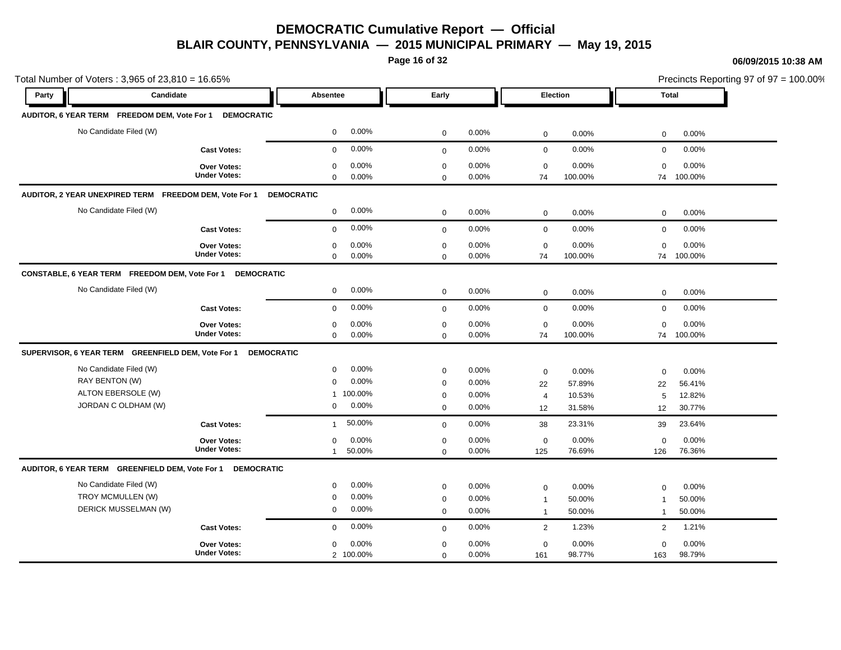**Page 16 of 32**

#### **06/09/2015 10:38 AM**

| Total Number of Voters: 3,965 of 23,810 = 16.65%              |                     |                        |             |          |                |         |                | Precincts Reporting 97 of 97 = 100.00% |
|---------------------------------------------------------------|---------------------|------------------------|-------------|----------|----------------|---------|----------------|----------------------------------------|
| Candidate<br>Party                                            |                     | Absentee               | Early       |          | Election       |         | <b>Total</b>   |                                        |
| AUDITOR, 6 YEAR TERM FREEDOM DEM, Vote For 1 DEMOCRATIC       |                     |                        |             |          |                |         |                |                                        |
| No Candidate Filed (W)                                        |                     | 0.00%<br>$\mathbf 0$   | $\mathbf 0$ | 0.00%    | $\mathbf 0$    | 0.00%   | 0              | 0.00%                                  |
|                                                               | <b>Cast Votes:</b>  | 0.00%<br>$\mathbf 0$   | $\mathbf 0$ | 0.00%    | $\mathbf 0$    | 0.00%   | $\mathbf 0$    | 0.00%                                  |
|                                                               | <b>Over Votes:</b>  | 0.00%<br>0             | $\mathbf 0$ | 0.00%    | $\mathbf 0$    | 0.00%   | $\mathbf 0$    | 0.00%                                  |
|                                                               | <b>Under Votes:</b> | $\mathbf 0$<br>0.00%   | $\mathbf 0$ | 0.00%    | 74             | 100.00% | 74             | 100.00%                                |
| AUDITOR, 2 YEAR UNEXPIRED TERM FREEDOM DEM, Vote For 1        |                     | <b>DEMOCRATIC</b>      |             |          |                |         |                |                                        |
| No Candidate Filed (W)                                        |                     | 0.00%<br>$\mathbf{0}$  | $\mathbf 0$ | 0.00%    | $\mathbf 0$    | 0.00%   | $\mathbf 0$    | 0.00%                                  |
|                                                               | <b>Cast Votes:</b>  | 0.00%<br>$\mathbf 0$   | $\mathbf 0$ | 0.00%    | $\mathbf 0$    | 0.00%   | $\mathbf 0$    | 0.00%                                  |
|                                                               | <b>Over Votes:</b>  | 0.00%<br>$\mathbf 0$   | $\mathbf 0$ | 0.00%    | $\mathbf 0$    | 0.00%   | $\mathbf 0$    | 0.00%                                  |
|                                                               | <b>Under Votes:</b> | 0.00%<br>$\mathbf 0$   | $\mathbf 0$ | $0.00\%$ | 74             | 100.00% | 74             | 100.00%                                |
| CONSTABLE, 6 YEAR TERM FREEDOM DEM, Vote For 1 DEMOCRATIC     |                     |                        |             |          |                |         |                |                                        |
| No Candidate Filed (W)                                        |                     | 0.00%<br>$\mathbf 0$   | $\mathbf 0$ | 0.00%    | $\mathbf 0$    | 0.00%   | $\mathbf 0$    | 0.00%                                  |
|                                                               | <b>Cast Votes:</b>  | 0.00%<br>$\mathbf 0$   | $\mathbf 0$ | 0.00%    | $\mathbf 0$    | 0.00%   | $\mathbf 0$    | 0.00%                                  |
|                                                               | <b>Over Votes:</b>  | 0.00%<br>0             | 0           | 0.00%    | 0              | 0.00%   | $\mathbf 0$    | 0.00%                                  |
|                                                               | <b>Under Votes:</b> | 0.00%<br>$\mathbf 0$   | $\mathbf 0$ | 0.00%    | 74             | 100.00% | 74             | 100.00%                                |
| SUPERVISOR, 6 YEAR TERM GREENFIELD DEM, Vote For 1 DEMOCRATIC |                     |                        |             |          |                |         |                |                                        |
| No Candidate Filed (W)                                        |                     | 0.00%<br>$\mathbf 0$   | $\mathbf 0$ | 0.00%    | $\mathbf 0$    | 0.00%   | $\mathbf 0$    | 0.00%                                  |
| RAY BENTON (W)                                                |                     | 0.00%<br>$\mathbf 0$   | $\mathbf 0$ | 0.00%    | 22             | 57.89%  | 22             | 56.41%                                 |
| ALTON EBERSOLE (W)                                            |                     | 1 100.00%              | 0           | 0.00%    | $\overline{4}$ | 10.53%  | 5              | 12.82%                                 |
| JORDAN C OLDHAM (W)                                           |                     | 0.00%<br>$\mathbf 0$   | $\mathbf 0$ | 0.00%    | 12             | 31.58%  | 12             | 30.77%                                 |
|                                                               | <b>Cast Votes:</b>  | 50.00%<br>$\mathbf{1}$ | $\mathbf 0$ | 0.00%    | 38             | 23.31%  | 39             | 23.64%                                 |
|                                                               | Over Votes:         | 0.00%<br>$\mathbf 0$   | $\mathbf 0$ | 0.00%    | $\mathbf 0$    | 0.00%   | $\mathbf 0$    | 0.00%                                  |
|                                                               | <b>Under Votes:</b> | 50.00%<br>$\mathbf{1}$ | $\mathbf 0$ | 0.00%    | 125            | 76.69%  | 126            | 76.36%                                 |
| AUDITOR, 6 YEAR TERM GREENFIELD DEM, Vote For 1 DEMOCRATIC    |                     |                        |             |          |                |         |                |                                        |
| No Candidate Filed (W)                                        |                     | 0.00%<br>$\mathbf 0$   | $\mathbf 0$ | $0.00\%$ | $\mathbf 0$    | 0.00%   | $\Omega$       | 0.00%                                  |
| TROY MCMULLEN (W)                                             |                     | 0.00%<br>0             | $\mathbf 0$ | 0.00%    | $\overline{1}$ | 50.00%  | -1             | 50.00%                                 |
| DERICK MUSSELMAN (W)                                          |                     | 0.00%<br>$\mathbf 0$   | $\mathbf 0$ | 0.00%    | $\mathbf{1}$   | 50.00%  |                | 50.00%                                 |
|                                                               | <b>Cast Votes:</b>  | 0.00%<br>$\mathbf 0$   | $\mathbf 0$ | 0.00%    | $\overline{2}$ | 1.23%   | $\overline{c}$ | 1.21%                                  |
|                                                               | Over Votes:         | 0.00%<br>$\mathbf 0$   | $\mathbf 0$ | 0.00%    | $\mathbf 0$    | 0.00%   | $\mathbf 0$    | 0.00%                                  |
|                                                               | <b>Under Votes:</b> | 2 100.00%              | $\mathbf 0$ | 0.00%    | 161            | 98.77%  | 163            | 98.79%                                 |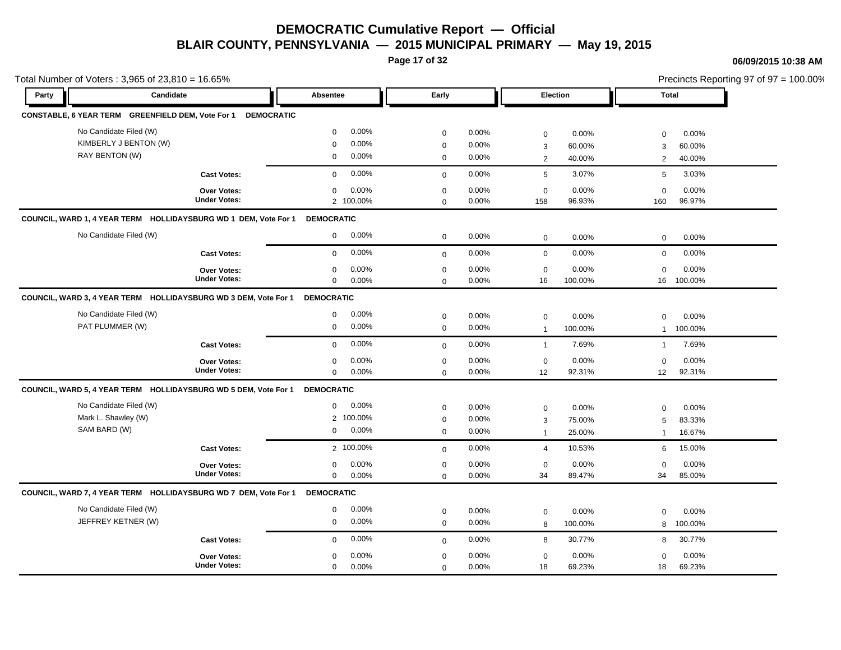**Page 17 of 32**

#### **06/09/2015 10:38 AM**

|       | Total Number of Voters: 3,965 of 23,810 = 16.65%                |                     |                         |             |          |                     |          |                | Precincts Reporting 97 of 97 = 100.00% |
|-------|-----------------------------------------------------------------|---------------------|-------------------------|-------------|----------|---------------------|----------|----------------|----------------------------------------|
| Party | Candidate                                                       |                     | Absentee                | Early       |          | Election            |          | <b>Total</b>   |                                        |
|       | CONSTABLE, 6 YEAR TERM GREENFIELD DEM, Vote For 1               | <b>DEMOCRATIC</b>   |                         |             |          |                     |          |                |                                        |
|       | No Candidate Filed (W)                                          |                     | 0.00%<br>$\mathbf 0$    | $\mathbf 0$ | 0.00%    | 0                   | 0.00%    | $\mathbf 0$    | 0.00%                                  |
|       | KIMBERLY J BENTON (W)                                           |                     | 0.00%<br>$\mathbf 0$    | 0           | 0.00%    | 3                   | 60.00%   | 3              | 60.00%                                 |
|       | RAY BENTON (W)                                                  |                     | $0.00\%$<br>$\mathbf 0$ | $\mathbf 0$ | 0.00%    | $\overline{2}$      | 40.00%   | 2              | 40.00%                                 |
|       |                                                                 | <b>Cast Votes:</b>  | 0.00%<br>$\Omega$       | $\Omega$    | $0.00\%$ | 5                   | 3.07%    | 5              | 3.03%                                  |
|       |                                                                 | Over Votes:         | 0.00%<br>$\mathbf 0$    | $\mathbf 0$ | 0.00%    | $\mathbf 0$         | 0.00%    | $\mathbf 0$    | 0.00%                                  |
|       |                                                                 | <b>Under Votes:</b> | 2 100.00%               | $\Omega$    | 0.00%    | 158                 | 96.93%   | 160            | 96.97%                                 |
|       | COUNCIL, WARD 1, 4 YEAR TERM HOLLIDAYSBURG WD 1 DEM, Vote For 1 |                     | <b>DEMOCRATIC</b>       |             |          |                     |          |                |                                        |
|       | No Candidate Filed (W)                                          |                     | $0.00\%$<br>$\mathbf 0$ | $\mathbf 0$ | 0.00%    | $\mathsf{O}\xspace$ | 0.00%    | $\mathbf 0$    | 0.00%                                  |
|       |                                                                 | <b>Cast Votes:</b>  | 0.00%<br>$\mathbf 0$    | $\mathbf 0$ | 0.00%    | $\mathbf 0$         | 0.00%    | $\mathbf 0$    | 0.00%                                  |
|       |                                                                 | Over Votes:         | 0.00%<br>$\mathbf 0$    | $\mathsf 0$ | 0.00%    | $\mathsf 0$         | 0.00%    | $\mathbf 0$    | 0.00%                                  |
|       |                                                                 | <b>Under Votes:</b> | 0.00%<br>$\mathbf 0$    | $\Omega$    | 0.00%    | 16                  | 100.00%  | 16             | 100.00%                                |
|       | COUNCIL, WARD 3, 4 YEAR TERM HOLLIDAYSBURG WD 3 DEM, Vote For 1 |                     | <b>DEMOCRATIC</b>       |             |          |                     |          |                |                                        |
|       | No Candidate Filed (W)                                          |                     | 0.00%<br>$\mathbf 0$    | $\mathbf 0$ | 0.00%    | 0                   | 0.00%    | $\mathbf 0$    | 0.00%                                  |
|       | PAT PLUMMER (W)                                                 |                     | 0.00%<br>$\mathbf 0$    | $\mathbf 0$ | 0.00%    | $\overline{1}$      | 100.00%  | $\mathbf{1}$   | 100.00%                                |
|       |                                                                 | <b>Cast Votes:</b>  | 0.00%<br>$\mathbf 0$    | $\mathbf 0$ | 0.00%    | $\overline{1}$      | 7.69%    | $\mathbf{1}$   | 7.69%                                  |
|       |                                                                 | Over Votes:         | 0.00%<br>$\mathbf 0$    | $\mathbf 0$ | 0.00%    | $\mathbf 0$         | 0.00%    | $\mathbf 0$    | 0.00%                                  |
|       |                                                                 | <b>Under Votes:</b> | 0.00%<br>$\mathbf 0$    | $\mathbf 0$ | 0.00%    | 12                  | 92.31%   | 12             | 92.31%                                 |
|       | COUNCIL, WARD 5, 4 YEAR TERM HOLLIDAYSBURG WD 5 DEM, Vote For 1 |                     | <b>DEMOCRATIC</b>       |             |          |                     |          |                |                                        |
|       | No Candidate Filed (W)                                          |                     | 0.00%<br>$\mathbf 0$    | 0           | 0.00%    | 0                   | 0.00%    | $\mathbf 0$    | 0.00%                                  |
|       | Mark L. Shawley (W)                                             |                     | 2 100.00%               | 0           | 0.00%    | 3                   | 75.00%   | 5              | 83.33%                                 |
|       | SAM BARD (W)                                                    |                     | 0.00%<br>$\mathbf 0$    | $\mathbf 0$ | 0.00%    | $\overline{1}$      | 25.00%   | $\overline{1}$ | 16.67%                                 |
|       |                                                                 | <b>Cast Votes:</b>  | 2 100.00%               | $\Omega$    | 0.00%    | $\overline{4}$      | 10.53%   | 6              | 15.00%                                 |
|       |                                                                 | Over Votes:         | 0.00%<br>0              | 0           | 0.00%    | $\mathbf 0$         | 0.00%    | $\mathbf 0$    | 0.00%                                  |
|       |                                                                 | <b>Under Votes:</b> | $\mathbf 0$<br>0.00%    | $\mathbf 0$ | 0.00%    | 34                  | 89.47%   | 34             | 85.00%                                 |
|       | COUNCIL, WARD 7, 4 YEAR TERM HOLLIDAYSBURG WD 7 DEM, Vote For 1 |                     | <b>DEMOCRATIC</b>       |             |          |                     |          |                |                                        |
|       | No Candidate Filed (W)                                          |                     | 0.00%<br>0              | $\mathbf 0$ | 0.00%    | 0                   | 0.00%    | $\mathbf 0$    | 0.00%                                  |
|       | JEFFREY KETNER (W)                                              |                     | $0.00\%$<br>$\mathbf 0$ | $\mathbf 0$ | 0.00%    | 8                   | 100.00%  | 8              | 100.00%                                |
|       |                                                                 | <b>Cast Votes:</b>  | 0.00%<br>$\mathbf 0$    | $\mathbf 0$ | 0.00%    | 8                   | 30.77%   | 8              | 30.77%                                 |
|       |                                                                 | <b>Over Votes:</b>  | 0.00%<br>$\mathbf{0}$   | $\mathbf 0$ | $0.00\%$ | 0                   | $0.00\%$ | $\Omega$       | 0.00%                                  |
|       |                                                                 | <b>Under Votes:</b> | 0.00%<br>$\mathbf 0$    | $\mathbf 0$ | 0.00%    | 18                  | 69.23%   | 18             | 69.23%                                 |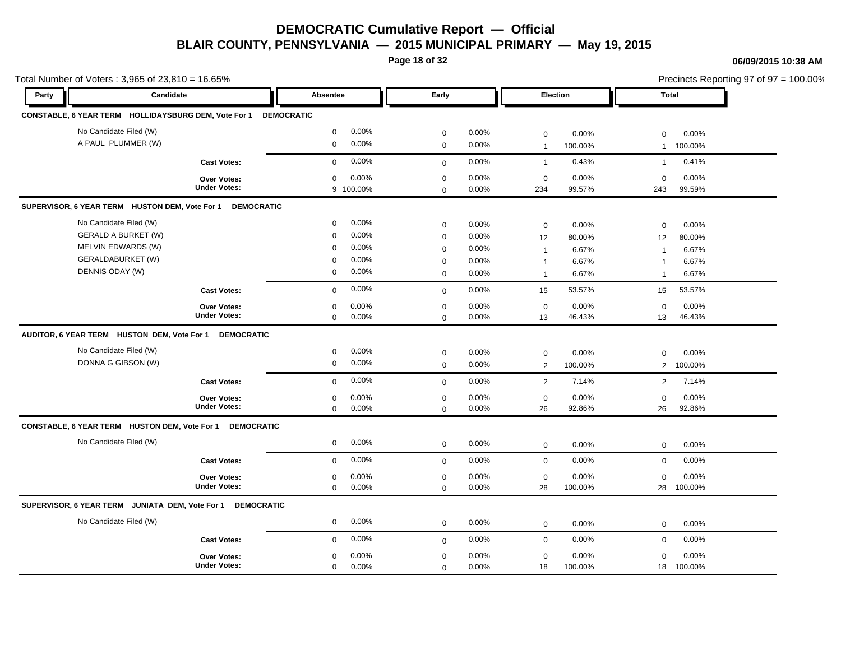**Page 18 of 32**

### **06/09/2015 10:38 AM**

0 0.00%

18 100.00% 100.00%

|       |                                                           |                     |                   |           | $\tilde{\phantom{a}}$ |          |                |         |              |           |                                        |  |
|-------|-----------------------------------------------------------|---------------------|-------------------|-----------|-----------------------|----------|----------------|---------|--------------|-----------|----------------------------------------|--|
|       | Fotal Number of Voters: 3,965 of 23,810 = 16.65%          |                     |                   |           |                       |          |                |         |              |           | Precincts Reporting 97 of 97 = 100.00% |  |
| Party | Candidate                                                 |                     | <b>Absentee</b>   |           | Early                 |          | Election       |         | <b>Total</b> |           |                                        |  |
|       | CONSTABLE, 6 YEAR TERM HOLLIDAYSBURG DEM, Vote For 1      |                     | <b>DEMOCRATIC</b> |           |                       |          |                |         |              |           |                                        |  |
|       | No Candidate Filed (W)                                    |                     | $\mathbf 0$       | 0.00%     | $\mathbf 0$           | $0.00\%$ | $\overline{0}$ | 0.00%   | $\Omega$     | 0.00%     |                                        |  |
|       | A PAUL PLUMMER (W)                                        |                     | 0                 | 0.00%     | $\mathbf{0}$          | 0.00%    | -1             | 100.00% |              | 100.00%   |                                        |  |
|       |                                                           | <b>Cast Votes:</b>  | $\Omega$          | 0.00%     | $\mathbf{0}$          | 0.00%    |                | 0.43%   |              | 0.41%     |                                        |  |
|       |                                                           | Over Votes:         | $\Omega$          | 0.00%     | $\mathbf{0}$          | 0.00%    | $\mathbf 0$    | 0.00%   | $\Omega$     | 0.00%     |                                        |  |
|       |                                                           | <b>Under Votes:</b> |                   | 9 100.00% | $\Omega$              | $0.00\%$ | 234            | 99.57%  | 243          | 99.59%    |                                        |  |
|       | SUPERVISOR, 6 YEAR TERM HUSTON DEM, Vote For 1 DEMOCRATIC |                     |                   |           |                       |          |                |         |              |           |                                        |  |
|       | No Candidate Filed (W)                                    |                     | $\mathbf{0}$      | 0.00%     | $\mathbf{0}$          | 0.00%    | $\mathbf 0$    | 0.00%   | $\Omega$     | 0.00%     |                                        |  |
|       | <b>GERALD A BURKET (W)</b>                                |                     | $\Omega$          | 0.00%     | $\Omega$              | 0.00%    | 12             | 80.00%  | 12           | 80.00%    |                                        |  |
|       | MELVIN EDWARDS (W)                                        |                     | $\Omega$          | 0.00%     | $\Omega$              | 0.00%    |                | 6.67%   |              | 6.67%     |                                        |  |
|       | GERALDABURKET (W)                                         |                     | $\Omega$          | 0.00%     | $\Omega$              | 0.00%    |                | 6.67%   |              | 6.67%     |                                        |  |
|       | DENNIS ODAY (W)                                           |                     | $\mathbf{0}$      | $0.00\%$  | $\mathbf{0}$          | 0.00%    |                | 6.67%   |              | 6.67%     |                                        |  |
|       |                                                           | <b>Cast Votes:</b>  | $\Omega$          | $0.00\%$  | $\Omega$              | 0.00%    | 15             | 53.57%  | 15           | 53.57%    |                                        |  |
|       |                                                           | Over Votes:         | $\Omega$          | 0.00%     | $\mathbf{0}$          | 0.00%    | $\mathbf 0$    | 0.00%   | $\Omega$     | 0.00%     |                                        |  |
|       |                                                           | <b>Under Votes:</b> | $\mathbf 0$       | 0.00%     | $\mathbf{0}$          | $0.00\%$ | 13             | 46.43%  | 13           | 46.43%    |                                        |  |
|       | AUDITOR, 6 YEAR TERM HUSTON DEM, Vote For 1 DEMOCRATIC    |                     |                   |           |                       |          |                |         |              |           |                                        |  |
|       | No Candidate Filed (W)                                    |                     | $\mathbf 0$       | 0.00%     | $\mathbf 0$           | 0.00%    | $\mathbf 0$    | 0.00%   | $\Omega$     | 0.00%     |                                        |  |
|       | DONNA G GIBSON (W)                                        |                     | $\mathbf{0}$      | 0.00%     | $\mathbf{0}$          | 0.00%    | $\overline{2}$ | 100.00% |              | 2 100.00% |                                        |  |
|       |                                                           | <b>Cast Votes:</b>  | $\Omega$          | 0.00%     | $\Omega$              | 0.00%    | $\overline{2}$ | 7.14%   | $2^{\circ}$  | 7.14%     |                                        |  |

0 0.00%

0

0 0.00%

18 0.00%

 $0.00\%$  0.00% 0.00% 0.00% 0.00% 0.00%

| <b>Under Votes:</b>                                                | $0\quad 0.00\%$                         | $\Omega$             | 0.00%                | 26                 | 92.86%              | 26           | 92.86%                 |  |
|--------------------------------------------------------------------|-----------------------------------------|----------------------|----------------------|--------------------|---------------------|--------------|------------------------|--|
| CONSTABLE, 6 YEAR TERM HUSTON DEM, Vote For 1<br><b>DEMOCRATIC</b> |                                         |                      |                      |                    |                     |              |                        |  |
| No Candidate Filed (W)                                             | $0\quad 0.00\%$                         | $\Omega$             | $0.00\%$             | $\Omega$           | $0.00\%$            | $\mathbf{0}$ | 0.00%                  |  |
| <b>Cast Votes:</b>                                                 | $0\quad 0.00\%$                         | $\Omega$             | 0.00%                | $\mathbf{0}$       | $0.00\%$            | 0            | 0.00%                  |  |
| Over Votes:<br><b>Under Votes:</b>                                 | $0\quad 0.00\%$<br>$0.00\%$<br>$\Omega$ | $\Omega$<br>$\Omega$ | 0.00%<br>$0.00\%$    | $\mathbf{0}$<br>28 | $0.00\%$<br>100.00% | $\mathbf{0}$ | $0.00\%$<br>28 100.00% |  |
| SUPERVISOR, 6 YEAR TERM JUNIATA DEM, Vote For 1<br>DEMOCRATIC      |                                         |                      |                      |                    |                     |              |                        |  |
| No Candidate Filed (W)                                             | $0\quad 0.00\%$                         | $\Omega$             | $0.00\%$             | $\Omega$           | $0.00\%$            | $\mathbf{0}$ | $0.00\%$               |  |
| <b>Cast Votes:</b>                                                 | $000\%$                                 | $\Omega$             | 0.00%                | $\mathbf{0}$       | $0.00\%$            | 0            | $0.00\%$               |  |
| <b>Over Votes:</b><br><b>Under Votes:</b>                          | $0\quad 0.00\%$<br>$0.00\%$<br>$\Omega$ | $\Omega$<br>$\Omega$ | $0.00\%$<br>$0.00\%$ | $\mathbf{0}$<br>18 | $0.00\%$<br>100.00% | $\mathbf{0}$ | 0.00%<br>18 100.00%    |  |

0 0.00%

**Over Votes:**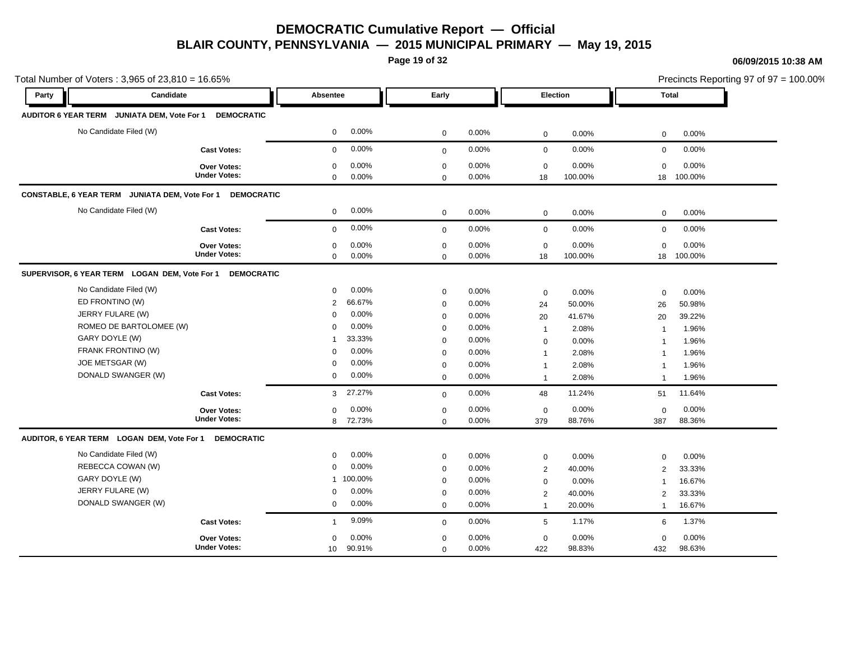**Page 19 of 32**

#### **06/09/2015 10:38 AM**

|       | Total Number of Voters: 3,965 of 23,810 = 16.65%          |                     |                           |              |       |                 |         |                | Precincts Reporting 97 of 97 = 100.00% |
|-------|-----------------------------------------------------------|---------------------|---------------------------|--------------|-------|-----------------|---------|----------------|----------------------------------------|
| Party | Candidate                                                 |                     | Absentee                  | Early        |       | Election        |         | <b>Total</b>   |                                        |
|       | AUDITOR 6 YEAR TERM JUNIATA DEM, Vote For 1 DEMOCRATIC    |                     |                           |              |       |                 |         |                |                                        |
|       | No Candidate Filed (W)                                    |                     | 0.00%<br>$\mathbf 0$      | $\mathbf 0$  | 0.00% | $\mathbf 0$     | 0.00%   | 0              | 0.00%                                  |
|       |                                                           | <b>Cast Votes:</b>  | 0.00%<br>$\mathbf{0}$     | $\mathbf 0$  | 0.00% | $\mathbf 0$     | 0.00%   | $\mathbf 0$    | 0.00%                                  |
|       |                                                           | <b>Over Votes:</b>  | 0.00%<br>$\mathbf 0$      | $\mathbf 0$  | 0.00% | $\mathbf 0$     | 0.00%   | $\Omega$       | 0.00%                                  |
|       |                                                           | <b>Under Votes:</b> | 0.00%<br>$\mathbf 0$      | $\mathbf 0$  | 0.00% | 18              | 100.00% | 18             | 100.00%                                |
|       | CONSTABLE, 6 YEAR TERM JUNIATA DEM, Vote For 1 DEMOCRATIC |                     |                           |              |       |                 |         |                |                                        |
|       | No Candidate Filed (W)                                    |                     | 0.00%<br>$\mathbf 0$      | $\mathbf 0$  | 0.00% | $\mathsf 0$     | 0.00%   | 0              | 0.00%                                  |
|       |                                                           | <b>Cast Votes:</b>  | 0.00%<br>$\mathbf 0$      | $\mathbf 0$  | 0.00% | $\mathbf 0$     | 0.00%   | $\mathbf 0$    | 0.00%                                  |
|       |                                                           | Over Votes:         | 0.00%<br>$\mathbf 0$      | $\mathbf 0$  | 0.00% | $\mathbf 0$     | 0.00%   | $\mathbf 0$    | 0.00%                                  |
|       |                                                           | <b>Under Votes:</b> | 0.00%<br>$\mathbf 0$      | $\mathbf 0$  | 0.00% | 18              | 100.00% | 18             | 100.00%                                |
|       | SUPERVISOR, 6 YEAR TERM LOGAN DEM, Vote For 1             | <b>DEMOCRATIC</b>   |                           |              |       |                 |         |                |                                        |
|       | No Candidate Filed (W)                                    |                     | 0.00%<br>$\mathbf 0$      | $\mathbf 0$  | 0.00% | $\mathbf 0$     | 0.00%   | 0              | 0.00%                                  |
|       | ED FRONTINO (W)                                           |                     | 66.67%<br>2               | $\mathbf 0$  | 0.00% | 24              | 50.00%  | 26             | 50.98%                                 |
|       | JERRY FULARE (W)                                          |                     | 0.00%<br>$\mathbf 0$      | $\mathbf 0$  | 0.00% | 20              | 41.67%  | 20             | 39.22%                                 |
|       | ROMEO DE BARTOLOMEE (W)                                   |                     | 0.00%<br>$\mathbf 0$      | $\mathbf 0$  | 0.00% | $\overline{1}$  | 2.08%   | $\overline{1}$ | 1.96%                                  |
|       | GARY DOYLE (W)                                            |                     | 33.33%<br>-1              | $\mathbf 0$  | 0.00% | $\mathbf 0$     | 0.00%   | $\overline{1}$ | 1.96%                                  |
|       | FRANK FRONTINO (W)                                        |                     | 0.00%<br>$\mathbf 0$      | $\mathbf 0$  | 0.00% | $\mathbf 1$     | 2.08%   | -1             | 1.96%                                  |
|       | JOE METSGAR (W)                                           |                     | 0.00%<br>$\mathbf 0$      | $\mathbf 0$  | 0.00% | $\overline{1}$  | 2.08%   | $\mathbf 1$    | 1.96%                                  |
|       | DONALD SWANGER (W)                                        |                     | 0.00%<br>$\mathbf 0$      | $\mathbf 0$  | 0.00% | $\overline{1}$  | 2.08%   | $\overline{1}$ | 1.96%                                  |
|       |                                                           | <b>Cast Votes:</b>  | 27.27%<br>3               | $\mathbf{0}$ | 0.00% | 48              | 11.24%  | 51             | 11.64%                                 |
|       |                                                           | <b>Over Votes:</b>  | 0.00%<br>$\mathbf 0$      | $\mathbf 0$  | 0.00% | $\mathbf 0$     | 0.00%   | $\mathbf 0$    | 0.00%                                  |
|       |                                                           | <b>Under Votes:</b> | 8 72.73%                  | $\mathbf 0$  | 0.00% | 379             | 88.76%  | 387            | 88.36%                                 |
|       | AUDITOR, 6 YEAR TERM LOGAN DEM, Vote For 1 DEMOCRATIC     |                     |                           |              |       |                 |         |                |                                        |
|       | No Candidate Filed (W)                                    |                     | 0.00%<br>$\mathbf 0$      | $\mathbf 0$  | 0.00% | $\mathbf 0$     | 0.00%   | $\Omega$       | 0.00%                                  |
|       | REBECCA COWAN (W)                                         |                     | 0.00%<br>$\mathbf 0$      | $\mathbf 0$  | 0.00% | $\overline{2}$  | 40.00%  | 2              | 33.33%                                 |
|       | GARY DOYLE (W)                                            |                     | 1 100.00%                 | $\mathbf 0$  | 0.00% | $\mathbf 0$     | 0.00%   | $\overline{1}$ | 16.67%                                 |
|       | JERRY FULARE (W)                                          |                     | 0.00%<br>$\mathbf 0$      | $\mathbf 0$  | 0.00% | 2               | 40.00%  | $\overline{2}$ | 33.33%                                 |
|       | DONALD SWANGER (W)                                        |                     | 0.00%<br>$\mathbf 0$      | $\mathbf 0$  | 0.00% | $\overline{1}$  | 20.00%  | $\mathbf{1}$   | 16.67%                                 |
|       |                                                           | <b>Cast Votes:</b>  | 9.09%<br>$\mathbf{1}$     | $\mathbf 0$  | 0.00% | $5\phantom{.0}$ | 1.17%   | 6              | 1.37%                                  |
|       |                                                           | Over Votes:         | 0.00%<br>$\mathbf 0$      | $\mathbf 0$  | 0.00% | $\mathbf 0$     | 0.00%   | $\mathbf 0$    | 0.00%                                  |
|       |                                                           | <b>Under Votes:</b> | 90.91%<br>10 <sup>1</sup> | $\mathbf 0$  | 0.00% | 422             | 98.83%  | 432            | 98.63%                                 |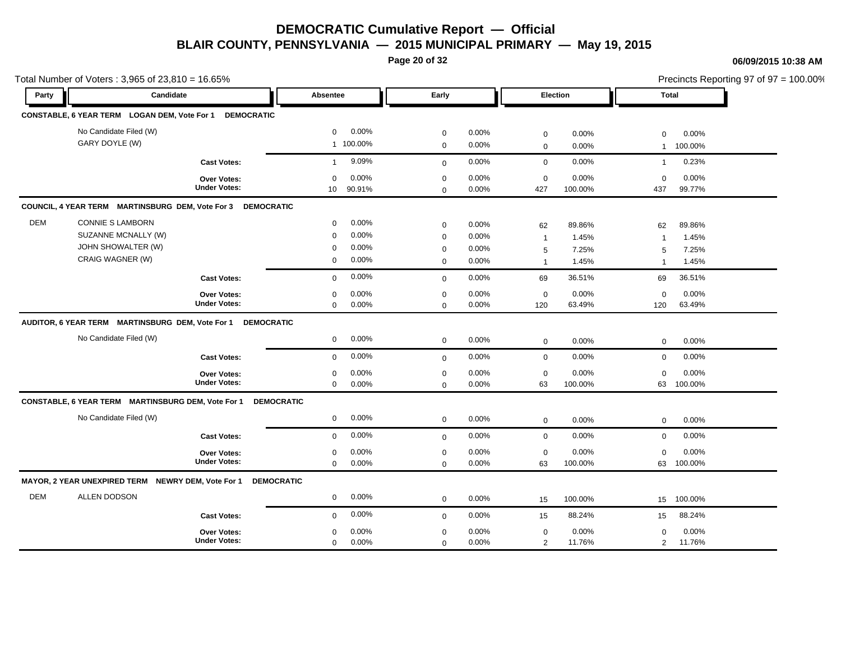**Page 20 of 32**

#### **06/09/2015 10:38 AM**

|            | Total Number of Voters: 3,965 of 23,810 = 16.65%            |                                           |                   |                             |                 |                            |                |                    |                  |                 |                 | Precincts Reporting 97 of $97 = 100.00\%$ |
|------------|-------------------------------------------------------------|-------------------------------------------|-------------------|-----------------------------|-----------------|----------------------------|----------------|--------------------|------------------|-----------------|-----------------|-------------------------------------------|
| Party      | Candidate                                                   |                                           |                   | Absentee                    |                 | Early                      |                | Election           |                  | <b>Total</b>    |                 |                                           |
|            | CONSTABLE, 6 YEAR TERM LOGAN DEM, Vote For 1 DEMOCRATIC     |                                           |                   |                             |                 |                            |                |                    |                  |                 |                 |                                           |
|            | No Candidate Filed (W)                                      |                                           |                   | $\Omega$                    | 0.00%           | $\mathbf 0$                | 0.00%          | $\mathbf 0$        | 0.00%            | $\Omega$        | 0.00%           |                                           |
|            | GARY DOYLE (W)                                              |                                           |                   |                             | 1 100.00%       | $\mathbf 0$                | 0.00%          | $\mathbf 0$        | 0.00%            | $\mathbf{1}$    | 100.00%         |                                           |
|            |                                                             | <b>Cast Votes:</b>                        |                   | $\mathbf{1}$                | 9.09%           | $\mathbf 0$                | 0.00%          | $\mathbf 0$        | 0.00%            | $\mathbf{1}$    | 0.23%           |                                           |
|            |                                                             | <b>Over Votes:</b><br><b>Under Votes:</b> |                   | $\Omega$<br>10 <sup>1</sup> | 0.00%<br>90.91% | $\mathbf 0$<br>$\mathbf 0$ | 0.00%<br>0.00% | $\mathbf 0$<br>427 | 0.00%<br>100.00% | $\Omega$<br>437 | 0.00%<br>99.77% |                                           |
|            | COUNCIL, 4 YEAR TERM MARTINSBURG DEM, Vote For 3 DEMOCRATIC |                                           |                   |                             |                 |                            |                |                    |                  |                 |                 |                                           |
| <b>DEM</b> | <b>CONNIE S LAMBORN</b>                                     |                                           |                   | $\mathbf 0$                 | 0.00%           | $\mathbf 0$                | 0.00%          | 62                 | 89.86%           | 62              | 89.86%          |                                           |
|            | SUZANNE MCNALLY (W)                                         |                                           |                   | $\mathbf 0$                 | 0.00%           | $\mathbf 0$                | 0.00%          | $\overline{1}$     | 1.45%            | $\overline{1}$  | 1.45%           |                                           |
|            | JOHN SHOWALTER (W)                                          |                                           |                   | 0                           | 0.00%           | $\mathbf 0$                | 0.00%          | $\sqrt{5}$         | 7.25%            | 5               | 7.25%           |                                           |
|            | CRAIG WAGNER (W)                                            |                                           |                   | 0                           | 0.00%           | $\mathbf 0$                | 0.00%          | $\mathbf{1}$       | 1.45%            | $\overline{1}$  | 1.45%           |                                           |
|            |                                                             | <b>Cast Votes:</b>                        |                   | $\mathbf 0$                 | 0.00%           | $\mathbf 0$                | 0.00%          | 69                 | 36.51%           | 69              | 36.51%          |                                           |
|            |                                                             | Over Votes:                               |                   | $\mathbf 0$                 | 0.00%           | $\mathbf 0$                | 0.00%          | $\mathbf 0$        | 0.00%            | $\mathbf 0$     | 0.00%           |                                           |
|            |                                                             | <b>Under Votes:</b>                       |                   | $\mathbf 0$                 | 0.00%           | $\mathbf 0$                | 0.00%          | 120                | 63.49%           | 120             | 63.49%          |                                           |
|            | AUDITOR, 6 YEAR TERM MARTINSBURG DEM, Vote For 1 DEMOCRATIC |                                           |                   |                             |                 |                            |                |                    |                  |                 |                 |                                           |
|            |                                                             |                                           |                   |                             |                 |                            |                |                    |                  |                 |                 |                                           |
|            | No Candidate Filed (W)                                      |                                           |                   | $\mathbf{0}$                | 0.00%           | $\mathbf 0$                | 0.00%          | $\mathbf 0$        | 0.00%            | $\mathbf 0$     | 0.00%           |                                           |
|            |                                                             | <b>Cast Votes:</b>                        |                   | $\Omega$                    | 0.00%           | $\mathbf 0$                | 0.00%          | $\mathbf 0$        | 0.00%            | $\mathbf 0$     | 0.00%           |                                           |
|            |                                                             | Over Votes:                               |                   | $\mathbf 0$                 | 0.00%           | $\mathbf 0$                | 0.00%          | $\mathbf 0$        | 0.00%            | $\Omega$        | 0.00%           |                                           |
|            |                                                             | <b>Under Votes:</b>                       |                   | $\mathbf 0$                 | 0.00%           | $\mathbf 0$                | 0.00%          | 63                 | 100.00%          | 63              | 100.00%         |                                           |
|            | CONSTABLE, 6 YEAR TERM MARTINSBURG DEM, Vote For 1          |                                           | <b>DEMOCRATIC</b> |                             |                 |                            |                |                    |                  |                 |                 |                                           |
|            | No Candidate Filed (W)                                      |                                           |                   | $\mathbf 0$                 | 0.00%           | $\mathbf 0$                | 0.00%          | $\mathbf 0$        | 0.00%            | $\mathbf 0$     | 0.00%           |                                           |
|            |                                                             | <b>Cast Votes:</b>                        |                   | $\mathbf 0$                 | 0.00%           | $\mathbf 0$                | 0.00%          | $\mathbf 0$        | 0.00%            | $\mathbf 0$     | 0.00%           |                                           |
|            |                                                             | Over Votes:                               |                   | $\mathbf 0$                 | 0.00%           | $\mathbf 0$                | 0.00%          | $\mathbf 0$        | 0.00%            | $\mathbf 0$     | 0.00%           |                                           |
|            |                                                             | <b>Under Votes:</b>                       |                   | $\mathbf 0$                 | 0.00%           | $\mathbf 0$                | 0.00%          | 63                 | 100.00%          | 63              | 100.00%         |                                           |
|            | MAYOR, 2 YEAR UNEXPIRED TERM NEWRY DEM, Vote For 1          |                                           | <b>DEMOCRATIC</b> |                             |                 |                            |                |                    |                  |                 |                 |                                           |
|            | ALLEN DODSON                                                |                                           |                   | $\mathbf 0$                 | 0.00%           | $\mathbf 0$                | 0.00%          | 15                 | 100.00%          | 15              | 100.00%         |                                           |
|            |                                                             | <b>Cast Votes:</b>                        |                   | $\mathbf 0$                 | 0.00%           | $\mathbf{0}$               | 0.00%          | 15                 | 88.24%           | 15              | 88.24%          |                                           |
| <b>DEM</b> |                                                             | <b>Over Votes:</b>                        |                   | $\mathbf 0$                 | 0.00%           | $\mathbf 0$                | 0.00%          | $\mathbf 0$        | 0.00%            | $\mathbf 0$     | 0.00%           |                                           |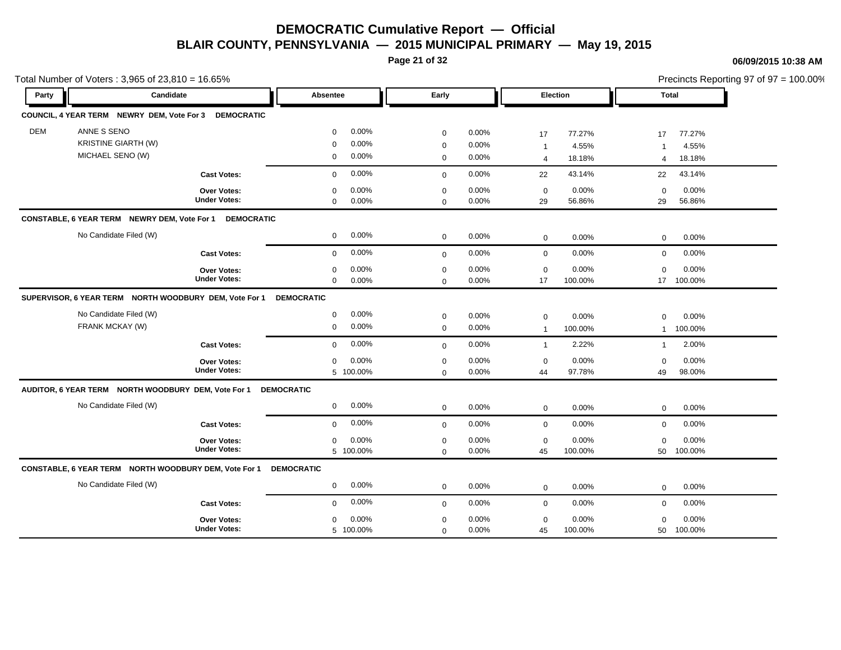**Page 21 of 32**

#### **06/09/2015 10:38 AM**

 $\frac{2}{3}$ rincts Reporting 97 of 97 = 100.00%

|            | Total Number of Voters: 3,965 of 23,810 = 16.65%        |                     |                   |           |              |          |                |         |                |            | Precincts Reporting 97 of 97 = 100.00% |
|------------|---------------------------------------------------------|---------------------|-------------------|-----------|--------------|----------|----------------|---------|----------------|------------|----------------------------------------|
| Party      | Candidate                                               |                     | Absentee          |           | Early        |          | Election       |         | <b>Total</b>   |            |                                        |
|            | COUNCIL, 4 YEAR TERM NEWRY DEM, Vote For 3 DEMOCRATIC   |                     |                   |           |              |          |                |         |                |            |                                        |
| <b>DEM</b> | ANNE S SENO                                             |                     | $\mathbf 0$       | 0.00%     | $\mathbf 0$  | 0.00%    | 17             | 77.27%  | 17             | 77.27%     |                                        |
|            | <b>KRISTINE GIARTH (W)</b>                              |                     | $\mathbf 0$       | 0.00%     | $\mathbf 0$  | 0.00%    | $\overline{1}$ | 4.55%   |                | 4.55%      |                                        |
|            | MICHAEL SENO (W)                                        |                     | 0                 | 0.00%     | $\mathbf 0$  | 0.00%    | $\overline{4}$ | 18.18%  | $\overline{4}$ | 18.18%     |                                        |
|            |                                                         | <b>Cast Votes:</b>  | $\mathbf 0$       | 0.00%     | $\mathbf{0}$ | $0.00\%$ | 22             | 43.14%  | 22             | 43.14%     |                                        |
|            |                                                         | Over Votes:         | $\mathbf 0$       | 0.00%     | $\mathbf 0$  | 0.00%    | $\mathbf 0$    | 0.00%   | $\mathbf 0$    | 0.00%      |                                        |
|            |                                                         | <b>Under Votes:</b> | $\mathbf 0$       | 0.00%     | $\mathbf 0$  | 0.00%    | 29             | 56.86%  | 29             | 56.86%     |                                        |
|            | CONSTABLE, 6 YEAR TERM NEWRY DEM, Vote For 1 DEMOCRATIC |                     |                   |           |              |          |                |         |                |            |                                        |
|            | No Candidate Filed (W)                                  |                     | $\mathbf 0$       | 0.00%     | $\mathbf 0$  | 0.00%    | $\mathbf 0$    | 0.00%   | $\mathbf 0$    | 0.00%      |                                        |
|            |                                                         | <b>Cast Votes:</b>  | $\mathbf 0$       | 0.00%     | $\mathbf 0$  | 0.00%    | $\mathbf 0$    | 0.00%   | $\mathbf 0$    | 0.00%      |                                        |
|            |                                                         | Over Votes:         | $\mathbf 0$       | 0.00%     | $\mathbf 0$  | 0.00%    | $\mathbf 0$    | 0.00%   | $\Omega$       | 0.00%      |                                        |
|            |                                                         | <b>Under Votes:</b> | $\mathbf 0$       | 0.00%     | $\mathbf{0}$ | $0.00\%$ | 17             | 100.00% |                | 17 100.00% |                                        |
|            | SUPERVISOR, 6 YEAR TERM NORTH WOODBURY DEM, Vote For 1  |                     | <b>DEMOCRATIC</b> |           |              |          |                |         |                |            |                                        |
|            | No Candidate Filed (W)                                  |                     | $\mathbf 0$       | 0.00%     | $\mathbf 0$  | 0.00%    | $\mathbf 0$    | 0.00%   | $\mathbf 0$    | 0.00%      |                                        |
|            | FRANK MCKAY (W)                                         |                     | $\mathbf 0$       | 0.00%     | $\mathbf 0$  | 0.00%    | $\overline{1}$ | 100.00% | $\mathbf{1}$   | 100.00%    |                                        |
|            |                                                         | <b>Cast Votes:</b>  | $\mathbf 0$       | 0.00%     | $\mathbf 0$  | 0.00%    | $\overline{1}$ | 2.22%   | $\mathbf{1}$   | 2.00%      |                                        |
|            |                                                         | Over Votes:         | $\mathbf 0$       | 0.00%     | $\mathsf 0$  | 0.00%    | $\mathbf 0$    | 0.00%   | $\mathbf 0$    | 0.00%      |                                        |
|            |                                                         | <b>Under Votes:</b> |                   | 5 100.00% | $\mathbf 0$  | 0.00%    | 44             | 97.78%  | 49             | 98.00%     |                                        |
|            | AUDITOR, 6 YEAR TERM NORTH WOODBURY DEM, Vote For 1     |                     | <b>DEMOCRATIC</b> |           |              |          |                |         |                |            |                                        |
|            | No Candidate Filed (W)                                  |                     | $\mathbf 0$       | 0.00%     | $\mathbf 0$  | 0.00%    | $\mathbf 0$    | 0.00%   | $\mathbf 0$    | 0.00%      |                                        |
|            |                                                         | <b>Cast Votes:</b>  | $\mathbf 0$       | 0.00%     | $\mathbf{0}$ | 0.00%    | $\mathbf 0$    | 0.00%   | 0              | 0.00%      |                                        |
|            |                                                         | Over Votes:         | $\mathbf 0$       | 0.00%     | $\mathbf 0$  | 0.00%    | $\mathbf 0$    | 0.00%   | $\mathbf 0$    | 0.00%      |                                        |
|            |                                                         | <b>Under Votes:</b> |                   | 5 100.00% | $\mathbf 0$  | 0.00%    | 45             | 100.00% | 50             | 100.00%    |                                        |
|            | CONSTABLE, 6 YEAR TERM NORTH WOODBURY DEM, Vote For 1   |                     | <b>DEMOCRATIC</b> |           |              |          |                |         |                |            |                                        |
|            | No Candidate Filed (W)                                  |                     | $\mathbf 0$       | 0.00%     | $\mathbf 0$  | 0.00%    | $\mathbf 0$    | 0.00%   | 0              | 0.00%      |                                        |
|            |                                                         | <b>Cast Votes:</b>  | $\mathbf 0$       | 0.00%     | $\mathbf{0}$ | 0.00%    | $\mathbf 0$    | 0.00%   | $\mathbf 0$    | 0.00%      |                                        |
|            |                                                         | Over Votes:         | $\mathbf 0$       | 0.00%     | $\mathbf 0$  | 0.00%    | $\mathbf 0$    | 0.00%   | $\mathbf 0$    | 0.00%      |                                        |
|            |                                                         | <b>Under Votes:</b> |                   | 5 100.00% | $\mathbf 0$  | 0.00%    | 45             | 100.00% | 50             | 100.00%    |                                        |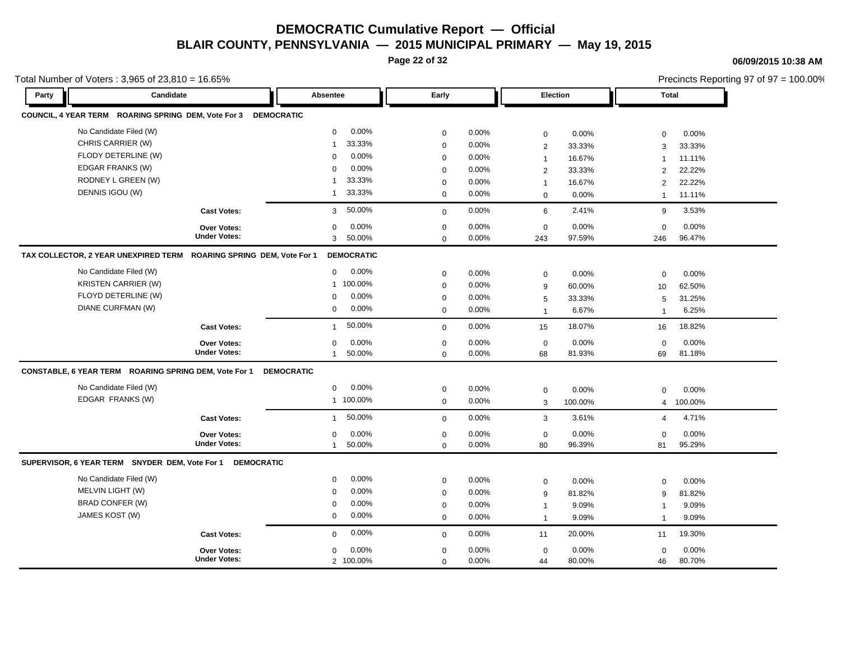**Page 22 of 32**

#### **06/09/2015 10:38 AM**

| Total Number of Voters: 3,965 of 23,810 = 16.65%      |                                                                |                          |             |       |                 |         |                | Precincts Reporting 97 of 97 = 100.00% |
|-------------------------------------------------------|----------------------------------------------------------------|--------------------------|-------------|-------|-----------------|---------|----------------|----------------------------------------|
| Party                                                 | Candidate                                                      | Absentee                 | Early       |       | <b>Election</b> |         |                | <b>Total</b>                           |
|                                                       | COUNCIL, 4 YEAR TERM ROARING SPRING DEM, Vote For 3 DEMOCRATIC |                          |             |       |                 |         |                |                                        |
| No Candidate Filed (W)                                |                                                                | 0.00%<br>$\mathbf 0$     | $\mathbf 0$ | 0.00% | $\mathsf 0$     | 0.00%   | $\mathbf 0$    | 0.00%                                  |
| CHRIS CARRIER (W)                                     |                                                                | 33.33%<br>$\overline{1}$ | $\mathbf 0$ | 0.00% | 2               | 33.33%  | 3              | 33.33%                                 |
| FLODY DETERLINE (W)                                   |                                                                | 0.00%<br>$\Omega$        | $\mathbf 0$ | 0.00% | $\mathbf{1}$    | 16.67%  | $\overline{1}$ | 11.11%                                 |
| EDGAR FRANKS (W)                                      |                                                                | 0.00%<br>$\Omega$        | $\mathbf 0$ | 0.00% | $\overline{2}$  | 33.33%  | $\overline{2}$ | 22.22%                                 |
| RODNEY L GREEN (W)                                    |                                                                | 33.33%<br>$\overline{1}$ | $\mathbf 0$ | 0.00% | $\mathbf{1}$    | 16.67%  | $\overline{2}$ | 22.22%                                 |
| DENNIS IGOU (W)                                       |                                                                | 33.33%<br>$\mathbf{1}$   | $\mathbf 0$ | 0.00% | $\mathbf 0$     | 0.00%   | $\mathbf{1}$   | 11.11%                                 |
|                                                       | <b>Cast Votes:</b>                                             | 50.00%<br>3              | $\mathbf 0$ | 0.00% | 6               | 2.41%   | 9              | 3.53%                                  |
|                                                       | <b>Over Votes:</b>                                             | 0.00%<br>$\mathbf 0$     | $\mathbf 0$ | 0.00% | $\mathbf 0$     | 0.00%   | $\mathbf 0$    | 0.00%                                  |
|                                                       | <b>Under Votes:</b>                                            | 50.00%<br>3              | $\Omega$    | 0.00% | 243             | 97.59%  | 246            | 96.47%                                 |
| TAX COLLECTOR, 2 YEAR UNEXPIRED TERM                  | ROARING SPRING DEM, Vote For 1                                 | <b>DEMOCRATIC</b>        |             |       |                 |         |                |                                        |
| No Candidate Filed (W)                                |                                                                | $0.00\%$<br>$\mathbf 0$  | $\mathbf 0$ | 0.00% | $\mathbf 0$     | 0.00%   | $\mathbf 0$    | 0.00%                                  |
| <b>KRISTEN CARRIER (W)</b>                            |                                                                | 1 100.00%                | $\mathbf 0$ | 0.00% | 9               | 60.00%  | 10             | 62.50%                                 |
| FLOYD DETERLINE (W)                                   |                                                                | 0.00%<br>$\Omega$        | $\mathbf 0$ | 0.00% | 5               | 33.33%  | 5              | 31.25%                                 |
| DIANE CURFMAN (W)                                     |                                                                | 0.00%<br>$\mathbf 0$     | $\mathbf 0$ | 0.00% | $\mathbf{1}$    | 6.67%   | $\mathbf{1}$   | 6.25%                                  |
|                                                       | <b>Cast Votes:</b>                                             | 50.00%<br>$\mathbf{1}$   | $\mathbf 0$ | 0.00% | 15              | 18.07%  | 16             | 18.82%                                 |
|                                                       | <b>Over Votes:</b>                                             | 0.00%<br>$\Omega$        | $\mathbf 0$ | 0.00% | $\mathbf 0$     | 0.00%   | $\mathbf 0$    | 0.00%                                  |
|                                                       | <b>Under Votes:</b>                                            | 50.00%<br>$\mathbf{1}$   | $\Omega$    | 0.00% | 68              | 81.93%  | 69             | 81.18%                                 |
| CONSTABLE, 6 YEAR TERM ROARING SPRING DEM, Vote For 1 |                                                                | <b>DEMOCRATIC</b>        |             |       |                 |         |                |                                        |
| No Candidate Filed (W)                                |                                                                | 0.00%<br>0               | $\mathbf 0$ | 0.00% | $\mathbf 0$     | 0.00%   | $\mathbf 0$    | 0.00%                                  |
| EDGAR FRANKS (W)                                      |                                                                | 1 100.00%                | $\mathbf 0$ | 0.00% | 3               | 100.00% | $\overline{4}$ | 100.00%                                |
|                                                       | <b>Cast Votes:</b>                                             | 50.00%<br>$\mathbf{1}$   | $\mathbf 0$ | 0.00% | 3               | 3.61%   | $\overline{4}$ | 4.71%                                  |
|                                                       | Over Votes:                                                    | 0.00%<br>$\mathbf 0$     | $\mathbf 0$ | 0.00% | $\mathsf 0$     | 0.00%   | $\mathbf 0$    | 0.00%                                  |
|                                                       | <b>Under Votes:</b>                                            | 50.00%<br>$\mathbf{1}$   | $\mathbf 0$ | 0.00% | 80              | 96.39%  | 81             | 95.29%                                 |
| SUPERVISOR, 6 YEAR TERM SNYDER DEM, Vote For 1        | <b>DEMOCRATIC</b>                                              |                          |             |       |                 |         |                |                                        |
| No Candidate Filed (W)                                |                                                                | 0.00%<br>$\mathbf 0$     | $\mathbf 0$ | 0.00% | $\mathsf 0$     | 0.00%   | $\mathbf 0$    | 0.00%                                  |
| MELVIN LIGHT (W)                                      |                                                                | 0.00%<br>$\Omega$        | $\mathbf 0$ | 0.00% | 9               | 81.82%  | 9              | 81.82%                                 |
| <b>BRAD CONFER (W)</b>                                |                                                                | 0.00%<br>0               | 0           | 0.00% | $\mathbf{1}$    | 9.09%   | $\mathbf{1}$   | 9.09%                                  |
| JAMES KOST (W)                                        |                                                                | 0.00%<br>$\mathbf 0$     | $\mathbf 0$ | 0.00% | $\mathbf{1}$    | 9.09%   | $\overline{1}$ | 9.09%                                  |
|                                                       | <b>Cast Votes:</b>                                             | 0.00%<br>$\Omega$        | $\mathbf 0$ | 0.00% | 11              | 20.00%  | 11             | 19.30%                                 |
|                                                       | Over Votes:                                                    | 0.00%<br>$\mathbf 0$     | $\mathbf 0$ | 0.00% | $\mathsf 0$     | 0.00%   | $\mathbf 0$    | 0.00%                                  |
|                                                       | <b>Under Votes:</b>                                            | 2 100.00%                | $\mathbf 0$ | 0.00% | 44              | 80.00%  | 46             | 80.70%                                 |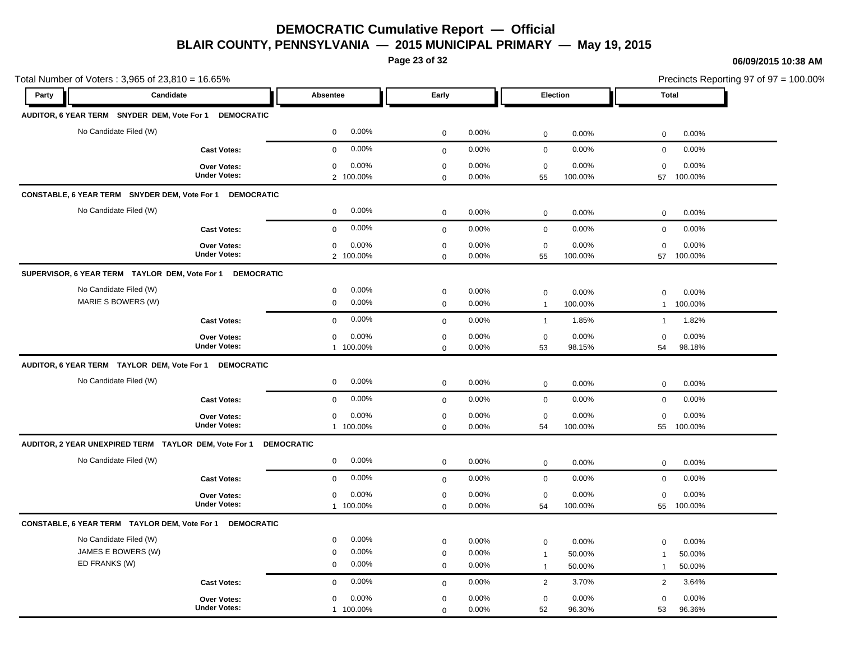**Page 23 of 32**

#### **06/09/2015 10:38 AM**

| Total Number of Voters: 3,965 of 23,810 = 16.65%          |                                    |                                              |                                              |                                      | Precincts Reporting 97 of 97 = 100.00% |  |
|-----------------------------------------------------------|------------------------------------|----------------------------------------------|----------------------------------------------|--------------------------------------|----------------------------------------|--|
| Party<br>Candidate                                        |                                    | Absentee                                     | Early                                        | Election                             | <b>Total</b>                           |  |
| AUDITOR, 6 YEAR TERM SNYDER DEM, Vote For 1               | <b>DEMOCRATIC</b>                  |                                              |                                              |                                      |                                        |  |
| No Candidate Filed (W)                                    |                                    | 0.00%<br>$\mathbf 0$                         | 0.00%<br>$\mathbf 0$                         | 0.00%<br>$\mathbf 0$                 | 0.00%<br>$\mathbf 0$                   |  |
|                                                           | <b>Cast Votes:</b>                 | 0.00%<br>$\mathbf{0}$                        | 0.00%<br>$\mathsf 0$                         | 0.00%<br>$\mathbf 0$                 | 0.00%<br>$\mathbf 0$                   |  |
|                                                           | <b>Over Votes:</b>                 | 0.00%<br>$\mathbf 0$                         | 0.00%<br>$\mathbf 0$                         | 0.00%<br>$\mathbf 0$                 | 0.00%<br>$\mathbf 0$                   |  |
|                                                           | <b>Under Votes:</b>                | 2 100.00%                                    | 0.00%<br>$\mathbf 0$                         | 100.00%<br>55                        | 100.00%<br>57                          |  |
| CONSTABLE, 6 YEAR TERM SNYDER DEM, Vote For 1             | <b>DEMOCRATIC</b>                  |                                              |                                              |                                      |                                        |  |
| No Candidate Filed (W)                                    |                                    | 0.00%<br>$\mathbf 0$                         | $\mathbf 0$<br>0.00%                         | 0.00%<br>$\mathbf 0$                 | 0.00%<br>$\mathbf 0$                   |  |
|                                                           | <b>Cast Votes:</b>                 | 0.00%<br>$\mathbf 0$                         | 0.00%<br>$\mathbf 0$                         | $\mathbf 0$<br>0.00%                 | $\mathbf 0$<br>0.00%                   |  |
|                                                           | Over Votes:<br><b>Under Votes:</b> | 0.00%<br>$\mathbf 0$                         | $\mathbf 0$<br>0.00%                         | $\mathbf 0$<br>0.00%                 | 0.00%<br>$\mathbf 0$                   |  |
|                                                           |                                    | 2 100.00%                                    | 0.00%<br>$\mathbf 0$                         | 55<br>100.00%                        | 100.00%<br>57                          |  |
| SUPERVISOR, 6 YEAR TERM TAYLOR DEM, Vote For 1 DEMOCRATIC |                                    |                                              |                                              |                                      |                                        |  |
| No Candidate Filed (W)<br>MARIE S BOWERS (W)              |                                    | 0.00%<br>$\mathbf 0$<br>$\mathbf 0$<br>0.00% | $\mathbf 0$<br>0.00%<br>0.00%<br>$\mathbf 0$ | $\mathbf 0$<br>0.00%<br>100.00%      | 0.00%<br>$\mathbf 0$<br>100.00%        |  |
|                                                           | <b>Cast Votes:</b>                 | 0.00%<br>$\mathbf{0}$                        | 0.00%                                        | $\overline{1}$<br>1.85%              | $\mathbf{1}$<br>1.82%<br>$\mathbf{1}$  |  |
|                                                           | Over Votes:                        | 0.00%<br>$\mathbf 0$                         | $\mathbf 0$<br>0.00%<br>$\mathbf 0$          | $\mathbf{1}$<br>0.00%<br>$\mathbf 0$ | 0.00%                                  |  |
|                                                           | <b>Under Votes:</b>                | 1 100.00%                                    | $\mathbf 0$<br>0.00%                         | 53<br>98.15%                         | 0<br>54<br>98.18%                      |  |
| AUDITOR, 6 YEAR TERM TAYLOR DEM, Vote For 1 DEMOCRATIC    |                                    |                                              |                                              |                                      |                                        |  |
| No Candidate Filed (W)                                    |                                    | 0.00%<br>$\mathbf 0$                         | 0.00%<br>$\mathbf 0$                         | 0.00%<br>$\mathbf 0$                 | 0.00%<br>$\mathbf 0$                   |  |
|                                                           | <b>Cast Votes:</b>                 | 0.00%<br>$\mathbf{0}$                        | 0.00%<br>$\mathbf 0$                         | 0.00%<br>$\mathbf 0$                 | 0.00%<br>$\mathbf 0$                   |  |
|                                                           | <b>Over Votes:</b>                 | 0.00%<br>$\mathbf 0$                         | 0.00%<br>$\mathbf 0$                         | 0.00%<br>$\mathbf 0$                 | 0.00%<br>$\mathbf 0$                   |  |
|                                                           | <b>Under Votes:</b>                | 1 100.00%                                    | 0.00%<br>$\mathbf 0$                         | 100.00%<br>54                        | 100.00%<br>55                          |  |
| AUDITOR, 2 YEAR UNEXPIRED TERM TAYLOR DEM, Vote For 1     |                                    | <b>DEMOCRATIC</b>                            |                                              |                                      |                                        |  |
| No Candidate Filed (W)                                    |                                    | 0.00%<br>$\mathbf 0$                         | 0.00%<br>$\mathbf 0$                         | 0.00%<br>$\mathbf 0$                 | 0.00%<br>0                             |  |
|                                                           | <b>Cast Votes:</b>                 | 0.00%<br>$\mathbf{0}$                        | 0.00%<br>$\mathbf 0$                         | $\mathbf 0$<br>0.00%                 | 0.00%<br>$\mathbf 0$                   |  |
|                                                           | Over Votes:                        | 0.00%<br>$\mathbf 0$                         | 0.00%<br>$\mathbf 0$                         | 0.00%<br>$\mathbf 0$                 | 0.00%<br>$\mathbf 0$                   |  |
|                                                           | <b>Under Votes:</b>                | 1 100.00%                                    | 0.00%<br>$\mathbf 0$                         | 54<br>100.00%                        | 100.00%<br>55                          |  |
| CONSTABLE, 6 YEAR TERM TAYLOR DEM, Vote For 1             | <b>DEMOCRATIC</b>                  |                                              |                                              |                                      |                                        |  |
| No Candidate Filed (W)                                    |                                    | 0.00%<br>$\mathbf 0$                         | $\mathbf 0$<br>0.00%                         | $\mathbf 0$<br>0.00%                 | 0.00%<br>$\Omega$                      |  |
| JAMES E BOWERS (W)                                        |                                    | 0.00%<br>$\mathbf 0$                         | $\mathbf 0$<br>0.00%                         | 50.00%<br>$\mathbf{1}$               | 50.00%<br>$\mathbf{1}$                 |  |
| ED FRANKS (W)                                             |                                    | 0.00%<br>$\mathbf 0$                         | 0.00%<br>$\mathbf 0$                         | 50.00%<br>$\mathbf{1}$               | 50.00%<br>1                            |  |
|                                                           | <b>Cast Votes:</b>                 | 0.00%<br>$\mathbf 0$                         | 0.00%<br>$\mathbf{0}$                        | 3.70%<br>$\overline{2}$              | 3.64%<br>$\mathbf{2}$                  |  |
|                                                           | <b>Over Votes:</b>                 | 0.00%<br>$\mathbf 0$                         | 0.00%<br>$\mathbf 0$                         | 0.00%<br>$\mathbf 0$                 | 0.00%<br>$\mathbf 0$                   |  |
|                                                           | <b>Under Votes:</b>                | 1 100.00%                                    | 0.00%<br>$\mathbf 0$                         | 96.30%<br>52                         | 96.36%<br>53                           |  |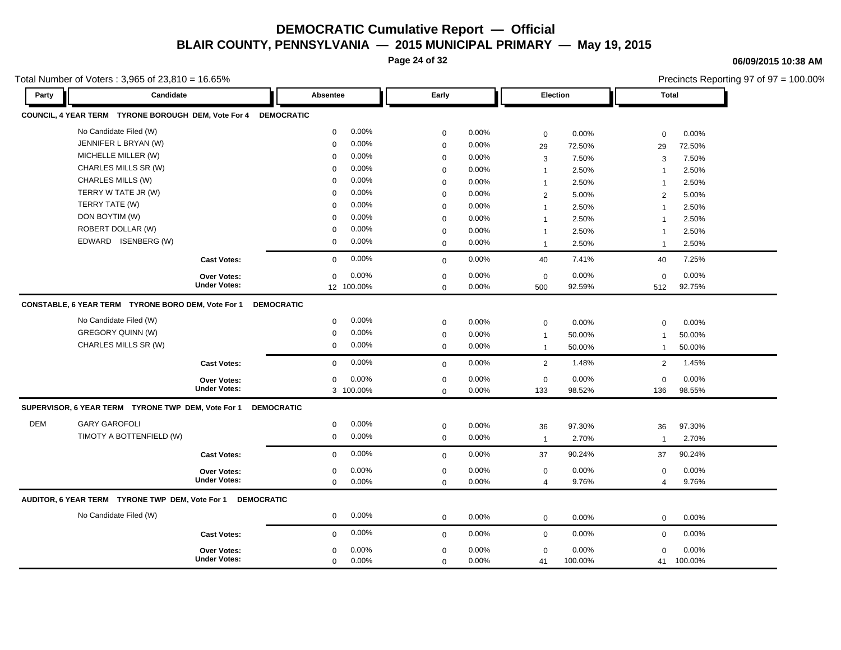**Page 24 of 32**

**06/09/2015 10:38 AM**

Precincts Reporting 97 of 97 = 100.00%

| Party      | Candidate                                           |                                    | Absentee          |                    | Early                      |                   |                    | Election        | <b>Total</b>            |                 |
|------------|-----------------------------------------------------|------------------------------------|-------------------|--------------------|----------------------------|-------------------|--------------------|-----------------|-------------------------|-----------------|
|            | COUNCIL, 4 YEAR TERM TYRONE BOROUGH DEM, Vote For 4 |                                    | <b>DEMOCRATIC</b> |                    |                            |                   |                    |                 |                         |                 |
|            | No Candidate Filed (W)                              |                                    | $\mathbf 0$       | 0.00%              | $\mathbf 0$                | 0.00%             | $\mathbf 0$        | 0.00%           | $\mathbf 0$             | 0.00%           |
|            | JENNIFER L BRYAN (W)                                |                                    | $\mathbf 0$       | 0.00%              | $\mathbf 0$                | 0.00%             | 29                 | 72.50%          | 29                      | 72.50%          |
|            | MICHELLE MILLER (W)                                 |                                    | 0                 | 0.00%              | $\mathbf 0$                | $0.00\%$          | 3                  | 7.50%           | 3                       | 7.50%           |
|            | CHARLES MILLS SR (W)                                |                                    | $\Omega$          | 0.00%              | $\mathbf 0$                | 0.00%             | $\mathbf{1}$       | 2.50%           | $\mathbf{1}$            | 2.50%           |
|            | CHARLES MILLS (W)                                   |                                    | $\mathbf 0$       | 0.00%              | $\mathbf 0$                | 0.00%             | $\mathbf{1}$       | 2.50%           | $\overline{1}$          | 2.50%           |
|            | TERRY W TATE JR (W)                                 |                                    | $\mathbf 0$       | 0.00%              | $\mathbf 0$                | 0.00%             | 2                  | 5.00%           | 2                       | 5.00%           |
|            | TERRY TATE (W)                                      |                                    | $\Omega$          | 0.00%              | $\mathbf 0$                | $0.00\%$          | $\mathbf{1}$       | 2.50%           | $\overline{1}$          | 2.50%           |
|            | DON BOYTIM (W)                                      |                                    | $\Omega$          | 0.00%              | $\mathbf 0$                | 0.00%             | $\mathbf{1}$       | 2.50%           | $\overline{1}$          | 2.50%           |
|            | ROBERT DOLLAR (W)                                   |                                    | $\Omega$          | 0.00%              | $\mathbf 0$                | $0.00\%$          | $\mathbf{1}$       | 2.50%           | $\overline{1}$          | 2.50%           |
|            | EDWARD ISENBERG (W)                                 |                                    | 0                 | 0.00%              | $\mathbf 0$                | 0.00%             | $\mathbf{1}$       | 2.50%           | $\mathbf{1}$            | 2.50%           |
|            |                                                     | <b>Cast Votes:</b>                 | $\mathbf 0$       | 0.00%              | $\mathbf 0$                | 0.00%             | 40                 | 7.41%           | 40                      | 7.25%           |
|            |                                                     | <b>Over Votes:</b>                 | 0                 | 0.00%              | $\mathbf 0$                | $0.00\%$          | $\mathbf 0$        | 0.00%           | $\mathbf 0$             | 0.00%           |
|            |                                                     | <b>Under Votes:</b>                |                   | 12 100.00%         | $\mathbf 0$                | 0.00%             | 500                | 92.59%          | 512                     | 92.75%          |
|            | CONSTABLE, 6 YEAR TERM TYRONE BORO DEM, Vote For 1  |                                    | <b>DEMOCRATIC</b> |                    |                            |                   |                    |                 |                         |                 |
|            | No Candidate Filed (W)                              |                                    | $\mathbf 0$       | 0.00%              | $\mathbf 0$                | 0.00%             | $\mathbf 0$        | 0.00%           | $\mathbf 0$             | 0.00%           |
|            | GREGORY QUINN (W)                                   |                                    | $\mathbf 0$       | 0.00%              | $\mathbf 0$                | 0.00%             | $\mathbf{1}$       | 50.00%          | $\overline{1}$          | 50.00%          |
|            | CHARLES MILLS SR (W)                                |                                    | $\mathbf 0$       | 0.00%              | $\mathbf 0$                | $0.00\%$          | $\mathbf{1}$       | 50.00%          | $\mathbf{1}$            | 50.00%          |
|            |                                                     | <b>Cast Votes:</b>                 | $\mathbf 0$       | 0.00%              | $\Omega$                   | 0.00%             | $\overline{2}$     | 1.48%           | 2                       | 1.45%           |
|            |                                                     |                                    |                   |                    |                            |                   |                    |                 |                         |                 |
|            |                                                     | Over Votes:<br><b>Under Votes:</b> | 0                 | 0.00%<br>3 100.00% | $\mathbf 0$<br>$\mathbf 0$ | 0.00%<br>$0.00\%$ | $\mathbf 0$<br>133 | 0.00%<br>98.52% | $\mathbf 0$<br>136      | 0.00%<br>98.55% |
|            |                                                     |                                    |                   |                    |                            |                   |                    |                 |                         |                 |
|            | SUPERVISOR, 6 YEAR TERM TYRONE TWP DEM, Vote For 1  |                                    | <b>DEMOCRATIC</b> |                    |                            |                   |                    |                 |                         |                 |
| <b>DEM</b> | <b>GARY GAROFOLI</b>                                |                                    | $\mathbf 0$       | 0.00%              | $\mathbf 0$                | 0.00%             | 36                 | 97.30%          | 36                      | 97.30%          |
|            | TIMOTY A BOTTENFIELD (W)                            |                                    | $\mathbf 0$       | 0.00%              | $\mathbf 0$                | 0.00%             | $\overline{1}$     | 2.70%           | $\mathbf{1}$            | 2.70%           |
|            |                                                     | <b>Cast Votes:</b>                 | $\mathbf 0$       | 0.00%              | $\mathbf 0$                | 0.00%             | 37                 | 90.24%          | 37                      | 90.24%          |
|            |                                                     | <b>Over Votes:</b>                 | $\mathbf 0$       | 0.00%              | $\mathbf 0$                | 0.00%             | $\mathbf 0$        | 0.00%           | $\mathbf 0$             | 0.00%           |
|            |                                                     | <b>Under Votes:</b>                | $\mathbf 0$       | 0.00%              | $\mathbf 0$                | 0.00%             | $\overline{4}$     | 9.76%           | $\overline{\mathbf{4}}$ | 9.76%           |
|            | AUDITOR, 6 YEAR TERM TYRONE TWP DEM, Vote For 1     | <b>DEMOCRATIC</b>                  |                   |                    |                            |                   |                    |                 |                         |                 |
|            | No Candidate Filed (W)                              |                                    | $\mathbf 0$       | 0.00%              | $\mathbf 0$                | 0.00%             | $\mathbf{0}$       | 0.00%           | $\mathbf 0$             | 0.00%           |
|            |                                                     | <b>Cast Votes:</b>                 | $\mathbf 0$       | 0.00%              | $\mathbf 0$                | 0.00%             | $\mathbf 0$        | 0.00%           | $\mathbf 0$             | 0.00%           |
|            |                                                     | <b>Over Votes:</b>                 | $\mathbf 0$       | 0.00%              | $\mathbf 0$                | 0.00%             | $\mathbf 0$        | 0.00%           | $\mathbf 0$             | 0.00%           |
|            |                                                     | <b>Under Votes:</b>                | $\Omega$          | 0.00%              | $\Omega$                   | 0.00%             | 41                 | 100.00%         |                         | 41 100.00%      |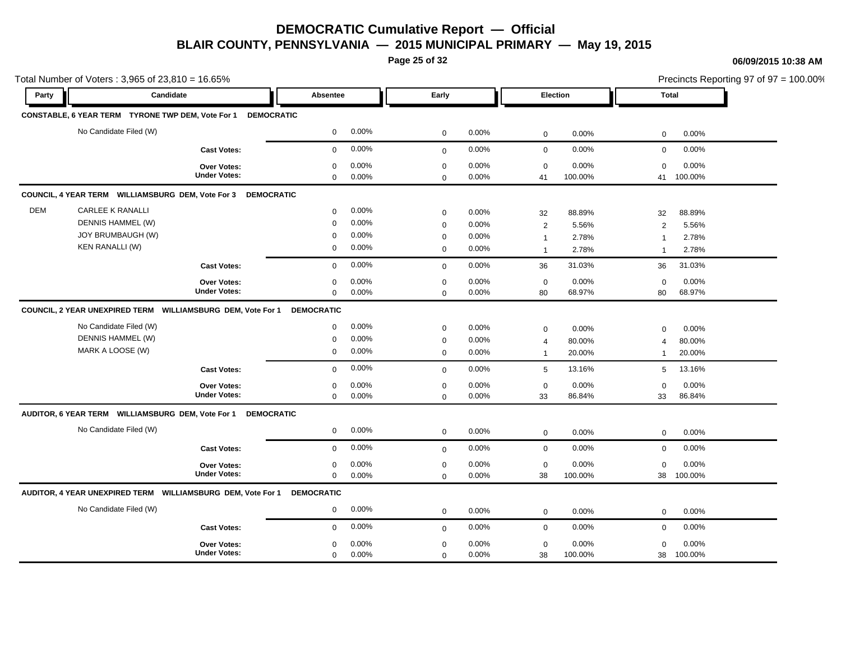**Page 25 of 32**

#### **06/09/2015 10:38 AM**

| Total Number of Voters: 3,965 of 23,810 = 16.65% |                                                                                             |                                           |                         |                                  |                                                |                                  |                                                 |                                   |                                                        | Precincts Reporting 97 of 97 = 100.00% |  |  |
|--------------------------------------------------|---------------------------------------------------------------------------------------------|-------------------------------------------|-------------------------|----------------------------------|------------------------------------------------|----------------------------------|-------------------------------------------------|-----------------------------------|--------------------------------------------------------|----------------------------------------|--|--|
| Party                                            | Candidate                                                                                   |                                           | Absentee                |                                  | Early                                          |                                  | Election                                        |                                   | <b>Total</b>                                           |                                        |  |  |
|                                                  | CONSTABLE, 6 YEAR TERM TYRONE TWP DEM, Vote For 1                                           | <b>DEMOCRATIC</b>                         |                         |                                  |                                                |                                  |                                                 |                                   |                                                        |                                        |  |  |
|                                                  | No Candidate Filed (W)                                                                      |                                           | $\mathbf 0$             | 0.00%                            | $\mathbf 0$                                    | 0.00%                            | $\mathbf 0$                                     | 0.00%                             | 0                                                      | 0.00%                                  |  |  |
|                                                  |                                                                                             | <b>Cast Votes:</b>                        | 0                       | 0.00%                            | $\mathbf 0$                                    | 0.00%                            | $\mathbf 0$                                     | 0.00%                             | $\mathbf 0$                                            | 0.00%                                  |  |  |
|                                                  |                                                                                             | Over Votes:<br><b>Under Votes:</b>        | $\Omega$<br>0           | 0.00%<br>0.00%                   | 0<br>0                                         | 0.00%<br>0.00%                   | $\mathbf 0$<br>41                               | 0.00%<br>100.00%                  | $\mathbf 0$<br>41                                      | 0.00%<br>100.00%                       |  |  |
|                                                  | COUNCIL, 4 YEAR TERM WILLIAMSBURG DEM, Vote For 3 DEMOCRATIC                                |                                           |                         |                                  |                                                |                                  |                                                 |                                   |                                                        |                                        |  |  |
| <b>DEM</b>                                       | <b>CARLEE K RANALLI</b><br>DENNIS HAMMEL (W)<br>JOY BRUMBAUGH (W)<br><b>KEN RANALLI (W)</b> |                                           | 0<br>0<br>$\Omega$<br>0 | 0.00%<br>0.00%<br>0.00%<br>0.00% | 0<br>$\mathbf 0$<br>$\mathbf 0$<br>$\mathbf 0$ | 0.00%<br>0.00%<br>0.00%<br>0.00% | 32<br>$\sqrt{2}$<br>$\mathbf{1}$<br>$\mathbf 1$ | 88.89%<br>5.56%<br>2.78%<br>2.78% | 32<br>$\overline{c}$<br>$\overline{1}$<br>$\mathbf{1}$ | 88.89%<br>5.56%<br>2.78%<br>2.78%      |  |  |
|                                                  |                                                                                             | <b>Cast Votes:</b>                        | 0                       | 0.00%                            | $\mathbf 0$                                    | 0.00%                            | 36                                              | 31.03%                            | 36                                                     | 31.03%                                 |  |  |
|                                                  |                                                                                             | <b>Over Votes:</b><br><b>Under Votes:</b> | 0<br>0                  | 0.00%<br>0.00%                   | $\mathbf 0$<br>$\mathbf 0$                     | 0.00%<br>0.00%                   | $\mathbf 0$<br>80                               | 0.00%<br>68.97%                   | $\mathbf 0$<br>80                                      | 0.00%<br>68.97%                        |  |  |
|                                                  | COUNCIL, 2 YEAR UNEXPIRED TERM WILLIAMSBURG DEM, Vote For 1                                 |                                           | <b>DEMOCRATIC</b>       |                                  |                                                |                                  |                                                 |                                   |                                                        |                                        |  |  |
|                                                  | No Candidate Filed (W)<br>DENNIS HAMMEL (W)<br>MARK A LOOSE (W)                             |                                           | 0<br>0<br>0             | 0.00%<br>0.00%<br>0.00%          | $\mathbf 0$<br>$\mathbf 0$<br>$\mathbf 0$      | 0.00%<br>0.00%<br>0.00%          | 0<br>4<br>$\mathbf{1}$                          | 0.00%<br>80.00%<br>20.00%         | $\mathbf 0$<br>$\overline{4}$<br>$\mathbf{1}$          | 0.00%<br>80.00%<br>20.00%              |  |  |
|                                                  |                                                                                             | <b>Cast Votes:</b>                        | 0                       | 0.00%                            | $\mathbf 0$                                    | 0.00%                            | 5                                               | 13.16%                            | 5                                                      | 13.16%                                 |  |  |
|                                                  |                                                                                             | <b>Over Votes:</b><br><b>Under Votes:</b> | 0<br>0                  | 0.00%<br>0.00%                   | $\mathbf 0$<br>$\mathbf 0$                     | 0.00%<br>0.00%                   | $\mathbf 0$<br>33                               | 0.00%<br>86.84%                   | $\mathbf 0$<br>33                                      | 0.00%<br>86.84%                        |  |  |
|                                                  | AUDITOR, 6 YEAR TERM    WILLIAMSBURG DEM, Vote For 1    DEMOCRATIC                          |                                           |                         |                                  |                                                |                                  |                                                 |                                   |                                                        |                                        |  |  |
|                                                  | No Candidate Filed (W)                                                                      |                                           | 0                       | 0.00%                            | $\mathbf 0$                                    | 0.00%                            | $\mathbf 0$                                     | 0.00%                             | $\mathbf 0$                                            | 0.00%                                  |  |  |
|                                                  |                                                                                             | <b>Cast Votes:</b>                        | 0                       | 0.00%                            | $\mathbf 0$                                    | 0.00%                            | $\mathbf 0$                                     | 0.00%                             | 0                                                      | 0.00%                                  |  |  |
|                                                  |                                                                                             | <b>Over Votes:</b><br><b>Under Votes:</b> | 0<br>0                  | 0.00%<br>0.00%                   | 0<br>0                                         | 0.00%<br>0.00%                   | $\pmb{0}$<br>38                                 | 0.00%<br>100.00%                  | $\mathsf 0$<br>38                                      | 0.00%<br>100.00%                       |  |  |
|                                                  | AUDITOR, 4 YEAR UNEXPIRED TERM WILLIAMSBURG DEM, Vote For 1                                 |                                           | <b>DEMOCRATIC</b>       |                                  |                                                |                                  |                                                 |                                   |                                                        |                                        |  |  |
|                                                  | No Candidate Filed (W)                                                                      |                                           | 0                       | 0.00%                            | $\mathbf 0$                                    | 0.00%                            | 0                                               | 0.00%                             | 0                                                      | 0.00%                                  |  |  |
|                                                  |                                                                                             | <b>Cast Votes:</b>                        | $\mathbf{0}$            | 0.00%                            | $\mathbf 0$                                    | 0.00%                            | $\mathbf 0$                                     | 0.00%                             | 0                                                      | 0.00%                                  |  |  |
|                                                  |                                                                                             | <b>Over Votes:</b><br><b>Under Votes:</b> | 0<br>0                  | 0.00%<br>0.00%                   | 0<br>$\mathbf 0$                               | 0.00%<br>0.00%                   | $\mathbf 0$<br>38                               | 0.00%<br>100.00%                  | $\mathbf 0$<br>38                                      | 0.00%<br>100.00%                       |  |  |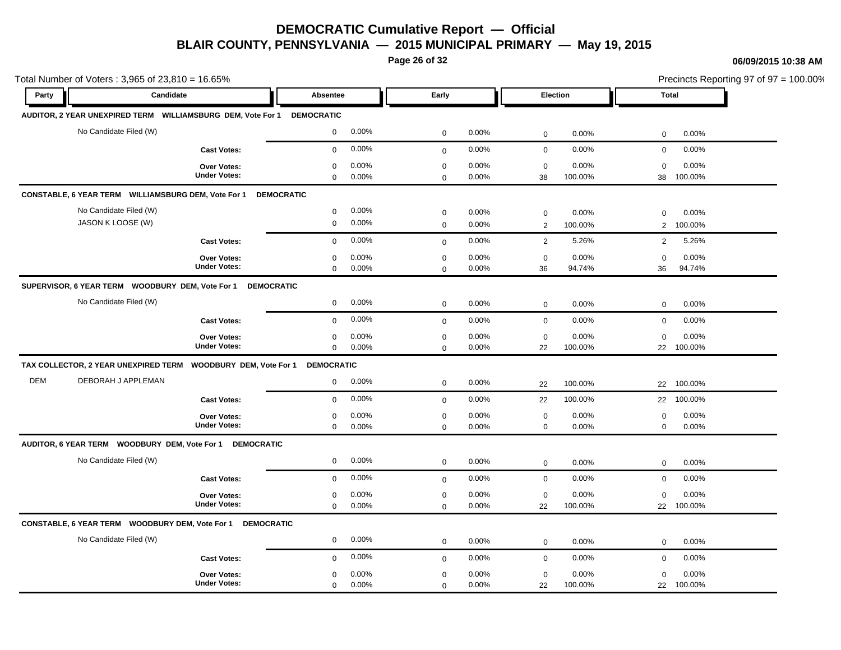**Page 26 of 32**

#### **06/09/2015 10:38 AM**

| Total Number of Voters: 3,965 of 23,810 = 16.65% |                                                                        |                                           |                            |                |                                 |                |                            | Precincts Reporting 97 of 97 = 100.00% |                   |                     |  |
|--------------------------------------------------|------------------------------------------------------------------------|-------------------------------------------|----------------------------|----------------|---------------------------------|----------------|----------------------------|----------------------------------------|-------------------|---------------------|--|
| Party                                            | Candidate                                                              |                                           | Absentee                   |                | Early                           |                |                            | Election                               |                   | <b>Total</b>        |  |
|                                                  | AUDITOR, 2 YEAR UNEXPIRED TERM WILLIAMSBURG DEM, Vote For 1 DEMOCRATIC |                                           |                            |                |                                 |                |                            |                                        |                   |                     |  |
|                                                  | No Candidate Filed (W)                                                 |                                           | 0                          | 0.00%          | $\mathbf 0$                     | 0.00%          | $\mathsf{O}\xspace$        | 0.00%                                  | $\mathbf 0$       | 0.00%               |  |
|                                                  |                                                                        | <b>Cast Votes:</b>                        | 0                          | 0.00%          | $\mathbf 0$                     | 0.00%          | $\mathsf{O}\xspace$        | 0.00%                                  | $\mathbf 0$       | 0.00%               |  |
|                                                  |                                                                        | Over Votes:<br><b>Under Votes:</b>        | 0<br>0                     | 0.00%<br>0.00% | $\mathbf 0$<br>$\mathbf 0$      | 0.00%<br>0.00% | $\mathbf 0$<br>38          | 0.00%<br>100.00%                       | $\mathbf 0$<br>38 | 0.00%<br>100.00%    |  |
|                                                  | CONSTABLE, 6 YEAR TERM WILLIAMSBURG DEM, Vote For 1                    |                                           | <b>DEMOCRATIC</b>          |                |                                 |                |                            |                                        |                   |                     |  |
|                                                  | No Candidate Filed (W)<br>JASON K LOOSE (W)                            |                                           | 0<br>0                     | 0.00%<br>0.00% | $\mathbf 0$<br>$\boldsymbol{0}$ | 0.00%<br>0.00% | $\mathbf 0$<br>2           | 0.00%<br>100.00%                       | $\mathbf 0$<br>2  | 0.00%<br>100.00%    |  |
|                                                  |                                                                        | <b>Cast Votes:</b>                        | $\mathbf 0$                | 0.00%          | $\boldsymbol{0}$                | 0.00%          | $\overline{2}$             | 5.26%                                  | 2                 | 5.26%               |  |
|                                                  |                                                                        | Over Votes:<br><b>Under Votes:</b>        | 0<br>0                     | 0.00%<br>0.00% | $\mathbf 0$<br>$\mathbf 0$      | 0.00%<br>0.00% | $\mathbf 0$<br>36          | 0.00%<br>94.74%                        | $\mathbf 0$<br>36 | 0.00%<br>94.74%     |  |
|                                                  | SUPERVISOR, 6 YEAR TERM WOODBURY DEM, Vote For 1 DEMOCRATIC            |                                           |                            |                |                                 |                |                            |                                        |                   |                     |  |
|                                                  | No Candidate Filed (W)                                                 |                                           | 0                          | 0.00%          | $\mathbf 0$                     | 0.00%          | $\mathsf{O}\xspace$        | 0.00%                                  | $\mathbf 0$       | 0.00%               |  |
|                                                  |                                                                        | <b>Cast Votes:</b>                        | $\mathbf 0$                | 0.00%          | $\mathbf 0$                     | 0.00%          | $\mathbf 0$                | 0.00%                                  | $\mathbf 0$       | 0.00%               |  |
|                                                  |                                                                        | Over Votes:<br><b>Under Votes:</b>        | 0<br>$\mathbf{0}$          | 0.00%<br>0.00% | $\boldsymbol{0}$<br>$\mathbf 0$ | 0.00%<br>0.00% | $\mathbf 0$<br>22          | 0.00%<br>100.00%                       | $\mathbf 0$       | 0.00%<br>22 100.00% |  |
|                                                  | TAX COLLECTOR, 2 YEAR UNEXPIRED TERM                                   | <b>WOODBURY DEM, Vote For 1</b>           | <b>DEMOCRATIC</b>          |                |                                 |                |                            |                                        |                   |                     |  |
| <b>DEM</b>                                       | DEBORAH J APPLEMAN                                                     |                                           | $\mathbf 0$                | 0.00%          | $\mathbf 0$                     | 0.00%          | 22                         | 100.00%                                | 22                | 100.00%             |  |
|                                                  |                                                                        | <b>Cast Votes:</b>                        | $\mathbf 0$                | 0.00%          | $\mathbf 0$                     | 0.00%          | 22                         | 100.00%                                | 22                | 100.00%             |  |
|                                                  |                                                                        | Over Votes:<br><b>Under Votes:</b>        | 0<br>0                     | 0.00%<br>0.00% | 0<br>$\mathbf 0$                | 0.00%<br>0.00% | $\mathbf 0$<br>$\mathbf 0$ | 0.00%<br>0.00%                         | 0<br>$\mathbf 0$  | 0.00%<br>0.00%      |  |
|                                                  | AUDITOR, 6 YEAR TERM WOODBURY DEM, Vote For 1 DEMOCRATIC               |                                           |                            |                |                                 |                |                            |                                        |                   |                     |  |
|                                                  | No Candidate Filed (W)                                                 |                                           | 0                          | 0.00%          | $\mathbf 0$                     | 0.00%          | $\mathbf 0$                | 0.00%                                  | $\mathbf 0$       | 0.00%               |  |
|                                                  |                                                                        | <b>Cast Votes:</b>                        | $\mathbf 0$                | 0.00%          | $\mathbf 0$                     | 0.00%          | $\mathsf{O}\xspace$        | 0.00%                                  | $\mathbf 0$       | 0.00%               |  |
|                                                  |                                                                        | Over Votes:<br><b>Under Votes:</b>        | $\mathbf 0$<br>$\mathbf 0$ | 0.00%<br>0.00% | $\mathbf 0$<br>$\mathbf 0$      | 0.00%<br>0.00% | $\mathbf 0$<br>22          | 0.00%<br>100.00%                       | $\mathbf 0$<br>22 | 0.00%<br>100.00%    |  |
|                                                  | CONSTABLE, 6 YEAR TERM WOODBURY DEM, Vote For 1 DEMOCRATIC             |                                           |                            |                |                                 |                |                            |                                        |                   |                     |  |
|                                                  | No Candidate Filed (W)                                                 |                                           | 0                          | 0.00%          | $\mathbf 0$                     | 0.00%          | $\mathbf 0$                | 0.00%                                  | $\mathbf 0$       | 0.00%               |  |
|                                                  |                                                                        | <b>Cast Votes:</b>                        | $\mathbf 0$                | 0.00%          | $\mathbf 0$                     | 0.00%          | $\mathsf{O}\xspace$        | 0.00%                                  | $\mathbf 0$       | 0.00%               |  |
|                                                  |                                                                        | <b>Over Votes:</b><br><b>Under Votes:</b> | 0<br>0                     | 0.00%<br>0.00% | $\mathbf 0$<br>$\boldsymbol{0}$ | 0.00%<br>0.00% | $\mathbf 0$<br>22          | 0.00%<br>100.00%                       | $\mathbf 0$       | 0.00%<br>22 100.00% |  |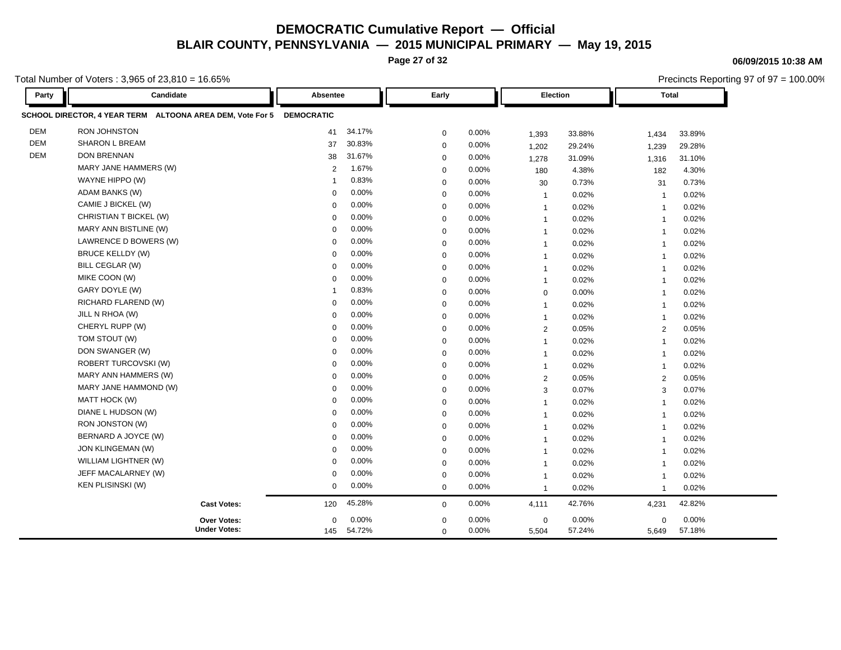**Page 27 of 32**

Total Number of Voters : 3,965 of 23,810 = 16.65%

**Party Candidate Absentee Early Election Total SCHOOL DIRECTOR, 4 YEAR TERM ALTOONA AREA DEM, Vote For 5 DEMOCRATIC** DEM RON JOHNSTON 41 34.17% 0 0.00% 1,393 33.88% 1,434 33.89% DEM SHARON L BREAM 37 30.83% 0 0.00% 1,202 29.24% 1,239 29.28% DEM DON BRENNAN 38 31.67% 0 0.00% 1,278 31.09% 1,316 31.10% MARY JANE HAMMERS (W) 2 1.67% 0 0.00% 180 4.38% 182 4.30% WAYNE HIPPO (W) 1 0.83% 0 0.00% 30 0.73% 31 0.73% ADAM BANKS (W) 0 0.00% 0 0.00% 1 0.02% 1 0.02% CAMIE J BICKEL (W) 0 0.00% 0 0.00% 1 0.02% 1 0.02% CHRISTIAN T BICKEL (W) 0 0.00% 0 0.00% 1 0.02% 1 0.02% MARY ANN BISTLINE (W) 0 0.00% 0 0.00% 1 0.02% 1 0.02% LAWRENCE D BOWERS (W) 0 0.00% 0 0.00% 1 0.02% 1 0.02% BRUCE KELLDY (W) 0 0.00% 0 0.00% 1 0.02% 1 0.02% BILL CEGLAR (W) 0 0.00% 0 0.00% 1 0.02% 1 0.02% MIKE COON (W) 0 0.00% 0 0.00% 1 0.02% 1 0.02% GARY DOYLE (W) 1 0.83% 0 0.00% 0 0.00% 1 0.02% RICHARD FLAREND (W) 0 0.00% 0 0.00% 1 0.02% 1 0.02% JILL N RHOA (W) 0 0.00% 0 0.00% 1 0.02% 1 0.02% CHERYL RUPP (W) 0 0.00% 0 0.00% 2 0.05% 2 0.05% TOM STOUT (W) 0 0.00% 0 0.00% 1 0.02% 1 0.02% DON SWANGER (W) 0 0.00% 0 0.00% 1 0.02% 1 0.02% ROBERT TURCOVSKI (W) 0 0.00% <sub>0</sub> 0.00% 1 0.02% 1 0.02% MARY ANN HAMMERS (W) 0 0.00% 0 0.00% 2 0.05% 2 0.05% MARY JANE HAMMOND (W) 0 0.00% 0 0.00% 3 0.07% 3 0.07% MATT HOCK (W) 0 0.00% 0 0.00% 1 0.02% 1 0.02% 1 DIANE L HUDSON (W) 0 0.00% 0 0.00% 1 0.02% 1 0.02% RON JONSTON (W) 0 0.00% 0 0.00% 1 0.02% 1 0.02% BERNARD A JOYCE (W) 0 0.00% 0 0.00% 1 0.02% 1 0.02% JON KLINGEMAN (W) 0 0.00% 0 0.00% 1 0.02% 1 0.02% WILLIAM LIGHTNER (W) 0 0.00% 0 0.00% 1 0.02% 1 0.02% JEFF MACALARNEY (W) 0 0.00% 0 0.00% 1 0.02% 1 0.02% KEN PLISINSKI (W) 0 0.00% 0 0.00% 1 0.02% 1 0.02% **Cast Votes:** 120 45.28% 0 0.00% 4,111 42.76% 4,231 42.82% 5,649 57.18% 57.24% 0 0.00% 5,504 0.00% 0 0.00% **Under Votes: Over Votes:** 54.72% 145  $0.00\%$  0.00% 0.00% 0.00% 0.00% 0.00%  $0.00\%$  $0.00\%$ 0

#### **06/09/2015 10:38 AM**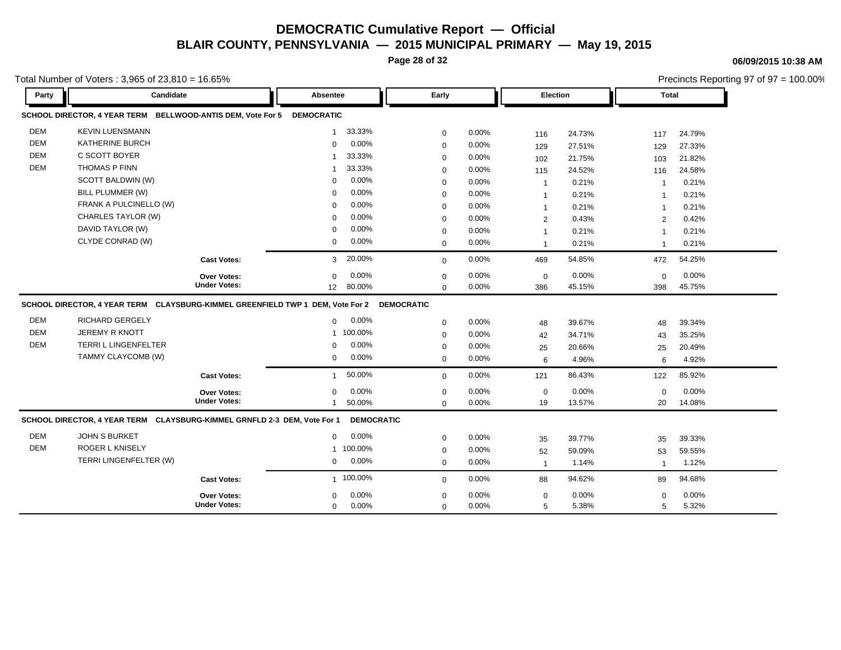**Page 28 of 32**

**06/09/2015 10:38 AM**

Precincts Reporting 97 of 97 = 100.00%

Total Number of Voters : 3,965 of 23,810 = 16.65%

**Party Candidate Absentee Early Election Total SCHOOL DIRECTOR, 4 YEAR TERM BELLWOOD-ANTIS DEM, Vote For 5 DEMOCRATIC** DEM KEVIN LUENSMANN 1 33.33% 0 0.00% 116 24.73% 117 24.79% DEM KATHERINE BURCH 0 0.00% 0 0.00% 129 27.51% 129 27.33% DEM C SCOTT BOYER 1 33.33% 0 0.00% 102 21.75% 103 21.82% DEM THOMAS P FINN 1 33.33% 0 0.00% 115 24.52% 116 24.58% SCOTT BALDWIN (W) 0 0.00% 0 0.00% 1 0.21% 1 0.21% BILL PLUMMER (W) 0 0.00% 0 0.00% 1 0.21% 1 0.21% FRANK A PULCINELLO (W) 0 0.00% 0 0.00% 1 0.21% 1 0.21% CHARLES TAYLOR (W) 0 0.00% 0 0.00% 2 0.43% 2 0.42% DAVID TAYLOR (W) 0 0.00% 0 0.00% 1 0.21% 1 0.21% CLYDE CONRAD (W) 0 0.00% 0 0.00% 1 0.21% 1 0.21% **Cast Votes:** 3 20.00% 0 0.00% 469 54.85% 472 54.25% 398 45.75% 45.15% 0 0.00% 386 0.00% 0 0.00% **Under Votes: Over Votes:** 80.00% 12  $0.00\%$  0.00% 0.00% 0.00% 0.00% 0.00% 0 0.00% 0 0.00%  $0.00\%$ **SCHOOL DIRECTOR, 4 YEAR TERM CLAYSBURG-KIMMEL GREENFIELD TWP 1 DEM, Vote For 2 DEMOCRATIC** DEM RICHARD GERGELY 0 0.00% 0 0.00% 48 39.67% 48 39.34% DEM JEREMY R KNOTT 1 100.00% 0 0.00% 42 34.71% 43 35.25% DEM TERRI L LINGENFELTER 0 0.00% 0 0.00% 25 20.66% 25 20.49% TAMMY CLAYCOMB (W) 0 0.00% 0 0.00% 6 4.96% 6 4.92% **Cast Votes:** 1 50.00% 0 0.00% 121 86.43% 122 85.92% 20 14.08% 13.57% 0 0.00% 19 0.00% 0 0.00% **Under Votes: Over Votes:** 50.00% 1  $0.00\%$  0.00% 0.00% 0.00% 0.00% 0.00%  $0$  0.00% 0 0.00%  $0.00\%$ **SCHOOL DIRECTOR, 4 YEAR TERM CLAYSBURG-KIMMEL GRNFLD 2-3 DEM, Vote For 1 DEMOCRATIC** DEM JOHN S BURKET 0 0.00% 0 0.00% 35 39.77% 35 39.33% DEM ROGER L KNISELY 1 100.00% 0 0.00% 52 59.09% 53 59.55% TERRI LINGENFELTER (W) 0 0.00% 0 0.00% 1 1.14% 1 1.12% **Cast Votes:** 1 100.00% 0 0.00% 88 94.62% 89 94.68% 5 5.32% 5.38% 0 0.00% 5 0.00% 0 0.00% **Under Votes: Over Votes:** 0 0.00% 0 0.00% 0.00%  $0.00\%$  0.00% 0.00% 0.00% 0.00% 0.00%  $0$  0.00% 0 0.00% 0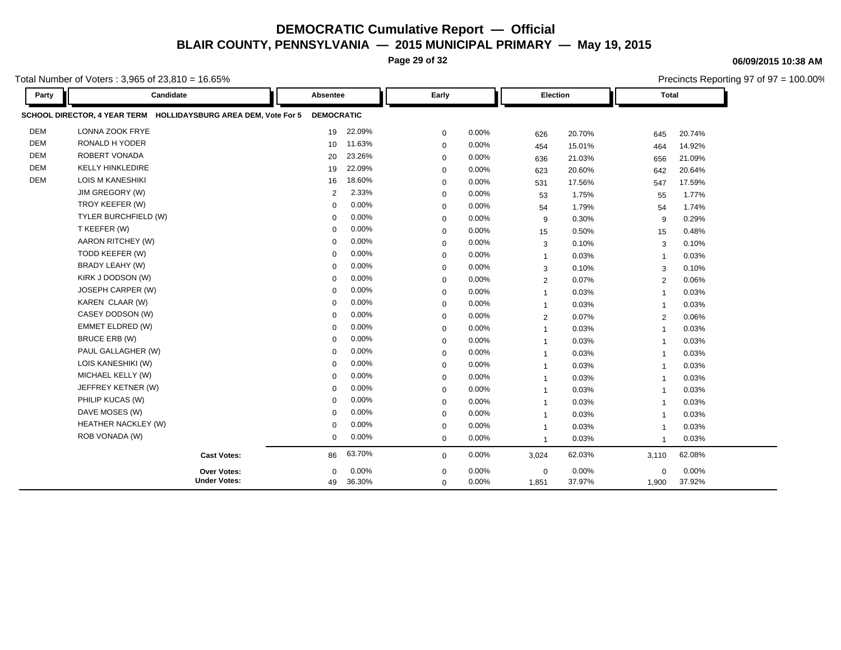**Page 29 of 32**

Total Number of Voters : 3,965 of 23,810 = 16.65%

**Party Candidate Absentee Early Election Total SCHOOL DIRECTOR, 4 YEAR TERM HOLLIDAYSBURG AREA DEM, Vote For 5 DEMOCRATIC** DEM LONNA ZOOK FRYE 19 22.09% 0 0.00% 626 20.70% 645 20.74% DEM RONALD H YODER 10 11.63% 0 0.00% 454 15.01% 464 14.92% DEM ROBERT VONADA 20 23.26% 0 0.00% 636 21.03% 656 21.09% DEM KELLY HINKLEDIRE 19 22.09% 0 0.00% 623 20.60% 642 20.64% DEM LOIS M KANESHIKI 16 18.60% 0 0.00% 531 17.56% 547 17.59% JIM GREGORY (W) 2 2.33% 0 0.00% 53 1.75% 55 1.77% TROY KEEFER (W) 0 0.00% 0 0.00% 54 1.79% 54 1.74% TYLER BURCHFIELD (W) 0 0.00% 0 0.00% 9 0.30% 9 0.29% T KEEFER (W) 0 0.00% 0 0.00% 15 0.50% 15 0.48% AARON RITCHEY (W) 0 0.00% 0 0.00% 3 0.10% 3 0.10% TODD KEEFER (W) 0 0.00% 0 0.00% 1 0.03% 1 0.03% BRADY LEAHY (W) 0 0.00% 0 0.00% 3 0.10% 3 0.10% KIRK J DODSON (W) 0 0.00% 0 0.00% 2 0.07% 2 0.06% JOSEPH CARPER (W) 0 0.00% 0 0.00% 1 0.03% 1 0.03% KAREN CLAAR (W) 0 0.00% 0 0.00% 1 0.03% 1 0.03% CASEY DODSON (W) 0 0.00% 0 0.00% 2 0.07% 2 0.06% EMMET ELDRED (W) 0 0.00% 0 0.00% 1 0.03% 1 0.03% BRUCE ERB (W) 0 0.00% 0 0.00% 1 0.03% 1 0.03% PAUL GALLAGHER (W) 0 0.00% 0 0.00% 1 0.03% 1 0.03% LOIS KANESHIKI (W) 0 0.00% 0 0.00% 1 0.03% 1 0.03% MICHAEL KELLY (W) 0 0.00% 0 0.00% 1 0.03% 1 0.03% JEFFREY KETNER (W) 0 0.00% 0 0.00% 1 0.03% 1 0.03% PHILIP KUCAS (W) 0 0.00% 0 0.00% 1 0.03% 1 0.03% DAVE MOSES (W) 0 0.00% 0 0.00% 1 0.03% 1 0.03% HEATHER NACKLEY (W) 0 0.00% 0 0.00% 1 0.03% 1 0.03% ROB VONADA (W) 0 0.00% 0 0.00% 1 0.03% 1 0.03% **Cast Votes:** 86 63.70% 0 0.00% 3,024 62.03% 3,110 62.08% 1,900 37.92% 37.97% 0 0.00% 1,851 0.00% 0 0.00% **Under Votes: Over Votes:** 36.30% 49  $0.00\%$  0.00% 0.00% 0.00% 0.00% 0.00% 0 0.00% 0 0.00%  $\Omega$ 

#### **06/09/2015 10:38 AM**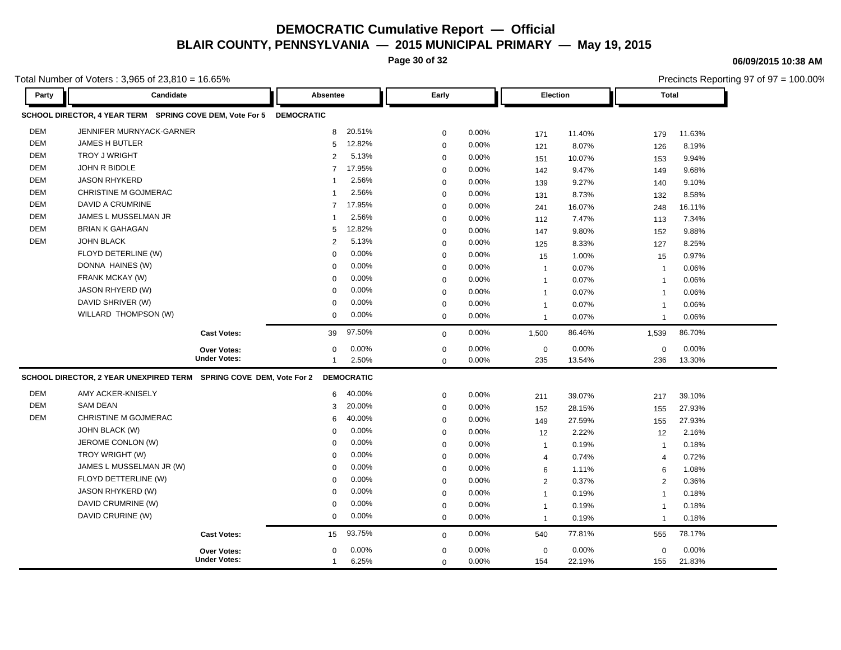**Page 30 of 32**

**06/09/2015 10:38 AM**

| otal Number of Voters: $3,965$ of $23,810 = 16.65\%$ |                                                                     |                     |                          |             |          |                |                 | Precincts Reporting 97 of 97 = 100.00% |              |  |
|------------------------------------------------------|---------------------------------------------------------------------|---------------------|--------------------------|-------------|----------|----------------|-----------------|----------------------------------------|--------------|--|
| Party                                                | Candidate                                                           |                     | Absentee                 | Early       |          |                | <b>Election</b> |                                        | <b>Total</b> |  |
|                                                      | SCHOOL DIRECTOR, 4 YEAR TERM SPRING COVE DEM, Vote For 5 DEMOCRATIC |                     |                          |             |          |                |                 |                                        |              |  |
| <b>DEM</b>                                           | JENNIFER MURNYACK-GARNER                                            |                     | 20.51%<br>8              | 0           | 0.00%    | 171            | 11.40%          | 179                                    | 11.63%       |  |
| <b>DEM</b>                                           | <b>JAMES H BUTLER</b>                                               |                     | 12.82%<br>5              | 0           | 0.00%    | 121            | 8.07%           | 126                                    | 8.19%        |  |
| <b>DEM</b>                                           | <b>TROY J WRIGHT</b>                                                |                     | 5.13%<br>$\overline{2}$  | 0           | 0.00%    | 151            | 10.07%          | 153                                    | 9.94%        |  |
| <b>DEM</b>                                           | JOHN R BIDDLE                                                       |                     | 17.95%<br>$\overline{7}$ | 0           | 0.00%    | 142            | 9.47%           | 149                                    | 9.68%        |  |
| <b>DEM</b>                                           | <b>JASON RHYKERD</b>                                                |                     | 2.56%                    | 0           | 0.00%    | 139            | 9.27%           | 140                                    | 9.10%        |  |
| <b>DEM</b>                                           | CHRISTINE M GOJMERAC                                                |                     | 2.56%                    | 0           | 0.00%    | 131            | 8.73%           | 132                                    | 8.58%        |  |
| <b>DEM</b>                                           | DAVID A CRUMRINE                                                    |                     | 17.95%<br>$\overline{7}$ | 0           | $0.00\%$ | 241            | 16.07%          | 248                                    | 16.11%       |  |
| <b>DEM</b>                                           | JAMES L MUSSELMAN JR                                                |                     | 2.56%                    | 0           | 0.00%    | 112            | 7.47%           | 113                                    | 7.34%        |  |
| <b>DEM</b>                                           | <b>BRIAN K GAHAGAN</b>                                              |                     | 12.82%<br>5              | $\mathbf 0$ | $0.00\%$ | 147            | 9.80%           | 152                                    | 9.88%        |  |
| <b>DEM</b>                                           | <b>JOHN BLACK</b>                                                   |                     | 5.13%<br>$\overline{2}$  | 0           | 0.00%    | 125            | 8.33%           | 127                                    | 8.25%        |  |
|                                                      | FLOYD DETERLINE (W)                                                 |                     | 0.00%<br>$\Omega$        | 0           | 0.00%    | 15             | 1.00%           | 15                                     | 0.97%        |  |
|                                                      | DONNA HAINES (W)                                                    |                     | 0.00%<br>$\mathbf 0$     | 0           | 0.00%    | $\mathbf{1}$   | 0.07%           | $\overline{1}$                         | 0.06%        |  |
|                                                      | FRANK MCKAY (W)                                                     |                     | 0.00%<br>$\Omega$        | 0           | 0.00%    | $\overline{1}$ | 0.07%           | $\overline{1}$                         | 0.06%        |  |
|                                                      | <b>JASON RHYERD (W)</b>                                             |                     | 0.00%<br>$\Omega$        | 0           | 0.00%    | $\mathbf 1$    | 0.07%           | $\overline{\mathbf{1}}$                | 0.06%        |  |
|                                                      | DAVID SHRIVER (W)                                                   |                     | 0.00%<br>$\Omega$        | $\mathbf 0$ | $0.00\%$ | $\mathbf{1}$   | 0.07%           | $\overline{\mathbf{1}}$                | 0.06%        |  |
|                                                      | WILLARD THOMPSON (W)                                                |                     | 0.00%<br>$\mathbf 0$     | 0           | 0.00%    | $\overline{1}$ | 0.07%           | $\overline{1}$                         | 0.06%        |  |
|                                                      |                                                                     | <b>Cast Votes:</b>  | 97.50%<br>39             | $\mathbf 0$ | 0.00%    | 1,500          | 86.46%          | 1,539                                  | 86.70%       |  |
|                                                      |                                                                     | Over Votes:         | 0.00%<br>$\mathbf 0$     | 0           | $0.00\%$ | $\mathbf 0$    | 0.00%           | $\mathbf 0$                            | 0.00%        |  |
|                                                      |                                                                     | <b>Under Votes:</b> | 2.50%                    | $\mathbf 0$ | 0.00%    | 235            | 13.54%          | 236                                    | 13.30%       |  |
|                                                      | SCHOOL DIRECTOR, 2 YEAR UNEXPIRED TERM SPRING COVE DEM, Vote For 2  |                     | <b>DEMOCRATIC</b>        |             |          |                |                 |                                        |              |  |
| <b>DEM</b>                                           | AMY ACKER-KNISELY                                                   |                     | 40.00%<br>6              | 0           | 0.00%    | 211            | 39.07%          | 217                                    | 39.10%       |  |
| <b>DEM</b>                                           | <b>SAM DEAN</b>                                                     |                     | 20.00%<br>3              | 0           | 0.00%    | 152            | 28.15%          | 155                                    | 27.93%       |  |
| <b>DEM</b>                                           | CHRISTINE M GOJMERAC                                                |                     | 40.00%<br>6              | 0           | 0.00%    | 149            | 27.59%          | 155                                    | 27.93%       |  |
|                                                      | JOHN BLACK (W)                                                      |                     | 0.00%<br>$\Omega$        | 0           | $0.00\%$ | 12             | 2.22%           | 12                                     | 2.16%        |  |
|                                                      | JEROME CONLON (W)                                                   |                     | 0.00%<br>$\Omega$        | 0           | $0.00\%$ | $\mathbf{1}$   | 0.19%           | $\overline{\mathbf{1}}$                | 0.18%        |  |
|                                                      | TROY WRIGHT (W)                                                     |                     | 0.00%<br>$\mathbf 0$     | $\mathbf 0$ | 0.00%    | $\overline{4}$ | 0.74%           | 4                                      | 0.72%        |  |
|                                                      | JAMES L MUSSELMAN JR (W)                                            |                     | 0.00%<br>$\Omega$        | $\mathbf 0$ | $0.00\%$ | 6              | 1.11%           | 6                                      | 1.08%        |  |
|                                                      | FLOYD DETTERLINE (W)                                                |                     | 0.00%<br>$\Omega$        | 0           | 0.00%    | 2              | 0.37%           | 2                                      | 0.36%        |  |
|                                                      | <b>JASON RHYKERD (W)</b>                                            |                     | 0.00%<br>$\mathbf 0$     | 0           | 0.00%    | $\overline{1}$ | 0.19%           | $\overline{1}$                         | 0.18%        |  |
|                                                      | DAVID CRUMRINE (W)                                                  |                     | 0.00%<br>0               | 0           | 0.00%    | $\overline{1}$ | 0.19%           | $\overline{1}$                         | 0.18%        |  |
|                                                      | DAVID CRURINE (W)                                                   |                     | 0.00%<br>$\mathbf 0$     | 0           | 0.00%    | $\mathbf{1}$   | 0.19%           | $\overline{\mathbf{1}}$                | 0.18%        |  |
|                                                      |                                                                     | <b>Cast Votes:</b>  | 93.75%<br>15             | 0           | 0.00%    | 540            | 77.81%          | 555                                    | 78.17%       |  |
|                                                      |                                                                     | Over Votes:         | 0.00%<br>$\mathbf 0$     | 0           | 0.00%    | 0              | 0.00%           | 0                                      | 0.00%        |  |
|                                                      |                                                                     | <b>Under Votes:</b> | 6.25%<br>-1              | $\mathbf 0$ | $0.00\%$ | 154            | 22.19%          | 155                                    | 21.83%       |  |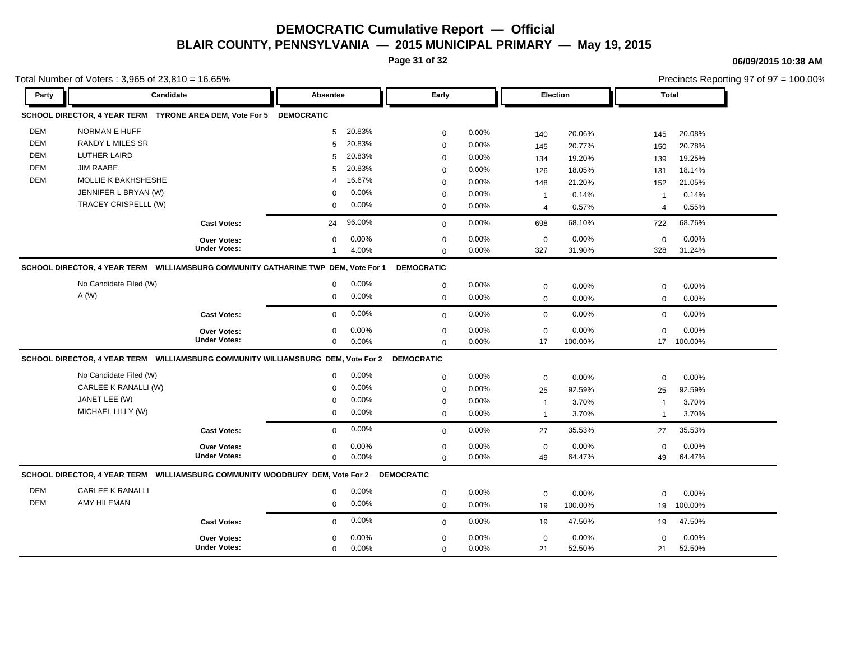**Page 31 of 32**

**06/09/2015 10:38 AM**

| Total Number of Voters: $3,965$ of $23,810 = 16.65\%$ |                                                                                         |                                    |                   |                |                            |                |                   |                  |                                  | Precincts Reporting 97 of 97 = 100.00% |  |  |  |
|-------------------------------------------------------|-----------------------------------------------------------------------------------------|------------------------------------|-------------------|----------------|----------------------------|----------------|-------------------|------------------|----------------------------------|----------------------------------------|--|--|--|
| Party                                                 | Candidate                                                                               |                                    | Absentee          |                | Early                      |                |                   | Election         |                                  | <b>Total</b>                           |  |  |  |
|                                                       | SCHOOL DIRECTOR, 4 YEAR TERM  TYRONE AREA DEM, Vote For 5  DEMOCRATIC                   |                                    |                   |                |                            |                |                   |                  |                                  |                                        |  |  |  |
| <b>DEM</b>                                            | NORMAN E HUFF                                                                           |                                    | 5                 | 20.83%         | $\mathbf 0$                | 0.00%          | 140               | 20.06%           | 145                              | 20.08%                                 |  |  |  |
| <b>DEM</b>                                            | RANDY L MILES SR                                                                        |                                    | 5                 | 20.83%         | $\mathbf 0$                | 0.00%          | 145               | 20.77%           | 150                              | 20.78%                                 |  |  |  |
| <b>DEM</b>                                            | <b>LUTHER LAIRD</b>                                                                     |                                    | 5                 | 20.83%         | $\Omega$                   | 0.00%          | 134               | 19.20%           | 139                              | 19.25%                                 |  |  |  |
| <b>DEM</b>                                            | <b>JIM RAABE</b>                                                                        |                                    | 5                 | 20.83%         | $\mathbf 0$                | 0.00%          | 126               | 18.05%           | 131                              | 18.14%                                 |  |  |  |
| <b>DEM</b>                                            | MOLLIE K BAKHSHESHE                                                                     |                                    | 4                 | 16.67%         | $\mathbf 0$                | 0.00%          | 148               | 21.20%           | 152                              | 21.05%                                 |  |  |  |
|                                                       | JENNIFER L BRYAN (W)                                                                    |                                    | 0                 | 0.00%          | $\mathbf 0$                | 0.00%          | $\mathbf{1}$      | 0.14%            | $\overline{\mathbf{1}}$          | 0.14%                                  |  |  |  |
|                                                       | TRACEY CRISPELLL (W)                                                                    |                                    | $\mathbf 0$       | 0.00%          | $\mathbf 0$                | 0.00%          | $\overline{4}$    | 0.57%            | $\overline{4}$                   | 0.55%                                  |  |  |  |
|                                                       |                                                                                         | <b>Cast Votes:</b>                 | 24                | 96.00%         | $\mathbf 0$                | 0.00%          | 698               | 68.10%           | 722                              | 68.76%                                 |  |  |  |
|                                                       |                                                                                         | <b>Over Votes:</b>                 | 0                 | 0.00%          | $\mathbf 0$                | 0.00%          | $\mathbf 0$       | 0.00%            | $\mathbf 0$                      | 0.00%                                  |  |  |  |
|                                                       |                                                                                         | <b>Under Votes:</b>                |                   | 4.00%          | $\Omega$                   | $0.00\%$       | 327               | 31.90%           | 328                              | 31.24%                                 |  |  |  |
|                                                       | SCHOOL DIRECTOR, 4 YEAR TERM WILLIAMSBURG COMMUNITY CATHARINE TWP DEM, Vote For 1       |                                    |                   |                | <b>DEMOCRATIC</b>          |                |                   |                  |                                  |                                        |  |  |  |
|                                                       | No Candidate Filed (W)                                                                  |                                    | 0                 | $0.00\%$       | $\mathbf 0$                | 0.00%          | $\mathbf 0$       | 0.00%            | 0                                | 0.00%                                  |  |  |  |
|                                                       | A(W)                                                                                    |                                    | 0                 | 0.00%          | $\mathbf 0$                | 0.00%          | $\mathbf 0$       | 0.00%            | $\mathbf 0$                      | 0.00%                                  |  |  |  |
|                                                       |                                                                                         | <b>Cast Votes:</b>                 | $\mathbf 0$       | 0.00%          | $\mathbf 0$                | 0.00%          | $\mathbf 0$       | 0.00%            | $\mathbf 0$                      | 0.00%                                  |  |  |  |
|                                                       |                                                                                         |                                    |                   |                |                            |                |                   |                  |                                  |                                        |  |  |  |
|                                                       |                                                                                         | Over Votes:<br><b>Under Votes:</b> | 0<br>$\mathbf{0}$ | 0.00%<br>0.00% | $\mathbf 0$<br>$\Omega$    | 0.00%<br>0.00% | $\mathbf 0$<br>17 | 0.00%<br>100.00% | $\mathbf 0$<br>17                | 0.00%<br>100.00%                       |  |  |  |
|                                                       | SCHOOL DIRECTOR, 4 YEAR TERM WILLIAMSBURG COMMUNITY WILLIAMSBURG DEM, Vote For 2        |                                    |                   |                | <b>DEMOCRATIC</b>          |                |                   |                  |                                  |                                        |  |  |  |
|                                                       | No Candidate Filed (W)                                                                  |                                    | 0                 | 0.00%          |                            |                |                   |                  |                                  |                                        |  |  |  |
|                                                       | CARLEE K RANALLI (W)                                                                    |                                    | $\Omega$          | 0.00%          | $\mathbf 0$                | 0.00%          | $\mathbf 0$       | 0.00%            | 0                                | 0.00%                                  |  |  |  |
|                                                       | JANET LEE (W)                                                                           |                                    | $\Omega$          | 0.00%          | $\mathbf 0$                | 0.00%<br>0.00% | 25                | 92.59%           | 25                               | 92.59%                                 |  |  |  |
|                                                       | MICHAEL LILLY (W)                                                                       |                                    | $\mathbf 0$       | 0.00%          | $\mathbf 0$<br>$\mathbf 0$ | 0.00%          | $\mathbf{1}$      | 3.70%<br>3.70%   | $\overline{1}$<br>$\overline{1}$ | 3.70%<br>3.70%                         |  |  |  |
|                                                       |                                                                                         |                                    |                   |                |                            |                | $\mathbf{1}$      |                  |                                  |                                        |  |  |  |
|                                                       |                                                                                         | <b>Cast Votes:</b>                 | $\mathbf 0$       | 0.00%          | $\mathbf 0$                | 0.00%          | 27                | 35.53%           | 27                               | 35.53%                                 |  |  |  |
|                                                       |                                                                                         | <b>Over Votes:</b>                 | 0                 | 0.00%          | $\mathbf 0$                | 0.00%          | $\mathbf 0$       | 0.00%            | $\mathbf 0$                      | 0.00%                                  |  |  |  |
|                                                       |                                                                                         | <b>Under Votes:</b>                | $\mathbf{0}$      | 0.00%          | $\Omega$                   | 0.00%          | 49                | 64.47%           | 49                               | 64.47%                                 |  |  |  |
|                                                       | SCHOOL DIRECTOR, 4 YEAR TERM WILLIAMSBURG COMMUNITY WOODBURY DEM, Vote For 2 DEMOCRATIC |                                    |                   |                |                            |                |                   |                  |                                  |                                        |  |  |  |
| <b>DEM</b>                                            | <b>CARLEE K RANALLI</b>                                                                 |                                    | $\mathbf 0$       | 0.00%          | $\mathbf 0$                | 0.00%          | $\mathbf 0$       | 0.00%            | $\mathbf 0$                      | 0.00%                                  |  |  |  |
| DEM                                                   | <b>AMY HILEMAN</b>                                                                      |                                    | $\mathbf 0$       | 0.00%          | $\mathbf 0$                | 0.00%          | 19                | 100.00%          | 19                               | 100.00%                                |  |  |  |
|                                                       |                                                                                         | <b>Cast Votes:</b>                 | $\mathbf{0}$      | 0.00%          | $\mathbf 0$                | 0.00%          | 19                | 47.50%           | 19                               | 47.50%                                 |  |  |  |
|                                                       |                                                                                         | Over Votes:                        | 0                 | 0.00%          | $\mathbf 0$                | 0.00%          | $\mathbf 0$       | 0.00%            | $\mathbf 0$                      | 0.00%                                  |  |  |  |
|                                                       |                                                                                         | <b>Under Votes:</b>                | $\mathbf{0}$      | 0.00%          | $\Omega$                   | 0.00%          | 21                | 52.50%           | 21                               | 52.50%                                 |  |  |  |